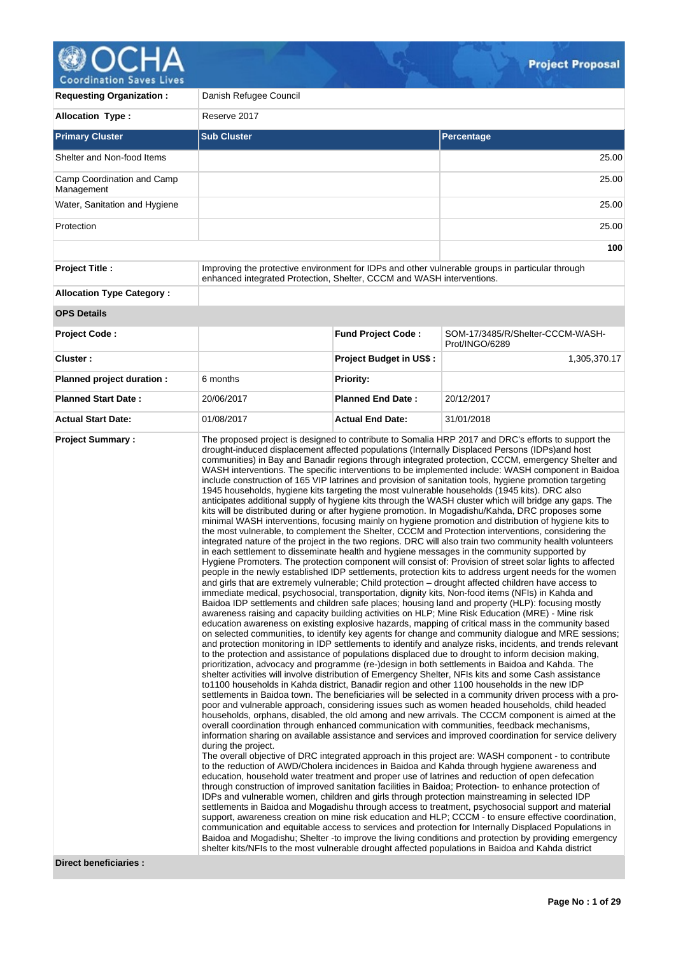

| <b>Coordination Saves Lives</b>          |                                                                       |                                |                                                                                                                                                                                                                                                                                                                                                                                                                                                                                                                                                                                                                                                                                                                                                                                                                                                                                                                                                                                                                                                                                                                                                                                                                                                                                                                                                                                                                                                                                                                                                                                                                                                                                                                                                                                                                                                                                                                                                                                                                                                                                                                                                                                                                                                                                                                                                                                                                                                                                                                                                                                                                                                                                                                                                                                                                                                                                                                                                                                                                                                                                                                                                                                                                                                                                                                                                                                                                                                                                                                                                                                                                                                                                                                                                                                                                                                                                                                                                                                                                                                                                                                                                                                                                                                           |
|------------------------------------------|-----------------------------------------------------------------------|--------------------------------|-----------------------------------------------------------------------------------------------------------------------------------------------------------------------------------------------------------------------------------------------------------------------------------------------------------------------------------------------------------------------------------------------------------------------------------------------------------------------------------------------------------------------------------------------------------------------------------------------------------------------------------------------------------------------------------------------------------------------------------------------------------------------------------------------------------------------------------------------------------------------------------------------------------------------------------------------------------------------------------------------------------------------------------------------------------------------------------------------------------------------------------------------------------------------------------------------------------------------------------------------------------------------------------------------------------------------------------------------------------------------------------------------------------------------------------------------------------------------------------------------------------------------------------------------------------------------------------------------------------------------------------------------------------------------------------------------------------------------------------------------------------------------------------------------------------------------------------------------------------------------------------------------------------------------------------------------------------------------------------------------------------------------------------------------------------------------------------------------------------------------------------------------------------------------------------------------------------------------------------------------------------------------------------------------------------------------------------------------------------------------------------------------------------------------------------------------------------------------------------------------------------------------------------------------------------------------------------------------------------------------------------------------------------------------------------------------------------------------------------------------------------------------------------------------------------------------------------------------------------------------------------------------------------------------------------------------------------------------------------------------------------------------------------------------------------------------------------------------------------------------------------------------------------------------------------------------------------------------------------------------------------------------------------------------------------------------------------------------------------------------------------------------------------------------------------------------------------------------------------------------------------------------------------------------------------------------------------------------------------------------------------------------------------------------------------------------------------------------------------------------------------------------------------------------------------------------------------------------------------------------------------------------------------------------------------------------------------------------------------------------------------------------------------------------------------------------------------------------------------------------------------------------------------------------------------------------------------------------------------------------------------|
| <b>Requesting Organization:</b>          | Danish Refugee Council                                                |                                |                                                                                                                                                                                                                                                                                                                                                                                                                                                                                                                                                                                                                                                                                                                                                                                                                                                                                                                                                                                                                                                                                                                                                                                                                                                                                                                                                                                                                                                                                                                                                                                                                                                                                                                                                                                                                                                                                                                                                                                                                                                                                                                                                                                                                                                                                                                                                                                                                                                                                                                                                                                                                                                                                                                                                                                                                                                                                                                                                                                                                                                                                                                                                                                                                                                                                                                                                                                                                                                                                                                                                                                                                                                                                                                                                                                                                                                                                                                                                                                                                                                                                                                                                                                                                                                           |
| <b>Allocation Type:</b>                  | Reserve 2017                                                          |                                |                                                                                                                                                                                                                                                                                                                                                                                                                                                                                                                                                                                                                                                                                                                                                                                                                                                                                                                                                                                                                                                                                                                                                                                                                                                                                                                                                                                                                                                                                                                                                                                                                                                                                                                                                                                                                                                                                                                                                                                                                                                                                                                                                                                                                                                                                                                                                                                                                                                                                                                                                                                                                                                                                                                                                                                                                                                                                                                                                                                                                                                                                                                                                                                                                                                                                                                                                                                                                                                                                                                                                                                                                                                                                                                                                                                                                                                                                                                                                                                                                                                                                                                                                                                                                                                           |
| <b>Primary Cluster</b>                   | <b>Sub Cluster</b>                                                    |                                | Percentage                                                                                                                                                                                                                                                                                                                                                                                                                                                                                                                                                                                                                                                                                                                                                                                                                                                                                                                                                                                                                                                                                                                                                                                                                                                                                                                                                                                                                                                                                                                                                                                                                                                                                                                                                                                                                                                                                                                                                                                                                                                                                                                                                                                                                                                                                                                                                                                                                                                                                                                                                                                                                                                                                                                                                                                                                                                                                                                                                                                                                                                                                                                                                                                                                                                                                                                                                                                                                                                                                                                                                                                                                                                                                                                                                                                                                                                                                                                                                                                                                                                                                                                                                                                                                                                |
| Shelter and Non-food Items               |                                                                       |                                | 25.00                                                                                                                                                                                                                                                                                                                                                                                                                                                                                                                                                                                                                                                                                                                                                                                                                                                                                                                                                                                                                                                                                                                                                                                                                                                                                                                                                                                                                                                                                                                                                                                                                                                                                                                                                                                                                                                                                                                                                                                                                                                                                                                                                                                                                                                                                                                                                                                                                                                                                                                                                                                                                                                                                                                                                                                                                                                                                                                                                                                                                                                                                                                                                                                                                                                                                                                                                                                                                                                                                                                                                                                                                                                                                                                                                                                                                                                                                                                                                                                                                                                                                                                                                                                                                                                     |
| Camp Coordination and Camp<br>Management |                                                                       |                                | 25.00                                                                                                                                                                                                                                                                                                                                                                                                                                                                                                                                                                                                                                                                                                                                                                                                                                                                                                                                                                                                                                                                                                                                                                                                                                                                                                                                                                                                                                                                                                                                                                                                                                                                                                                                                                                                                                                                                                                                                                                                                                                                                                                                                                                                                                                                                                                                                                                                                                                                                                                                                                                                                                                                                                                                                                                                                                                                                                                                                                                                                                                                                                                                                                                                                                                                                                                                                                                                                                                                                                                                                                                                                                                                                                                                                                                                                                                                                                                                                                                                                                                                                                                                                                                                                                                     |
| Water, Sanitation and Hygiene            |                                                                       |                                | 25.00                                                                                                                                                                                                                                                                                                                                                                                                                                                                                                                                                                                                                                                                                                                                                                                                                                                                                                                                                                                                                                                                                                                                                                                                                                                                                                                                                                                                                                                                                                                                                                                                                                                                                                                                                                                                                                                                                                                                                                                                                                                                                                                                                                                                                                                                                                                                                                                                                                                                                                                                                                                                                                                                                                                                                                                                                                                                                                                                                                                                                                                                                                                                                                                                                                                                                                                                                                                                                                                                                                                                                                                                                                                                                                                                                                                                                                                                                                                                                                                                                                                                                                                                                                                                                                                     |
| Protection                               |                                                                       |                                | 25.00                                                                                                                                                                                                                                                                                                                                                                                                                                                                                                                                                                                                                                                                                                                                                                                                                                                                                                                                                                                                                                                                                                                                                                                                                                                                                                                                                                                                                                                                                                                                                                                                                                                                                                                                                                                                                                                                                                                                                                                                                                                                                                                                                                                                                                                                                                                                                                                                                                                                                                                                                                                                                                                                                                                                                                                                                                                                                                                                                                                                                                                                                                                                                                                                                                                                                                                                                                                                                                                                                                                                                                                                                                                                                                                                                                                                                                                                                                                                                                                                                                                                                                                                                                                                                                                     |
|                                          |                                                                       |                                | 100                                                                                                                                                                                                                                                                                                                                                                                                                                                                                                                                                                                                                                                                                                                                                                                                                                                                                                                                                                                                                                                                                                                                                                                                                                                                                                                                                                                                                                                                                                                                                                                                                                                                                                                                                                                                                                                                                                                                                                                                                                                                                                                                                                                                                                                                                                                                                                                                                                                                                                                                                                                                                                                                                                                                                                                                                                                                                                                                                                                                                                                                                                                                                                                                                                                                                                                                                                                                                                                                                                                                                                                                                                                                                                                                                                                                                                                                                                                                                                                                                                                                                                                                                                                                                                                       |
| <b>Project Title:</b>                    | enhanced integrated Protection, Shelter, CCCM and WASH interventions. |                                | Improving the protective environment for IDPs and other vulnerable groups in particular through                                                                                                                                                                                                                                                                                                                                                                                                                                                                                                                                                                                                                                                                                                                                                                                                                                                                                                                                                                                                                                                                                                                                                                                                                                                                                                                                                                                                                                                                                                                                                                                                                                                                                                                                                                                                                                                                                                                                                                                                                                                                                                                                                                                                                                                                                                                                                                                                                                                                                                                                                                                                                                                                                                                                                                                                                                                                                                                                                                                                                                                                                                                                                                                                                                                                                                                                                                                                                                                                                                                                                                                                                                                                                                                                                                                                                                                                                                                                                                                                                                                                                                                                                           |
| <b>Allocation Type Category:</b>         |                                                                       |                                |                                                                                                                                                                                                                                                                                                                                                                                                                                                                                                                                                                                                                                                                                                                                                                                                                                                                                                                                                                                                                                                                                                                                                                                                                                                                                                                                                                                                                                                                                                                                                                                                                                                                                                                                                                                                                                                                                                                                                                                                                                                                                                                                                                                                                                                                                                                                                                                                                                                                                                                                                                                                                                                                                                                                                                                                                                                                                                                                                                                                                                                                                                                                                                                                                                                                                                                                                                                                                                                                                                                                                                                                                                                                                                                                                                                                                                                                                                                                                                                                                                                                                                                                                                                                                                                           |
| <b>OPS Details</b>                       |                                                                       |                                |                                                                                                                                                                                                                                                                                                                                                                                                                                                                                                                                                                                                                                                                                                                                                                                                                                                                                                                                                                                                                                                                                                                                                                                                                                                                                                                                                                                                                                                                                                                                                                                                                                                                                                                                                                                                                                                                                                                                                                                                                                                                                                                                                                                                                                                                                                                                                                                                                                                                                                                                                                                                                                                                                                                                                                                                                                                                                                                                                                                                                                                                                                                                                                                                                                                                                                                                                                                                                                                                                                                                                                                                                                                                                                                                                                                                                                                                                                                                                                                                                                                                                                                                                                                                                                                           |
| <b>Project Code:</b>                     |                                                                       | <b>Fund Project Code:</b>      | SOM-17/3485/R/Shelter-CCCM-WASH-<br>Prot/INGO/6289                                                                                                                                                                                                                                                                                                                                                                                                                                                                                                                                                                                                                                                                                                                                                                                                                                                                                                                                                                                                                                                                                                                                                                                                                                                                                                                                                                                                                                                                                                                                                                                                                                                                                                                                                                                                                                                                                                                                                                                                                                                                                                                                                                                                                                                                                                                                                                                                                                                                                                                                                                                                                                                                                                                                                                                                                                                                                                                                                                                                                                                                                                                                                                                                                                                                                                                                                                                                                                                                                                                                                                                                                                                                                                                                                                                                                                                                                                                                                                                                                                                                                                                                                                                                        |
| Cluster:                                 |                                                                       | <b>Project Budget in US\$:</b> | 1,305,370.17                                                                                                                                                                                                                                                                                                                                                                                                                                                                                                                                                                                                                                                                                                                                                                                                                                                                                                                                                                                                                                                                                                                                                                                                                                                                                                                                                                                                                                                                                                                                                                                                                                                                                                                                                                                                                                                                                                                                                                                                                                                                                                                                                                                                                                                                                                                                                                                                                                                                                                                                                                                                                                                                                                                                                                                                                                                                                                                                                                                                                                                                                                                                                                                                                                                                                                                                                                                                                                                                                                                                                                                                                                                                                                                                                                                                                                                                                                                                                                                                                                                                                                                                                                                                                                              |
| Planned project duration :               | 6 months                                                              | <b>Priority:</b>               |                                                                                                                                                                                                                                                                                                                                                                                                                                                                                                                                                                                                                                                                                                                                                                                                                                                                                                                                                                                                                                                                                                                                                                                                                                                                                                                                                                                                                                                                                                                                                                                                                                                                                                                                                                                                                                                                                                                                                                                                                                                                                                                                                                                                                                                                                                                                                                                                                                                                                                                                                                                                                                                                                                                                                                                                                                                                                                                                                                                                                                                                                                                                                                                                                                                                                                                                                                                                                                                                                                                                                                                                                                                                                                                                                                                                                                                                                                                                                                                                                                                                                                                                                                                                                                                           |
| <b>Planned Start Date:</b>               | 20/06/2017                                                            | <b>Planned End Date:</b>       | 20/12/2017                                                                                                                                                                                                                                                                                                                                                                                                                                                                                                                                                                                                                                                                                                                                                                                                                                                                                                                                                                                                                                                                                                                                                                                                                                                                                                                                                                                                                                                                                                                                                                                                                                                                                                                                                                                                                                                                                                                                                                                                                                                                                                                                                                                                                                                                                                                                                                                                                                                                                                                                                                                                                                                                                                                                                                                                                                                                                                                                                                                                                                                                                                                                                                                                                                                                                                                                                                                                                                                                                                                                                                                                                                                                                                                                                                                                                                                                                                                                                                                                                                                                                                                                                                                                                                                |
| <b>Actual Start Date:</b>                | 01/08/2017                                                            | <b>Actual End Date:</b>        | 31/01/2018                                                                                                                                                                                                                                                                                                                                                                                                                                                                                                                                                                                                                                                                                                                                                                                                                                                                                                                                                                                                                                                                                                                                                                                                                                                                                                                                                                                                                                                                                                                                                                                                                                                                                                                                                                                                                                                                                                                                                                                                                                                                                                                                                                                                                                                                                                                                                                                                                                                                                                                                                                                                                                                                                                                                                                                                                                                                                                                                                                                                                                                                                                                                                                                                                                                                                                                                                                                                                                                                                                                                                                                                                                                                                                                                                                                                                                                                                                                                                                                                                                                                                                                                                                                                                                                |
| <b>Project Summary:</b>                  | during the project.                                                   |                                | The proposed project is designed to contribute to Somalia HRP 2017 and DRC's efforts to support the<br>drought-induced displacement affected populations (Internally Displaced Persons (IDPs)and host<br>communities) in Bay and Banadir regions through integrated protection, CCCM, emergency Shelter and<br>WASH interventions. The specific interventions to be implemented include: WASH component in Baidoa<br>include construction of 165 VIP latrines and provision of sanitation tools, hygiene promotion targeting<br>1945 households, hygiene kits targeting the most vulnerable households (1945 kits). DRC also<br>anticipates additional supply of hygiene kits through the WASH cluster which will bridge any gaps. The<br>kits will be distributed during or after hygiene promotion. In Mogadishu/Kahda, DRC proposes some<br>minimal WASH interventions, focusing mainly on hygiene promotion and distribution of hygiene kits to<br>the most vulnerable, to complement the Shelter, CCCM and Protection interventions, considering the<br>integrated nature of the project in the two regions. DRC will also train two community health volunteers<br>in each settlement to disseminate health and hygiene messages in the community supported by<br>Hygiene Promoters. The protection component will consist of: Provision of street solar lights to affected<br>people in the newly established IDP settlements, protection kits to address urgent needs for the women<br>and girls that are extremely vulnerable; Child protection – drought affected children have access to<br>immediate medical, psychosocial, transportation, dignity kits, Non-food items (NFIs) in Kahda and<br>Baidoa IDP settlements and children safe places; housing land and property (HLP): focusing mostly<br>awareness raising and capacity building activities on HLP; Mine Risk Education (MRE) - Mine risk<br>education awareness on existing explosive hazards, mapping of critical mass in the community based<br>on selected communities, to identify key agents for change and community dialogue and MRE sessions;<br>and protection monitoring in IDP settlements to identify and analyze risks, incidents, and trends relevant<br>to the protection and assistance of populations displaced due to drought to inform decision making,<br>prioritization, advocacy and programme (re-)design in both settlements in Baidoa and Kahda. The<br>shelter activities will involve distribution of Emergency Shelter, NFIs kits and some Cash assistance<br>to1100 households in Kahda district, Banadir region and other 1100 households in the new IDP<br>settlements in Baidoa town. The beneficiaries will be selected in a community driven process with a pro-<br>poor and vulnerable approach, considering issues such as women headed households, child headed<br>households, orphans, disabled, the old among and new arrivals. The CCCM component is aimed at the<br>overall coordination through enhanced communication with communities, feedback mechanisms,<br>information sharing on available assistance and services and improved coordination for service delivery<br>The overall objective of DRC integrated approach in this project are: WASH component - to contribute<br>to the reduction of AWD/Cholera incidences in Baidoa and Kahda through hygiene awareness and<br>education, household water treatment and proper use of latrines and reduction of open defecation<br>through construction of improved sanitation facilities in Baidoa; Protection- to enhance protection of<br>IDPs and vulnerable women, children and girls through protection mainstreaming in selected IDP<br>settlements in Baidoa and Mogadishu through access to treatment, psychosocial support and material<br>support, awareness creation on mine risk education and HLP; CCCM - to ensure effective coordination,<br>communication and equitable access to services and protection for Internally Displaced Populations in<br>Baidoa and Mogadishu; Shelter -to improve the living conditions and protection by providing emergency<br>shelter kits/NFIs to the most vulnerable drought affected populations in Baidoa and Kahda district |

**Direct beneficiaries :**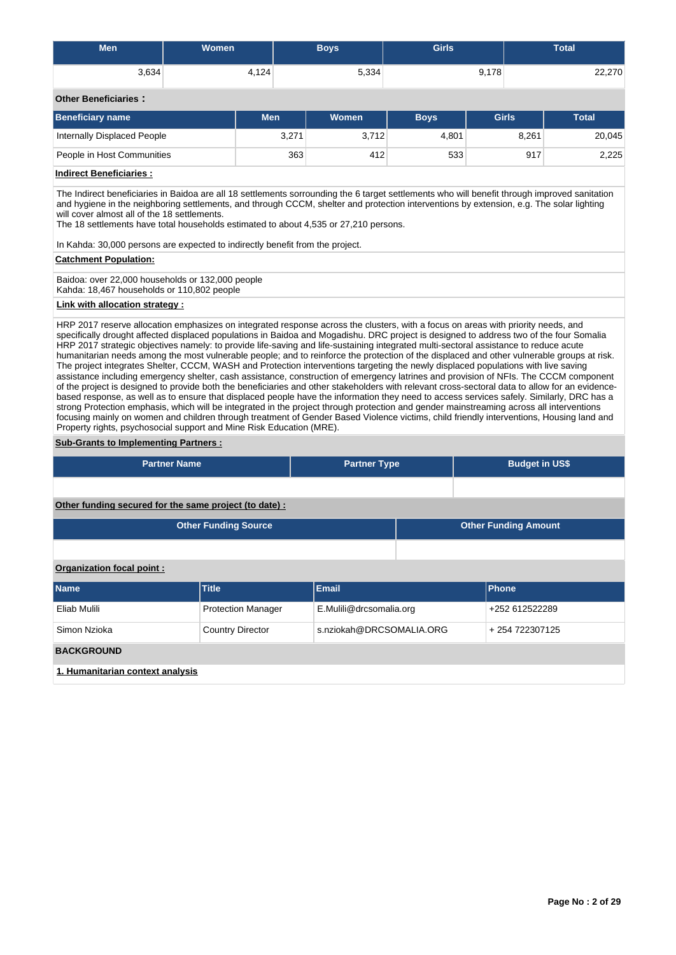| <b>Men</b>                                                                                                                                                                                                                                                                                                                                                                                                                                                                                                                                                                                                                                                                                                                                                                                                                                                                                                                                                                                                                                                                                                                                                                                                                                                                                                                                                                                                                                                                                                         | <b>Women</b>            |                           | <b>Boys</b>              | <b>Girls</b> | <b>Total</b>                 |        |  |  |  |  |  |
|--------------------------------------------------------------------------------------------------------------------------------------------------------------------------------------------------------------------------------------------------------------------------------------------------------------------------------------------------------------------------------------------------------------------------------------------------------------------------------------------------------------------------------------------------------------------------------------------------------------------------------------------------------------------------------------------------------------------------------------------------------------------------------------------------------------------------------------------------------------------------------------------------------------------------------------------------------------------------------------------------------------------------------------------------------------------------------------------------------------------------------------------------------------------------------------------------------------------------------------------------------------------------------------------------------------------------------------------------------------------------------------------------------------------------------------------------------------------------------------------------------------------|-------------------------|---------------------------|--------------------------|--------------|------------------------------|--------|--|--|--|--|--|
| 3,634                                                                                                                                                                                                                                                                                                                                                                                                                                                                                                                                                                                                                                                                                                                                                                                                                                                                                                                                                                                                                                                                                                                                                                                                                                                                                                                                                                                                                                                                                                              |                         | 4,124                     | 5,334                    |              | 9,178                        | 22,270 |  |  |  |  |  |
| <b>Other Beneficiaries:</b>                                                                                                                                                                                                                                                                                                                                                                                                                                                                                                                                                                                                                                                                                                                                                                                                                                                                                                                                                                                                                                                                                                                                                                                                                                                                                                                                                                                                                                                                                        |                         |                           |                          |              |                              |        |  |  |  |  |  |
| <b>Beneficiary name</b>                                                                                                                                                                                                                                                                                                                                                                                                                                                                                                                                                                                                                                                                                                                                                                                                                                                                                                                                                                                                                                                                                                                                                                                                                                                                                                                                                                                                                                                                                            |                         | <b>Men</b>                | <b>Women</b>             | <b>Boys</b>  | <b>Girls</b><br><b>Total</b> |        |  |  |  |  |  |
| <b>Internally Displaced People</b>                                                                                                                                                                                                                                                                                                                                                                                                                                                                                                                                                                                                                                                                                                                                                                                                                                                                                                                                                                                                                                                                                                                                                                                                                                                                                                                                                                                                                                                                                 |                         | 3,271                     | 3,712                    | 4,801        | 8,261                        | 20,045 |  |  |  |  |  |
| People in Host Communities                                                                                                                                                                                                                                                                                                                                                                                                                                                                                                                                                                                                                                                                                                                                                                                                                                                                                                                                                                                                                                                                                                                                                                                                                                                                                                                                                                                                                                                                                         |                         | 363                       | 412                      | 533          | 917                          | 2,225  |  |  |  |  |  |
| <b>Indirect Beneficiaries:</b>                                                                                                                                                                                                                                                                                                                                                                                                                                                                                                                                                                                                                                                                                                                                                                                                                                                                                                                                                                                                                                                                                                                                                                                                                                                                                                                                                                                                                                                                                     |                         |                           |                          |              |                              |        |  |  |  |  |  |
| The Indirect beneficiaries in Baidoa are all 18 settlements sorrounding the 6 target settlements who will benefit through improved sanitation<br>and hygiene in the neighboring settlements, and through CCCM, shelter and protection interventions by extension, e.g. The solar lighting<br>will cover almost all of the 18 settlements.<br>The 18 settlements have total households estimated to about 4,535 or 27,210 persons.<br>In Kahda: 30,000 persons are expected to indirectly benefit from the project.                                                                                                                                                                                                                                                                                                                                                                                                                                                                                                                                                                                                                                                                                                                                                                                                                                                                                                                                                                                                 |                         |                           |                          |              |                              |        |  |  |  |  |  |
| <b>Catchment Population:</b>                                                                                                                                                                                                                                                                                                                                                                                                                                                                                                                                                                                                                                                                                                                                                                                                                                                                                                                                                                                                                                                                                                                                                                                                                                                                                                                                                                                                                                                                                       |                         |                           |                          |              |                              |        |  |  |  |  |  |
| Baidoa: over 22,000 households or 132,000 people<br>Kahda: 18,467 households or 110,802 people                                                                                                                                                                                                                                                                                                                                                                                                                                                                                                                                                                                                                                                                                                                                                                                                                                                                                                                                                                                                                                                                                                                                                                                                                                                                                                                                                                                                                     |                         |                           |                          |              |                              |        |  |  |  |  |  |
| Link with allocation strategy :                                                                                                                                                                                                                                                                                                                                                                                                                                                                                                                                                                                                                                                                                                                                                                                                                                                                                                                                                                                                                                                                                                                                                                                                                                                                                                                                                                                                                                                                                    |                         |                           |                          |              |                              |        |  |  |  |  |  |
| HRP 2017 reserve allocation emphasizes on integrated response across the clusters, with a focus on areas with priority needs, and<br>specifically drought affected displaced populations in Baidoa and Mogadishu. DRC project is designed to address two of the four Somalia<br>HRP 2017 strategic objectives namely: to provide life-saving and life-sustaining integrated multi-sectoral assistance to reduce acute<br>humanitarian needs among the most vulnerable people; and to reinforce the protection of the displaced and other vulnerable groups at risk.<br>The project integrates Shelter, CCCM, WASH and Protection interventions targeting the newly displaced populations with live saving<br>assistance including emergency shelter, cash assistance, construction of emergency latrines and provision of NFIs. The CCCM component<br>of the project is designed to provide both the beneficiaries and other stakeholders with relevant cross-sectoral data to allow for an evidence-<br>based response, as well as to ensure that displaced people have the information they need to access services safely. Similarly, DRC has a<br>strong Protection emphasis, which will be integrated in the project through protection and gender mainstreaming across all interventions<br>focusing mainly on women and children through treatment of Gender Based Violence victims, child friendly interventions, Housing land and<br>Property rights, psychosocial support and Mine Risk Education (MRE). |                         |                           |                          |              |                              |        |  |  |  |  |  |
| <b>Sub-Grants to Implementing Partners:</b>                                                                                                                                                                                                                                                                                                                                                                                                                                                                                                                                                                                                                                                                                                                                                                                                                                                                                                                                                                                                                                                                                                                                                                                                                                                                                                                                                                                                                                                                        |                         |                           |                          |              |                              |        |  |  |  |  |  |
|                                                                                                                                                                                                                                                                                                                                                                                                                                                                                                                                                                                                                                                                                                                                                                                                                                                                                                                                                                                                                                                                                                                                                                                                                                                                                                                                                                                                                                                                                                                    | <b>Partner Name</b>     |                           | <b>Partner Type</b>      |              | <b>Budget in US\$</b>        |        |  |  |  |  |  |
|                                                                                                                                                                                                                                                                                                                                                                                                                                                                                                                                                                                                                                                                                                                                                                                                                                                                                                                                                                                                                                                                                                                                                                                                                                                                                                                                                                                                                                                                                                                    |                         |                           |                          |              |                              |        |  |  |  |  |  |
| Other funding secured for the same project (to date) :                                                                                                                                                                                                                                                                                                                                                                                                                                                                                                                                                                                                                                                                                                                                                                                                                                                                                                                                                                                                                                                                                                                                                                                                                                                                                                                                                                                                                                                             |                         |                           |                          |              |                              |        |  |  |  |  |  |
| <b>Other Funding Source</b><br><b>Other Funding Amount</b>                                                                                                                                                                                                                                                                                                                                                                                                                                                                                                                                                                                                                                                                                                                                                                                                                                                                                                                                                                                                                                                                                                                                                                                                                                                                                                                                                                                                                                                         |                         |                           |                          |              |                              |        |  |  |  |  |  |
|                                                                                                                                                                                                                                                                                                                                                                                                                                                                                                                                                                                                                                                                                                                                                                                                                                                                                                                                                                                                                                                                                                                                                                                                                                                                                                                                                                                                                                                                                                                    |                         |                           |                          |              |                              |        |  |  |  |  |  |
| Organization focal point:                                                                                                                                                                                                                                                                                                                                                                                                                                                                                                                                                                                                                                                                                                                                                                                                                                                                                                                                                                                                                                                                                                                                                                                                                                                                                                                                                                                                                                                                                          |                         |                           |                          |              |                              |        |  |  |  |  |  |
| <b>Name</b>                                                                                                                                                                                                                                                                                                                                                                                                                                                                                                                                                                                                                                                                                                                                                                                                                                                                                                                                                                                                                                                                                                                                                                                                                                                                                                                                                                                                                                                                                                        | <b>Title</b>            |                           | <b>Email</b>             |              | Phone                        |        |  |  |  |  |  |
| Eliab Mulili                                                                                                                                                                                                                                                                                                                                                                                                                                                                                                                                                                                                                                                                                                                                                                                                                                                                                                                                                                                                                                                                                                                                                                                                                                                                                                                                                                                                                                                                                                       |                         | <b>Protection Manager</b> | E.Mulili@drcsomalia.org  |              | +252 612522289               |        |  |  |  |  |  |
| Simon Nzioka                                                                                                                                                                                                                                                                                                                                                                                                                                                                                                                                                                                                                                                                                                                                                                                                                                                                                                                                                                                                                                                                                                                                                                                                                                                                                                                                                                                                                                                                                                       | <b>Country Director</b> |                           | s.nziokah@DRCSOMALIA.ORG |              | +254722307125                |        |  |  |  |  |  |

# **BACKGROUND**

**1. Humanitarian context analysis**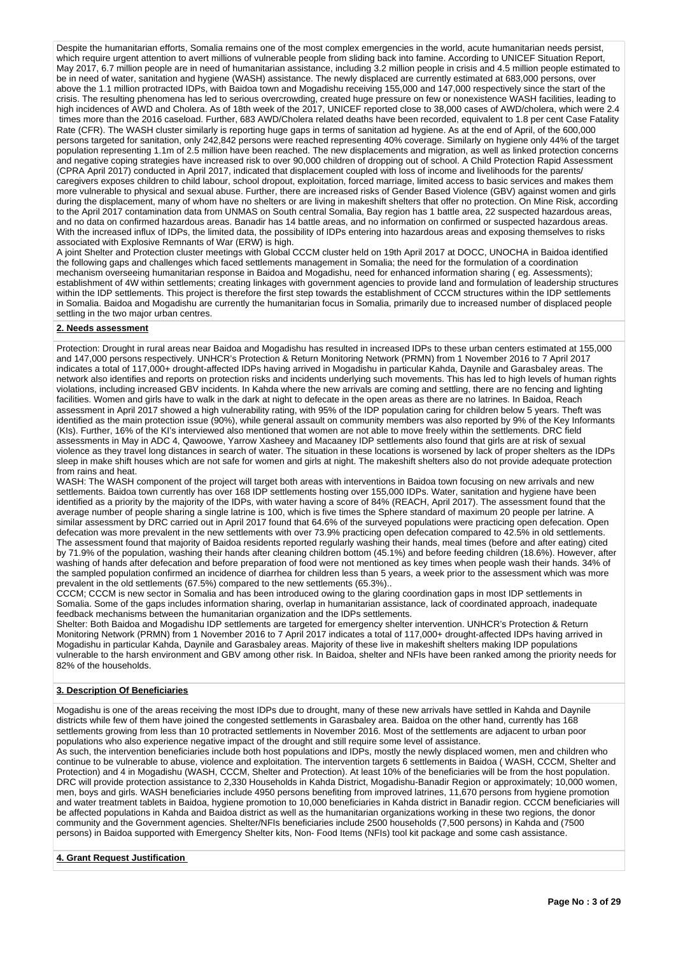Despite the humanitarian efforts, Somalia remains one of the most complex emergencies in the world, acute humanitarian needs persist, which require urgent attention to avert millions of vulnerable people from sliding back into famine. According to UNICEF Situation Report, May 2017, 6.7 million people are in need of humanitarian assistance, including 3.2 million people in crisis and 4.5 million people estimated to be in need of water, sanitation and hygiene (WASH) assistance. The newly displaced are currently estimated at 683,000 persons, over above the 1.1 million protracted IDPs, with Baidoa town and Mogadishu receiving 155,000 and 147,000 respectively since the start of the crisis. The resulting phenomena has led to serious overcrowding, created huge pressure on few or nonexistence WASH facilities, leading to high incidences of AWD and Cholera. As of 18th week of the 2017, UNICEF reported close to 38,000 cases of AWD/cholera, which were 2.4 times more than the 2016 caseload. Further, 683 AWD/Cholera related deaths have been recorded, equivalent to 1.8 per cent Case Fatality Rate (CFR). The WASH cluster similarly is reporting huge gaps in terms of sanitation ad hygiene. As at the end of April, of the 600,000 persons targeted for sanitation, only 242,842 persons were reached representing 40% coverage. Similarly on hygiene only 44% of the target population representing 1.1m of 2.5 million have been reached. The new displacements and migration, as well as linked protection concerns and negative coping strategies have increased risk to over 90,000 children of dropping out of school. A Child Protection Rapid Assessment (CPRA April 2017) conducted in April 2017, indicated that displacement coupled with loss of income and livelihoods for the parents/ caregivers exposes children to child labour, school dropout, exploitation, forced marriage, limited access to basic services and makes them more vulnerable to physical and sexual abuse. Further, there are increased risks of Gender Based Violence (GBV) against women and girls during the displacement, many of whom have no shelters or are living in makeshift shelters that offer no protection. On Mine Risk, according to the April 2017 contamination data from UNMAS on South central Somalia, Bay region has 1 battle area, 22 suspected hazardous areas, and no data on confirmed hazardous areas. Banadir has 14 battle areas, and no information on confirmed or suspected hazardous areas. With the increased influx of IDPs, the limited data, the possibility of IDPs entering into hazardous areas and exposing themselves to risks associated with Explosive Remnants of War (ERW) is high.

A joint Shelter and Protection cluster meetings with Global CCCM cluster held on 19th April 2017 at DOCC, UNOCHA in Baidoa identified the following gaps and challenges which faced settlements management in Somalia; the need for the formulation of a coordination mechanism overseeing humanitarian response in Baidoa and Mogadishu, need for enhanced information sharing ( eg. Assessments); establishment of 4W within settlements; creating linkages with government agencies to provide land and formulation of leadership structures within the IDP settlements. This project is therefore the first step towards the establishment of CCCM structures within the IDP settlements in Somalia. Baidoa and Mogadishu are currently the humanitarian focus in Somalia, primarily due to increased number of displaced people settling in the two major urban centres.

### **2. Needs assessment**

Protection: Drought in rural areas near Baidoa and Mogadishu has resulted in increased IDPs to these urban centers estimated at 155,000 and 147,000 persons respectively. UNHCR's Protection & Return Monitoring Network (PRMN) from 1 November 2016 to 7 April 2017 indicates a total of 117,000+ drought-affected IDPs having arrived in Mogadishu in particular Kahda, Daynile and Garasbaley areas. The network also identifies and reports on protection risks and incidents underlying such movements. This has led to high levels of human rights violations, including increased GBV incidents. In Kahda where the new arrivals are coming and settling, there are no fencing and lighting facilities. Women and girls have to walk in the dark at night to defecate in the open areas as there are no latrines. In Baidoa, Reach assessment in April 2017 showed a high vulnerability rating, with 95% of the IDP population caring for children below 5 years. Theft was identified as the main protection issue (90%), while general assault on community members was also reported by 9% of the Key Informants (KIs). Further, 16% of the KI's interviewed also mentioned that women are not able to move freely within the settlements. DRC field assessments in May in ADC 4, Qawoowe, Yarrow Xasheey and Macaaney IDP settlements also found that girls are at risk of sexual violence as they travel long distances in search of water. The situation in these locations is worsened by lack of proper shelters as the IDPs sleep in make shift houses which are not safe for women and girls at night. The makeshift shelters also do not provide adequate protection from rains and heat.

WASH: The WASH component of the project will target both areas with interventions in Baidoa town focusing on new arrivals and new settlements. Baidoa town currently has over 168 IDP settlements hosting over 155,000 IDPs. Water, sanitation and hygiene have been identified as a priority by the majority of the IDPs, with water having a score of 84% (REACH, April 2017). The assessment found that the average number of people sharing a single latrine is 100, which is five times the Sphere standard of maximum 20 people per latrine. A similar assessment by DRC carried out in April 2017 found that 64.6% of the surveyed populations were practicing open defecation. Open defecation was more prevalent in the new settlements with over 73.9% practicing open defecation compared to 42.5% in old settlements. The assessment found that majority of Baidoa residents reported regularly washing their hands, meal times (before and after eating) cited by 71.9% of the population, washing their hands after cleaning children bottom (45.1%) and before feeding children (18.6%). However, after washing of hands after defecation and before preparation of food were not mentioned as key times when people wash their hands. 34% of the sampled population confirmed an incidence of diarrhea for children less than 5 years, a week prior to the assessment which was more prevalent in the old settlements (67.5%) compared to the new settlements (65.3%)..

CCCM; CCCM is new sector in Somalia and has been introduced owing to the glaring coordination gaps in most IDP settlements in Somalia. Some of the gaps includes information sharing, overlap in humanitarian assistance, lack of coordinated approach, inadequate feedback mechanisms between the humanitarian organization and the IDPs settlements.

Shelter: Both Baidoa and Mogadishu IDP settlements are targeted for emergency shelter intervention. UNHCR's Protection & Return Monitoring Network (PRMN) from 1 November 2016 to 7 April 2017 indicates a total of 117,000+ drought-affected IDPs having arrived in Mogadishu in particular Kahda, Daynile and Garasbaley areas. Majority of these live in makeshift shelters making IDP populations vulnerable to the harsh environment and GBV among other risk. In Baidoa, shelter and NFIs have been ranked among the priority needs for 82% of the households.

# **3. Description Of Beneficiaries**

Mogadishu is one of the areas receiving the most IDPs due to drought, many of these new arrivals have settled in Kahda and Daynile districts while few of them have joined the congested settlements in Garasbaley area. Baidoa on the other hand, currently has 168 settlements growing from less than 10 protracted settlements in November 2016. Most of the settlements are adjacent to urban poor populations who also experience negative impact of the drought and still require some level of assistance.

As such, the intervention beneficiaries include both host populations and IDPs, mostly the newly displaced women, men and children who continue to be vulnerable to abuse, violence and exploitation. The intervention targets 6 settlements in Baidoa ( WASH, CCCM, Shelter and Protection) and 4 in Mogadishu (WASH, CCCM, Shelter and Protection). At least 10% of the beneficiaries will be from the host population. DRC will provide protection assistance to 2,330 Households in Kahda District, Mogadishu-Banadir Region or approximately; 10,000 women, men, boys and girls. WASH beneficiaries include 4950 persons benefiting from improved latrines, 11,670 persons from hygiene promotion and water treatment tablets in Baidoa, hygiene promotion to 10,000 beneficiaries in Kahda district in Banadir region. CCCM beneficiaries will be affected populations in Kahda and Baidoa district as well as the humanitarian organizations working in these two regions, the donor community and the Government agencies. Shelter/NFIs beneficiaries include 2500 households (7,500 persons) in Kahda and (7500 persons) in Baidoa supported with Emergency Shelter kits, Non- Food Items (NFIs) tool kit package and some cash assistance.

# **4. Grant Request Justification**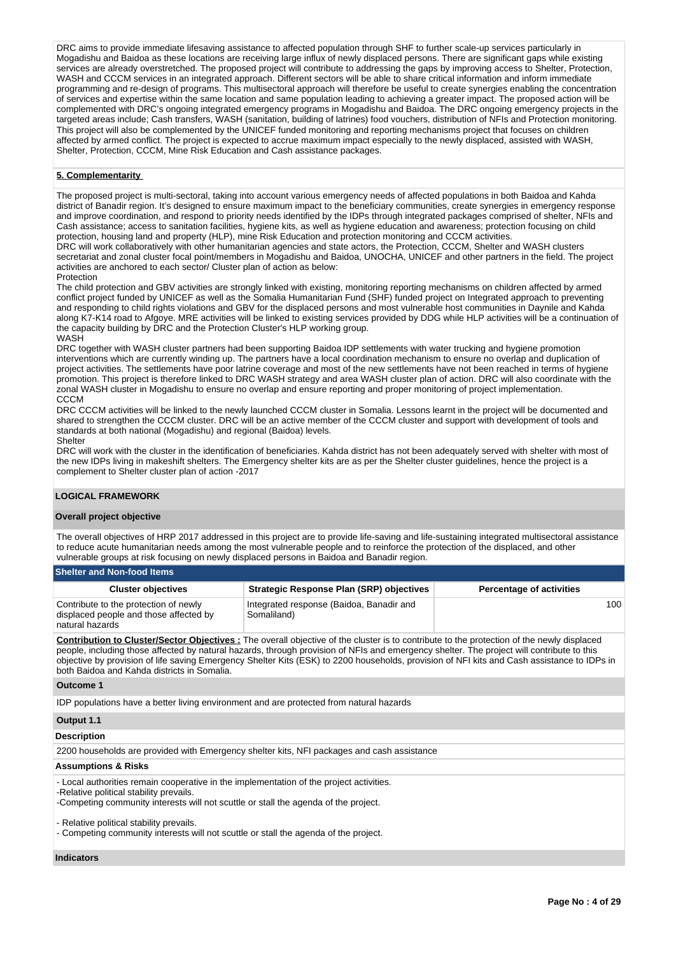DRC aims to provide immediate lifesaving assistance to affected population through SHF to further scale-up services particularly in Mogadishu and Baidoa as these locations are receiving large influx of newly displaced persons. There are significant gaps while existing services are already overstretched. The proposed project will contribute to addressing the gaps by improving access to Shelter, Protection, WASH and CCCM services in an integrated approach. Different sectors will be able to share critical information and inform immediate programming and re-design of programs. This multisectoral approach will therefore be useful to create synergies enabling the concentration of services and expertise within the same location and same population leading to achieving a greater impact. The proposed action will be complemented with DRC's ongoing integrated emergency programs in Mogadishu and Baidoa. The DRC ongoing emergency projects in the targeted areas include; Cash transfers, WASH (sanitation, building of latrines) food vouchers, distribution of NFIs and Protection monitoring. This project will also be complemented by the UNICEF funded monitoring and reporting mechanisms project that focuses on children affected by armed conflict. The project is expected to accrue maximum impact especially to the newly displaced, assisted with WASH, Shelter, Protection, CCCM, Mine Risk Education and Cash assistance packages.

# **5. Complementarity**

The proposed project is multi-sectoral, taking into account various emergency needs of affected populations in both Baidoa and Kahda district of Banadir region. It's designed to ensure maximum impact to the beneficiary communities, create synergies in emergency response and improve coordination, and respond to priority needs identified by the IDPs through integrated packages comprised of shelter, NFIs and Cash assistance; access to sanitation facilities, hygiene kits, as well as hygiene education and awareness; protection focusing on child protection, housing land and property (HLP), mine Risk Education and protection monitoring and CCCM activities.

DRC will work collaboratively with other humanitarian agencies and state actors, the Protection, CCCM, Shelter and WASH clusters secretariat and zonal cluster focal point/members in Mogadishu and Baidoa, UNOCHA, UNICEF and other partners in the field. The project activities are anchored to each sector/ Cluster plan of action as below:

Protection

The child protection and GBV activities are strongly linked with existing, monitoring reporting mechanisms on children affected by armed conflict project funded by UNICEF as well as the Somalia Humanitarian Fund (SHF) funded project on Integrated approach to preventing and responding to child rights violations and GBV for the displaced persons and most vulnerable host communities in Daynile and Kahda along K7-K14 road to Afgoye. MRE activities will be linked to existing services provided by DDG while HLP activities will be a continuation of the capacity building by DRC and the Protection Cluster's HLP working group. WASH

DRC together with WASH cluster partners had been supporting Baidoa IDP settlements with water trucking and hygiene promotion interventions which are currently winding up. The partners have a local coordination mechanism to ensure no overlap and duplication of project activities. The settlements have poor latrine coverage and most of the new settlements have not been reached in terms of hygiene promotion. This project is therefore linked to DRC WASH strategy and area WASH cluster plan of action. DRC will also coordinate with the zonal WASH cluster in Mogadishu to ensure no overlap and ensure reporting and proper monitoring of project implementation. CCCM

DRC CCCM activities will be linked to the newly launched CCCM cluster in Somalia. Lessons learnt in the project will be documented and shared to strengthen the CCCM cluster. DRC will be an active member of the CCCM cluster and support with development of tools and standards at both national (Mogadishu) and regional (Baidoa) levels. **Shelter** 

DRC will work with the cluster in the identification of beneficiaries. Kahda district has not been adequately served with shelter with most of the new IDPs living in makeshift shelters. The Emergency shelter kits are as per the Shelter cluster guidelines, hence the project is a complement to Shelter cluster plan of action -2017

# **LOGICAL FRAMEWORK**

# **Overall project objective**

The overall objectives of HRP 2017 addressed in this project are to provide life-saving and life-sustaining integrated multisectoral assistance to reduce acute humanitarian needs among the most vulnerable people and to reinforce the protection of the displaced, and other vulnerable groups at risk focusing on newly displaced persons in Baidoa and Banadir region.

#### **Shelter and Non-food Items**

| <b>Cluster objectives</b>                                                                          | Strategic Response Plan (SRP) objectives                | <b>Percentage of activities</b> |
|----------------------------------------------------------------------------------------------------|---------------------------------------------------------|---------------------------------|
| Contribute to the protection of newly<br>displaced people and those affected by<br>natural hazards | Integrated response (Baidoa, Banadir and<br>Somaliland) | 100                             |

**Contribution to Cluster/Sector Objectives :** The overall objective of the cluster is to contribute to the protection of the newly displaced people, including those affected by natural hazards, through provision of NFIs and emergency shelter. The project will contribute to this objective by provision of life saving Emergency Shelter Kits (ESK) to 2200 households, provision of NFI kits and Cash assistance to IDPs in both Baidoa and Kahda districts in Somalia.

#### **Outcome 1**

IDP populations have a better living environment and are protected from natural hazards

# **Output 1.1**

# **Description**

2200 households are provided with Emergency shelter kits, NFI packages and cash assistance

# **Assumptions & Risks**

- Local authorities remain cooperative in the implementation of the project activities.

-Relative political stability prevails. -Competing community interests will not scuttle or stall the agenda of the project.

- Relative political stability prevails.

- Competing community interests will not scuttle or stall the agenda of the project.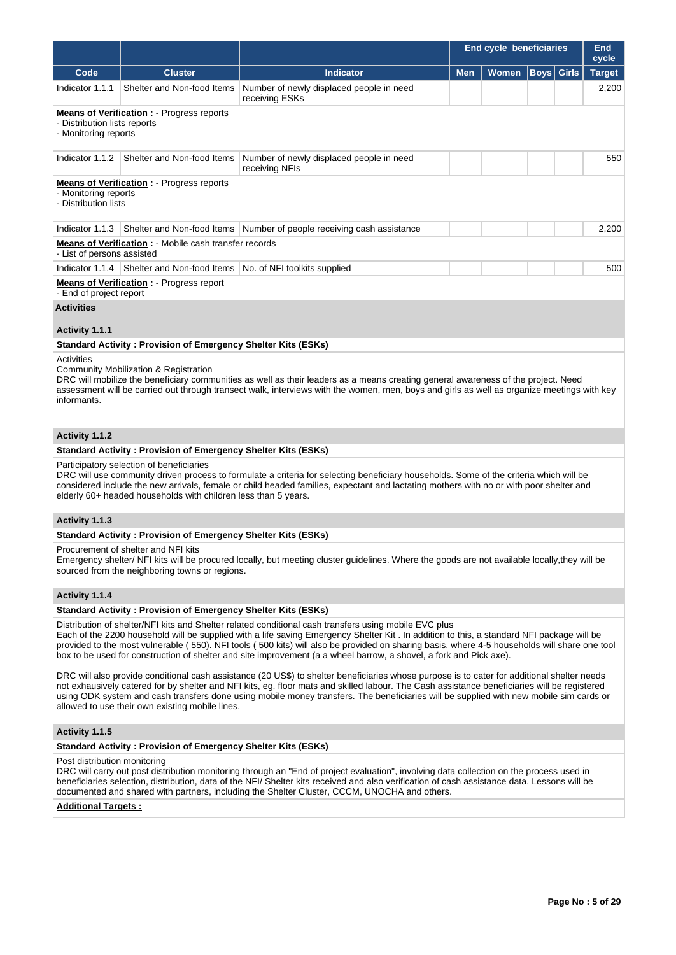|                                                                                                                                                                                                                                                                                                                                                                                                                                                                                          |                                                                                                                                                                                                                                                                                                                                                                                                                                                                                                                           |                                                                                                                                                                                                                                                                                          | <b>End cycle beneficiaries</b> | <b>End</b><br>cycle |             |       |               |
|------------------------------------------------------------------------------------------------------------------------------------------------------------------------------------------------------------------------------------------------------------------------------------------------------------------------------------------------------------------------------------------------------------------------------------------------------------------------------------------|---------------------------------------------------------------------------------------------------------------------------------------------------------------------------------------------------------------------------------------------------------------------------------------------------------------------------------------------------------------------------------------------------------------------------------------------------------------------------------------------------------------------------|------------------------------------------------------------------------------------------------------------------------------------------------------------------------------------------------------------------------------------------------------------------------------------------|--------------------------------|---------------------|-------------|-------|---------------|
| Code                                                                                                                                                                                                                                                                                                                                                                                                                                                                                     | <b>Cluster</b>                                                                                                                                                                                                                                                                                                                                                                                                                                                                                                            | <b>Indicator</b>                                                                                                                                                                                                                                                                         | <b>Men</b>                     | <b>Women</b>        | <b>Boys</b> | Girls | <b>Target</b> |
| Indicator 1.1.1                                                                                                                                                                                                                                                                                                                                                                                                                                                                          | Shelter and Non-food Items                                                                                                                                                                                                                                                                                                                                                                                                                                                                                                | Number of newly displaced people in need<br>receiving ESKs                                                                                                                                                                                                                               |                                |                     |             |       | 2,200         |
| - Distribution lists reports<br>- Monitoring reports                                                                                                                                                                                                                                                                                                                                                                                                                                     | <b>Means of Verification:</b> - Progress reports                                                                                                                                                                                                                                                                                                                                                                                                                                                                          |                                                                                                                                                                                                                                                                                          |                                |                     |             |       |               |
| Indicator 1.1.2                                                                                                                                                                                                                                                                                                                                                                                                                                                                          | Shelter and Non-food Items                                                                                                                                                                                                                                                                                                                                                                                                                                                                                                | Number of newly displaced people in need<br>receiving NFIs                                                                                                                                                                                                                               |                                |                     |             |       | 550           |
| - Monitoring reports<br>- Distribution lists                                                                                                                                                                                                                                                                                                                                                                                                                                             | <b>Means of Verification:</b> - Progress reports                                                                                                                                                                                                                                                                                                                                                                                                                                                                          |                                                                                                                                                                                                                                                                                          |                                |                     |             |       |               |
| Indicator 1.1.3                                                                                                                                                                                                                                                                                                                                                                                                                                                                          | Shelter and Non-food Items                                                                                                                                                                                                                                                                                                                                                                                                                                                                                                | Number of people receiving cash assistance                                                                                                                                                                                                                                               |                                |                     |             |       | 2,200         |
| - List of persons assisted                                                                                                                                                                                                                                                                                                                                                                                                                                                               | <b>Means of Verification : - Mobile cash transfer records</b>                                                                                                                                                                                                                                                                                                                                                                                                                                                             |                                                                                                                                                                                                                                                                                          |                                |                     |             |       |               |
| Indicator $1.1.4$                                                                                                                                                                                                                                                                                                                                                                                                                                                                        | Shelter and Non-food Items   No. of NFI toolkits supplied                                                                                                                                                                                                                                                                                                                                                                                                                                                                 |                                                                                                                                                                                                                                                                                          |                                |                     |             |       | 500           |
| - End of project report                                                                                                                                                                                                                                                                                                                                                                                                                                                                  | <b>Means of Verification:</b> - Progress report                                                                                                                                                                                                                                                                                                                                                                                                                                                                           |                                                                                                                                                                                                                                                                                          |                                |                     |             |       |               |
| <b>Activities</b>                                                                                                                                                                                                                                                                                                                                                                                                                                                                        |                                                                                                                                                                                                                                                                                                                                                                                                                                                                                                                           |                                                                                                                                                                                                                                                                                          |                                |                     |             |       |               |
| Activity 1.1.1                                                                                                                                                                                                                                                                                                                                                                                                                                                                           |                                                                                                                                                                                                                                                                                                                                                                                                                                                                                                                           |                                                                                                                                                                                                                                                                                          |                                |                     |             |       |               |
|                                                                                                                                                                                                                                                                                                                                                                                                                                                                                          | <b>Standard Activity: Provision of Emergency Shelter Kits (ESKs)</b>                                                                                                                                                                                                                                                                                                                                                                                                                                                      |                                                                                                                                                                                                                                                                                          |                                |                     |             |       |               |
| informants.                                                                                                                                                                                                                                                                                                                                                                                                                                                                              | Community Mobilization & Registration                                                                                                                                                                                                                                                                                                                                                                                                                                                                                     | DRC will mobilize the beneficiary communities as well as their leaders as a means creating general awareness of the project. Need<br>assessment will be carried out through transect walk, interviews with the women, men, boys and girls as well as organize meetings with key          |                                |                     |             |       |               |
| Activity 1.1.2                                                                                                                                                                                                                                                                                                                                                                                                                                                                           |                                                                                                                                                                                                                                                                                                                                                                                                                                                                                                                           |                                                                                                                                                                                                                                                                                          |                                |                     |             |       |               |
|                                                                                                                                                                                                                                                                                                                                                                                                                                                                                          | <b>Standard Activity: Provision of Emergency Shelter Kits (ESKs)</b>                                                                                                                                                                                                                                                                                                                                                                                                                                                      |                                                                                                                                                                                                                                                                                          |                                |                     |             |       |               |
|                                                                                                                                                                                                                                                                                                                                                                                                                                                                                          | Participatory selection of beneficiaries<br>elderly 60+ headed households with children less than 5 years.                                                                                                                                                                                                                                                                                                                                                                                                                | DRC will use community driven process to formulate a criteria for selecting beneficiary households. Some of the criteria which will be<br>considered include the new arrivals, female or child headed families, expectant and lactating mothers with no or with poor shelter and         |                                |                     |             |       |               |
| Activity 1.1.3                                                                                                                                                                                                                                                                                                                                                                                                                                                                           |                                                                                                                                                                                                                                                                                                                                                                                                                                                                                                                           |                                                                                                                                                                                                                                                                                          |                                |                     |             |       |               |
|                                                                                                                                                                                                                                                                                                                                                                                                                                                                                          | Standard Activity: Provision of Emergency Shelter Kits (ESKs)                                                                                                                                                                                                                                                                                                                                                                                                                                                             |                                                                                                                                                                                                                                                                                          |                                |                     |             |       |               |
|                                                                                                                                                                                                                                                                                                                                                                                                                                                                                          | Procurement of shelter and NFI kits<br>sourced from the neighboring towns or regions.                                                                                                                                                                                                                                                                                                                                                                                                                                     | Emergency shelter/ NFI kits will be procured locally, but meeting cluster guidelines. Where the goods are not available locally, they will be                                                                                                                                            |                                |                     |             |       |               |
| Activity 1.1.4                                                                                                                                                                                                                                                                                                                                                                                                                                                                           |                                                                                                                                                                                                                                                                                                                                                                                                                                                                                                                           |                                                                                                                                                                                                                                                                                          |                                |                     |             |       |               |
|                                                                                                                                                                                                                                                                                                                                                                                                                                                                                          | <b>Standard Activity: Provision of Emergency Shelter Kits (ESKs)</b>                                                                                                                                                                                                                                                                                                                                                                                                                                                      |                                                                                                                                                                                                                                                                                          |                                |                     |             |       |               |
|                                                                                                                                                                                                                                                                                                                                                                                                                                                                                          | Distribution of shelter/NFI kits and Shelter related conditional cash transfers using mobile EVC plus<br>Each of the 2200 household will be supplied with a life saving Emergency Shelter Kit . In addition to this, a standard NFI package will be<br>provided to the most vulnerable (550). NFI tools (500 kits) will also be provided on sharing basis, where 4-5 households will share one tool<br>box to be used for construction of shelter and site improvement (a a wheel barrow, a shovel, a fork and Pick axe). |                                                                                                                                                                                                                                                                                          |                                |                     |             |       |               |
| DRC will also provide conditional cash assistance (20 US\$) to shelter beneficiaries whose purpose is to cater for additional shelter needs<br>not exhausively catered for by shelter and NFI kits, eg. floor mats and skilled labour. The Cash assistance beneficiaries will be registered<br>using ODK system and cash transfers done using mobile money transfers. The beneficiaries will be supplied with new mobile sim cards or<br>allowed to use their own existing mobile lines. |                                                                                                                                                                                                                                                                                                                                                                                                                                                                                                                           |                                                                                                                                                                                                                                                                                          |                                |                     |             |       |               |
| Activity 1.1.5                                                                                                                                                                                                                                                                                                                                                                                                                                                                           |                                                                                                                                                                                                                                                                                                                                                                                                                                                                                                                           |                                                                                                                                                                                                                                                                                          |                                |                     |             |       |               |
|                                                                                                                                                                                                                                                                                                                                                                                                                                                                                          | <b>Standard Activity: Provision of Emergency Shelter Kits (ESKs)</b>                                                                                                                                                                                                                                                                                                                                                                                                                                                      |                                                                                                                                                                                                                                                                                          |                                |                     |             |       |               |
| Post distribution monitoring                                                                                                                                                                                                                                                                                                                                                                                                                                                             |                                                                                                                                                                                                                                                                                                                                                                                                                                                                                                                           | DRC will carry out post distribution monitoring through an "End of project evaluation", involving data collection on the process used in<br>beneficiaries selection, distribution, data of the NFI/ Shelter kits received and also verification of cash assistance data. Lessons will be |                                |                     |             |       |               |

documented and shared with partners, including the Shelter Cluster, CCCM, UNOCHA and others.

# **Additional Targets :**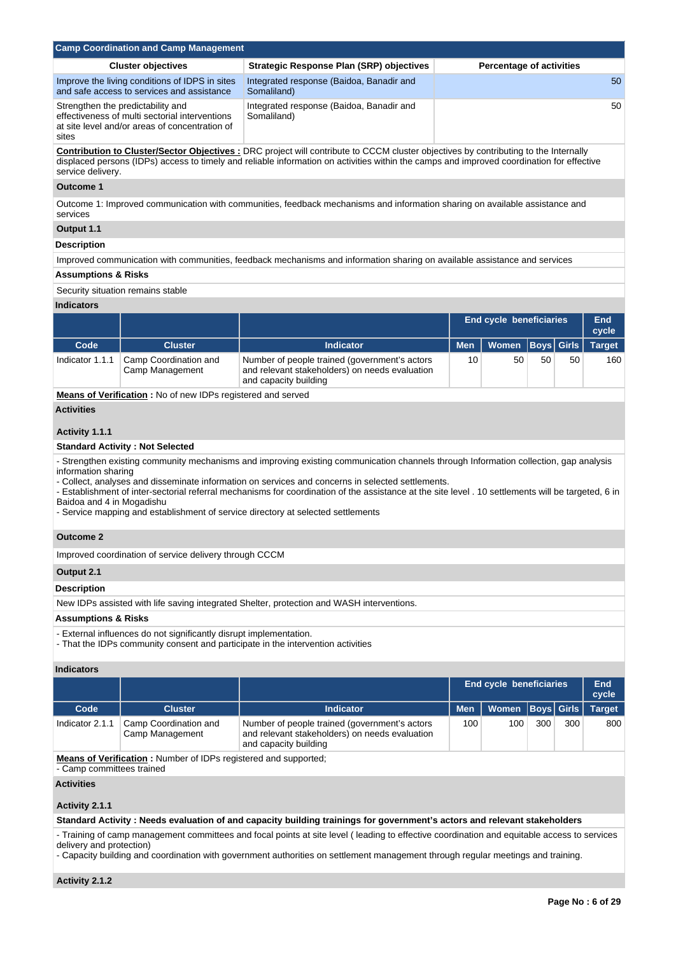|                                                  | <b>Camp Coordination and Camp Management</b>                                                                                                                                                           |                                                                                                                                                                                                                                                                                                                                                                                                                                                                                       |            |                                 |                      |              |                     |  |
|--------------------------------------------------|--------------------------------------------------------------------------------------------------------------------------------------------------------------------------------------------------------|---------------------------------------------------------------------------------------------------------------------------------------------------------------------------------------------------------------------------------------------------------------------------------------------------------------------------------------------------------------------------------------------------------------------------------------------------------------------------------------|------------|---------------------------------|----------------------|--------------|---------------------|--|
|                                                  | <b>Cluster objectives</b>                                                                                                                                                                              | <b>Strategic Response Plan (SRP) objectives</b>                                                                                                                                                                                                                                                                                                                                                                                                                                       |            | <b>Percentage of activities</b> |                      |              |                     |  |
|                                                  | Improve the living conditions of IDPS in sites<br>and safe access to services and assistance                                                                                                           | Integrated response (Baidoa, Banadir and<br>Somaliland)                                                                                                                                                                                                                                                                                                                                                                                                                               |            |                                 |                      |              | 50                  |  |
| sites                                            | Integrated response (Baidoa, Banadir and<br>50<br>Strengthen the predictability and<br>effectiveness of multi sectorial interventions<br>Somaliland)<br>at site level and/or areas of concentration of |                                                                                                                                                                                                                                                                                                                                                                                                                                                                                       |            |                                 |                      |              |                     |  |
| service delivery.                                |                                                                                                                                                                                                        | Contribution to Cluster/Sector Objectives : DRC project will contribute to CCCM cluster objectives by contributing to the Internally<br>displaced persons (IDPs) access to timely and reliable information on activities within the camps and improved coordination for effective                                                                                                                                                                                                     |            |                                 |                      |              |                     |  |
| <b>Outcome 1</b>                                 |                                                                                                                                                                                                        |                                                                                                                                                                                                                                                                                                                                                                                                                                                                                       |            |                                 |                      |              |                     |  |
| services                                         |                                                                                                                                                                                                        | Outcome 1: Improved communication with communities, feedback mechanisms and information sharing on available assistance and                                                                                                                                                                                                                                                                                                                                                           |            |                                 |                      |              |                     |  |
| Output 1.1                                       |                                                                                                                                                                                                        |                                                                                                                                                                                                                                                                                                                                                                                                                                                                                       |            |                                 |                      |              |                     |  |
| <b>Description</b>                               |                                                                                                                                                                                                        |                                                                                                                                                                                                                                                                                                                                                                                                                                                                                       |            |                                 |                      |              |                     |  |
|                                                  |                                                                                                                                                                                                        | Improved communication with communities, feedback mechanisms and information sharing on available assistance and services                                                                                                                                                                                                                                                                                                                                                             |            |                                 |                      |              |                     |  |
| <b>Assumptions &amp; Risks</b>                   |                                                                                                                                                                                                        |                                                                                                                                                                                                                                                                                                                                                                                                                                                                                       |            |                                 |                      |              |                     |  |
|                                                  | Security situation remains stable                                                                                                                                                                      |                                                                                                                                                                                                                                                                                                                                                                                                                                                                                       |            |                                 |                      |              |                     |  |
| <b>Indicators</b>                                |                                                                                                                                                                                                        |                                                                                                                                                                                                                                                                                                                                                                                                                                                                                       |            |                                 |                      |              |                     |  |
|                                                  |                                                                                                                                                                                                        |                                                                                                                                                                                                                                                                                                                                                                                                                                                                                       |            | <b>End cycle beneficiaries</b>  |                      |              | <b>End</b><br>cycle |  |
| Code                                             | <b>Cluster</b>                                                                                                                                                                                         | <b>Indicator</b>                                                                                                                                                                                                                                                                                                                                                                                                                                                                      | <b>Men</b> | Women                           | $\vert$ Boys $\vert$ | <b>Girls</b> | <b>Target</b>       |  |
| Indicator 1.1.1                                  | Camp Coordination and<br>Camp Management                                                                                                                                                               | Number of people trained (government's actors<br>and relevant stakeholders) on needs evaluation<br>and capacity building                                                                                                                                                                                                                                                                                                                                                              | 10         | 50                              | 50                   | 50           | 160                 |  |
|                                                  | Means of Verification: No of new IDPs registered and served                                                                                                                                            |                                                                                                                                                                                                                                                                                                                                                                                                                                                                                       |            |                                 |                      |              |                     |  |
| <b>Activities</b>                                |                                                                                                                                                                                                        |                                                                                                                                                                                                                                                                                                                                                                                                                                                                                       |            |                                 |                      |              |                     |  |
| Activity 1.1.1                                   |                                                                                                                                                                                                        |                                                                                                                                                                                                                                                                                                                                                                                                                                                                                       |            |                                 |                      |              |                     |  |
|                                                  | <b>Standard Activity: Not Selected</b>                                                                                                                                                                 |                                                                                                                                                                                                                                                                                                                                                                                                                                                                                       |            |                                 |                      |              |                     |  |
| information sharing<br>Baidoa and 4 in Mogadishu |                                                                                                                                                                                                        | - Strengthen existing community mechanisms and improving existing communication channels through Information collection, gap analysis<br>- Collect, analyses and disseminate information on services and concerns in selected settlements.<br>- Establishment of inter-sectorial referral mechanisms for coordination of the assistance at the site level . 10 settlements will be targeted, 6 in<br>- Service mapping and establishment of service directory at selected settlements |            |                                 |                      |              |                     |  |
| <b>Outcome 2</b>                                 |                                                                                                                                                                                                        |                                                                                                                                                                                                                                                                                                                                                                                                                                                                                       |            |                                 |                      |              |                     |  |
|                                                  | Improved coordination of service delivery through CCCM                                                                                                                                                 |                                                                                                                                                                                                                                                                                                                                                                                                                                                                                       |            |                                 |                      |              |                     |  |
| Output 2.1                                       |                                                                                                                                                                                                        |                                                                                                                                                                                                                                                                                                                                                                                                                                                                                       |            |                                 |                      |              |                     |  |
| <b>Description</b>                               |                                                                                                                                                                                                        |                                                                                                                                                                                                                                                                                                                                                                                                                                                                                       |            |                                 |                      |              |                     |  |
|                                                  |                                                                                                                                                                                                        | New IDPs assisted with life saving integrated Shelter, protection and WASH interventions.                                                                                                                                                                                                                                                                                                                                                                                             |            |                                 |                      |              |                     |  |
| <b>Assumptions &amp; Risks</b>                   |                                                                                                                                                                                                        |                                                                                                                                                                                                                                                                                                                                                                                                                                                                                       |            |                                 |                      |              |                     |  |
|                                                  | - External influences do not significantly disrupt implementation.                                                                                                                                     | - That the IDPs community consent and participate in the intervention activities                                                                                                                                                                                                                                                                                                                                                                                                      |            |                                 |                      |              |                     |  |
| <b>Indicators</b>                                |                                                                                                                                                                                                        |                                                                                                                                                                                                                                                                                                                                                                                                                                                                                       |            |                                 |                      |              |                     |  |
|                                                  |                                                                                                                                                                                                        |                                                                                                                                                                                                                                                                                                                                                                                                                                                                                       |            | <b>End cycle beneficiaries</b>  |                      |              | <b>End</b><br>cycle |  |
| Code                                             | <b>Cluster</b>                                                                                                                                                                                         | <b>Indicator</b>                                                                                                                                                                                                                                                                                                                                                                                                                                                                      | <b>Men</b> | <b>Women</b>                    | <b>Boys</b>          | <b>Girls</b> | <b>Target</b>       |  |
| Indicator 2.1.1                                  | Camp Coordination and<br>Camp Management                                                                                                                                                               | Number of people trained (government's actors<br>and relevant stakeholders) on needs evaluation<br>and capacity building                                                                                                                                                                                                                                                                                                                                                              | 100        | 100                             | 300                  | 300          | 800                 |  |
| - Camp committees trained                        | Means of Verification: Number of IDPs registered and supported;                                                                                                                                        |                                                                                                                                                                                                                                                                                                                                                                                                                                                                                       |            |                                 |                      |              |                     |  |
| <b>Activities</b>                                |                                                                                                                                                                                                        |                                                                                                                                                                                                                                                                                                                                                                                                                                                                                       |            |                                 |                      |              |                     |  |
| Activity 2.1.1                                   |                                                                                                                                                                                                        |                                                                                                                                                                                                                                                                                                                                                                                                                                                                                       |            |                                 |                      |              |                     |  |
|                                                  |                                                                                                                                                                                                        | Standard Activity: Needs evaluation of and capacity building trainings for government's actors and relevant stakeholders                                                                                                                                                                                                                                                                                                                                                              |            |                                 |                      |              |                     |  |
|                                                  |                                                                                                                                                                                                        | - Training of camp management committees and focal points at site level (leading to effective coordination and equitable access to services                                                                                                                                                                                                                                                                                                                                           |            |                                 |                      |              |                     |  |

delivery and protection)

- Capacity building and coordination with government authorities on settlement management through regular meetings and training.

**Activity 2.1.2**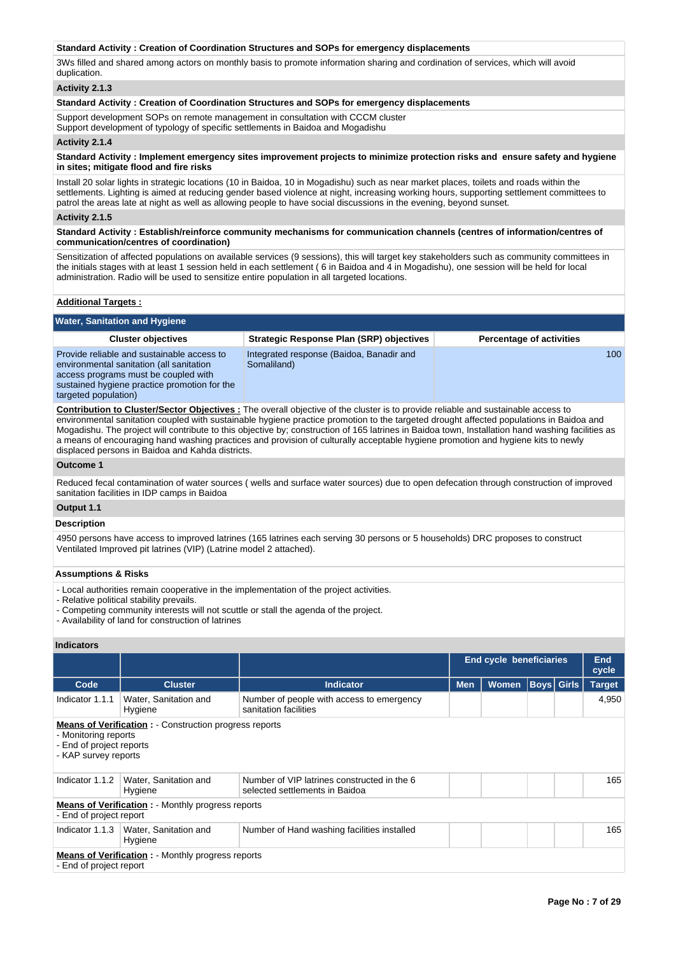# **Standard Activity : Creation of Coordination Structures and SOPs for emergency displacements**

3Ws filled and shared among actors on monthly basis to promote information sharing and cordination of services, which will avoid duplication.

# **Activity 2.1.3**

### **Standard Activity : Creation of Coordination Structures and SOPs for emergency displacements**

Support development SOPs on remote management in consultation with CCCM cluster Support development of typology of specific settlements in Baidoa and Mogadishu

### **Activity 2.1.4**

### **Standard Activity : Implement emergency sites improvement projects to minimize protection risks and ensure safety and hygiene in sites; mitigate flood and fire risks**

Install 20 solar lights in strategic locations (10 in Baidoa, 10 in Mogadishu) such as near market places, toilets and roads within the settlements. Lighting is aimed at reducing gender based violence at night, increasing working hours, supporting settlement committees to patrol the areas late at night as well as allowing people to have social discussions in the evening, beyond sunset.

#### **Activity 2.1.5**

### **Standard Activity : Establish/reinforce community mechanisms for communication channels (centres of information/centres of communication/centres of coordination)**

Sensitization of affected populations on available services (9 sessions), this will target key stakeholders such as community committees in the initials stages with at least 1 session held in each settlement ( 6 in Baidoa and 4 in Mogadishu), one session will be held for local administration. Radio will be used to sensitize entire population in all targeted locations.

#### **Additional Targets :**

| <b>Water, Sanitation and Hygiene</b>                                                                                                                                                                   |                                                         |                                 |
|--------------------------------------------------------------------------------------------------------------------------------------------------------------------------------------------------------|---------------------------------------------------------|---------------------------------|
| <b>Cluster objectives</b>                                                                                                                                                                              | Strategic Response Plan (SRP) objectives                | <b>Percentage of activities</b> |
| Provide reliable and sustainable access to<br>environmental sanitation (all sanitation<br>access programs must be coupled with<br>sustained hygiene practice promotion for the<br>targeted population) | Integrated response (Baidoa, Banadir and<br>Somaliland) | 100                             |

**Contribution to Cluster/Sector Objectives :** The overall objective of the cluster is to provide reliable and sustainable access to environmental sanitation coupled with sustainable hygiene practice promotion to the targeted drought affected populations in Baidoa and Mogadishu. The project will contribute to this objective by; construction of 165 latrines in Baidoa town, Installation hand washing facilities as a means of encouraging hand washing practices and provision of culturally acceptable hygiene promotion and hygiene kits to newly displaced persons in Baidoa and Kahda districts.

### **Outcome 1**

Reduced fecal contamination of water sources ( wells and surface water sources) due to open defecation through construction of improved sanitation facilities in IDP camps in Baidoa

# **Output 1.1**

# **Description**

4950 persons have access to improved latrines (165 latrines each serving 30 persons or 5 households) DRC proposes to construct Ventilated Improved pit latrines (VIP) (Latrine model 2 attached).

# **Assumptions & Risks**

- Local authorities remain cooperative in the implementation of the project activities.
- Relative political stability prevails.
- Competing community interests will not scuttle or stall the agenda of the project.
- Availability of land for construction of latrines

|                                                                                                                                          |                                                                                     |                                                                               |            | <b>End cycle beneficiaries</b> |  |             |               |  |
|------------------------------------------------------------------------------------------------------------------------------------------|-------------------------------------------------------------------------------------|-------------------------------------------------------------------------------|------------|--------------------------------|--|-------------|---------------|--|
| Code                                                                                                                                     | <b>Cluster</b>                                                                      | <b>Indicator</b>                                                              | <b>Men</b> | <b>Women</b>                   |  | Boys  Girls | <b>Target</b> |  |
| Indicator 1.1.1                                                                                                                          | Water, Sanitation and<br>Hygiene                                                    | Number of people with access to emergency<br>sanitation facilities            |            |                                |  |             | 4,950         |  |
| <b>Means of Verification :</b> Construction progress reports<br>- Monitoring reports<br>- End of project reports<br>- KAP survey reports |                                                                                     |                                                                               |            |                                |  |             |               |  |
| Indicator 1.1.2                                                                                                                          | Water, Sanitation and<br>Hygiene                                                    | Number of VIP latrines constructed in the 6<br>selected settlements in Baidoa |            |                                |  |             | 165           |  |
| - End of project report                                                                                                                  | <b>Means of Verification:</b> - Monthly progress reports                            |                                                                               |            |                                |  |             |               |  |
| Indicator 1.1.3                                                                                                                          | Water, Sanitation and<br>Hygiene                                                    | Number of Hand washing facilities installed                                   |            |                                |  |             | 165           |  |
|                                                                                                                                          | <b>Means of Verification:</b> - Monthly progress reports<br>- End of project report |                                                                               |            |                                |  |             |               |  |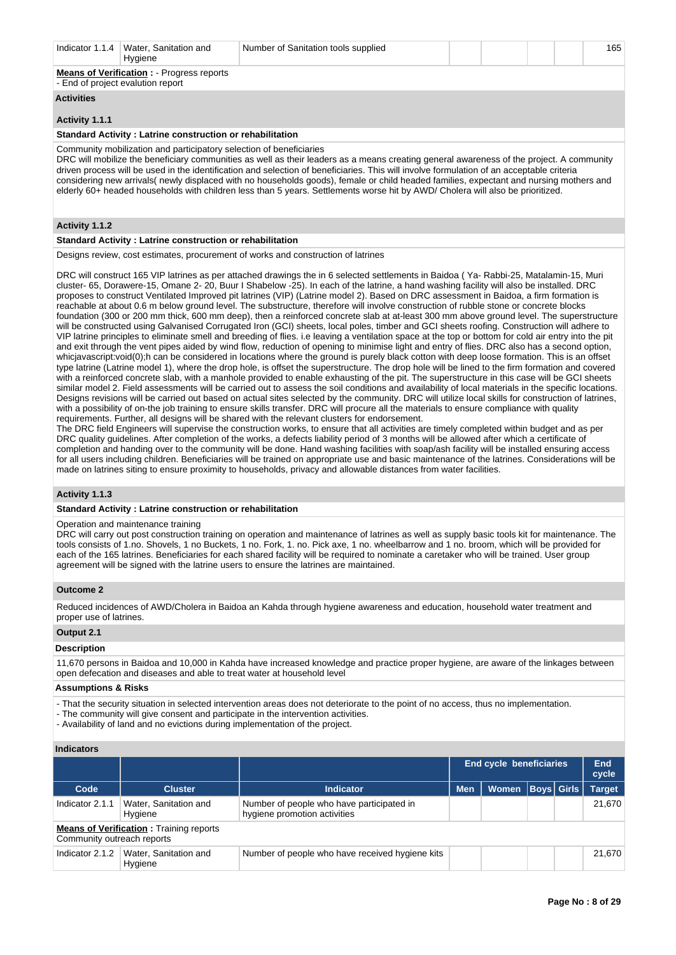| Indicator 1.1.4   | Water, Sanitation and<br>Hygiene                                                       | Number of Sanitation tools supplied |  |  | 165 |
|-------------------|----------------------------------------------------------------------------------------|-------------------------------------|--|--|-----|
|                   | <b>Means of Verification : - Progress reports</b><br>- End of project evalution report |                                     |  |  |     |
| <b>Activities</b> |                                                                                        |                                     |  |  |     |
| _______           |                                                                                        |                                     |  |  |     |

# **Activity 1.1.1**

# **Standard Activity : Latrine construction or rehabilitation**

Community mobilization and participatory selection of beneficiaries

DRC will mobilize the beneficiary communities as well as their leaders as a means creating general awareness of the project. A community driven process will be used in the identification and selection of beneficiaries. This will involve formulation of an acceptable criteria considering new arrivals( newly displaced with no households goods), female or child headed families, expectant and nursing mothers and elderly 60+ headed households with children less than 5 years. Settlements worse hit by AWD/ Cholera will also be prioritized.

# **Activity 1.1.2**

#### **Standard Activity : Latrine construction or rehabilitation**

Designs review, cost estimates, procurement of works and construction of latrines

DRC will construct 165 VIP latrines as per attached drawings the in 6 selected settlements in Baidoa ( Ya- Rabbi-25, Matalamin-15, Muri cluster- 65, Dorawere-15, Omane 2- 20, Buur I Shabelow -25). In each of the latrine, a hand washing facility will also be installed. DRC proposes to construct Ventilated Improved pit latrines (VIP) (Latrine model 2). Based on DRC assessment in Baidoa, a firm formation is reachable at about 0.6 m below ground level. The substructure, therefore will involve construction of rubble stone or concrete blocks foundation (300 or 200 mm thick, 600 mm deep), then a reinforced concrete slab at at-least 300 mm above ground level. The superstructure will be constructed using Galvanised Corrugated Iron (GCI) sheets, local poles, timber and GCI sheets roofing. Construction will adhere to VIP latrine principles to eliminate smell and breeding of flies. i.e leaving a ventilation space at the top or bottom for cold air entry into the pit and exit through the vent pipes aided by wind flow, reduction of opening to minimise light and entry of flies. DRC also has a second option, whicjavascript:void(0);h can be considered in locations where the ground is purely black cotton with deep loose formation. This is an offset type latrine (Latrine model 1), where the drop hole, is offset the superstructure. The drop hole will be lined to the firm formation and covered with a reinforced concrete slab, with a manhole provided to enable exhausting of the pit. The superstructure in this case will be GCI sheets similar model 2. Field assessments will be carried out to assess the soil conditions and availability of local materials in the specific locations. Designs revisions will be carried out based on actual sites selected by the community. DRC will utilize local skills for construction of latrines, with a possibility of on-the job training to ensure skills transfer. DRC will procure all the materials to ensure compliance with quality requirements. Further, all designs will be shared with the relevant clusters for endorsement.

The DRC field Engineers will supervise the construction works, to ensure that all activities are timely completed within budget and as per DRC quality guidelines. After completion of the works, a defects liability period of 3 months will be allowed after which a certificate of completion and handing over to the community will be done. Hand washing facilities with soap/ash facility will be installed ensuring access for all users including children. Beneficiaries will be trained on appropriate use and basic maintenance of the latrines. Considerations will be made on latrines siting to ensure proximity to households, privacy and allowable distances from water facilities.

# **Activity 1.1.3**

#### **Standard Activity : Latrine construction or rehabilitation**

### Operation and maintenance training

DRC will carry out post construction training on operation and maintenance of latrines as well as supply basic tools kit for maintenance. The tools consists of 1.no. Shovels, 1 no Buckets, 1 no. Fork, 1. no. Pick axe, 1 no. wheelbarrow and 1 no. broom, which will be provided for each of the 165 latrines. Beneficiaries for each shared facility will be required to nominate a caretaker who will be trained. User group agreement will be signed with the latrine users to ensure the latrines are maintained.

# **Outcome 2**

Reduced incidences of AWD/Cholera in Baidoa an Kahda through hygiene awareness and education, household water treatment and proper use of latrines.

#### **Output 2.1**

### **Description**

11,670 persons in Baidoa and 10,000 in Kahda have increased knowledge and practice proper hygiene, are aware of the linkages between open defecation and diseases and able to treat water at household level

# **Assumptions & Risks**

- That the security situation in selected intervention areas does not deteriorate to the point of no access, thus no implementation.

- The community will give consent and participate in the intervention activities.
- Availability of land and no evictions during implementation of the project.

|                            |                                                |                                                                           | <b>End cycle beneficiaries</b> |                      |  | End<br>cycle |               |
|----------------------------|------------------------------------------------|---------------------------------------------------------------------------|--------------------------------|----------------------|--|--------------|---------------|
| Code                       | <b>Cluster</b>                                 | <b>Indicator</b>                                                          | <b>Men</b>                     | Women   Boys   Girls |  |              | <b>Target</b> |
| Indicator 2.1.1            | Water, Sanitation and<br>Hygiene               | Number of people who have participated in<br>hygiene promotion activities |                                |                      |  |              | 21,670        |
| Community outreach reports | <b>Means of Verification:</b> Training reports |                                                                           |                                |                      |  |              |               |
| Indicator 2.1.2            | Water, Sanitation and<br>Hygiene               | Number of people who have received hygiene kits                           |                                |                      |  |              | 21.670        |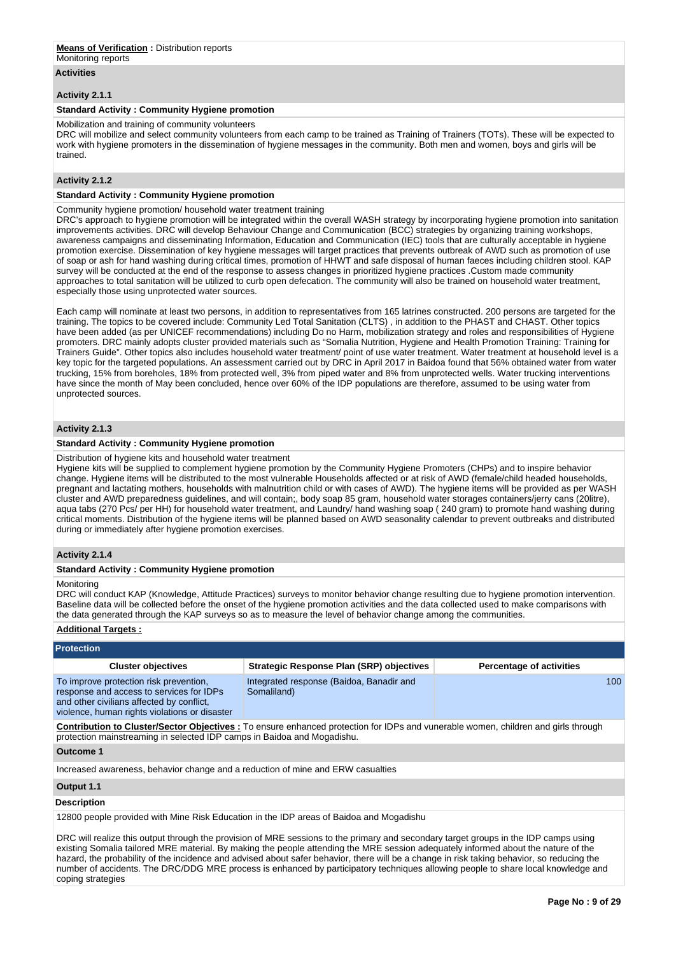#### **Means of Verification :** Distribution reports Monitoring reports

# **Activities**

# **Activity 2.1.1**

# **Standard Activity : Community Hygiene promotion**

Mobilization and training of community volunteers

DRC will mobilize and select community volunteers from each camp to be trained as Training of Trainers (TOTs). These will be expected to work with hygiene promoters in the dissemination of hygiene messages in the community. Both men and women, boys and girls will be trained.

# **Activity 2.1.2**

# **Standard Activity : Community Hygiene promotion**

Community hygiene promotion/ household water treatment training

DRC's approach to hygiene promotion will be integrated within the overall WASH strategy by incorporating hygiene promotion into sanitation improvements activities. DRC will develop Behaviour Change and Communication (BCC) strategies by organizing training workshops, awareness campaigns and disseminating Information, Education and Communication (IEC) tools that are culturally acceptable in hygiene promotion exercise. Dissemination of key hygiene messages will target practices that prevents outbreak of AWD such as promotion of use of soap or ash for hand washing during critical times, promotion of HHWT and safe disposal of human faeces including children stool. KAP survey will be conducted at the end of the response to assess changes in prioritized hygiene practices .Custom made community approaches to total sanitation will be utilized to curb open defecation. The community will also be trained on household water treatment, especially those using unprotected water sources.

Each camp will nominate at least two persons, in addition to representatives from 165 latrines constructed. 200 persons are targeted for the training. The topics to be covered include: Community Led Total Sanitation (CLTS) , in addition to the PHAST and CHAST. Other topics have been added (as per UNICEF recommendations) including Do no Harm, mobilization strategy and roles and responsibilities of Hygiene promoters. DRC mainly adopts cluster provided materials such as "Somalia Nutrition, Hygiene and Health Promotion Training: Training for Trainers Guide". Other topics also includes household water treatment/ point of use water treatment. Water treatment at household level is a key topic for the targeted populations. An assessment carried out by DRC in April 2017 in Baidoa found that 56% obtained water from water trucking, 15% from boreholes, 18% from protected well, 3% from piped water and 8% from unprotected wells. Water trucking interventions have since the month of May been concluded, hence over 60% of the IDP populations are therefore, assumed to be using water from unprotected sources.

# **Activity 2.1.3**

## **Standard Activity : Community Hygiene promotion**

Distribution of hygiene kits and household water treatment

Hygiene kits will be supplied to complement hygiene promotion by the Community Hygiene Promoters (CHPs) and to inspire behavior change. Hygiene items will be distributed to the most vulnerable Households affected or at risk of AWD (female/child headed households, pregnant and lactating mothers, households with malnutrition child or with cases of AWD). The hygiene items will be provided as per WASH cluster and AWD preparedness guidelines, and will contain;, body soap 85 gram, household water storages containers/jerry cans (20litre), aqua tabs (270 Pcs/ per HH) for household water treatment, and Laundry/ hand washing soap ( 240 gram) to promote hand washing during critical moments. Distribution of the hygiene items will be planned based on AWD seasonality calendar to prevent outbreaks and distributed during or immediately after hygiene promotion exercises.

# **Activity 2.1.4**

#### **Standard Activity : Community Hygiene promotion**

Monitoring

DRC will conduct KAP (Knowledge, Attitude Practices) surveys to monitor behavior change resulting due to hygiene promotion intervention. Baseline data will be collected before the onset of the hygiene promotion activities and the data collected used to make comparisons with the data generated through the KAP surveys so as to measure the level of behavior change among the communities.

# **Additional Targets :**

| <b>Protection</b>                                                                                                                                                                |                                                                                                                                          |                                 |
|----------------------------------------------------------------------------------------------------------------------------------------------------------------------------------|------------------------------------------------------------------------------------------------------------------------------------------|---------------------------------|
| <b>Cluster objectives</b>                                                                                                                                                        | <b>Strategic Response Plan (SRP) objectives</b>                                                                                          | <b>Percentage of activities</b> |
| To improve protection risk prevention,<br>response and access to services for IDPs<br>and other civilians affected by conflict,<br>violence, human rights violations or disaster | Integrated response (Baidoa, Banadir and<br>Somaliland)                                                                                  | 100                             |
| protection mainstreaming in selected IDP camps in Baidoa and Mogadishu.                                                                                                          | <b>Contribution to Cluster/Sector Objectives:</b> To ensure enhanced protection for IDPs and vunerable women, children and girls through |                                 |

#### **Outcome 1**

Increased awareness, behavior change and a reduction of mine and ERW casualties

## **Output 1.1**

#### **Description**

12800 people provided with Mine Risk Education in the IDP areas of Baidoa and Mogadishu

DRC will realize this output through the provision of MRE sessions to the primary and secondary target groups in the IDP camps using existing Somalia tailored MRE material. By making the people attending the MRE session adequately informed about the nature of the hazard, the probability of the incidence and advised about safer behavior, there will be a change in risk taking behavior, so reducing the number of accidents. The DRC/DDG MRE process is enhanced by participatory techniques allowing people to share local knowledge and coping strategies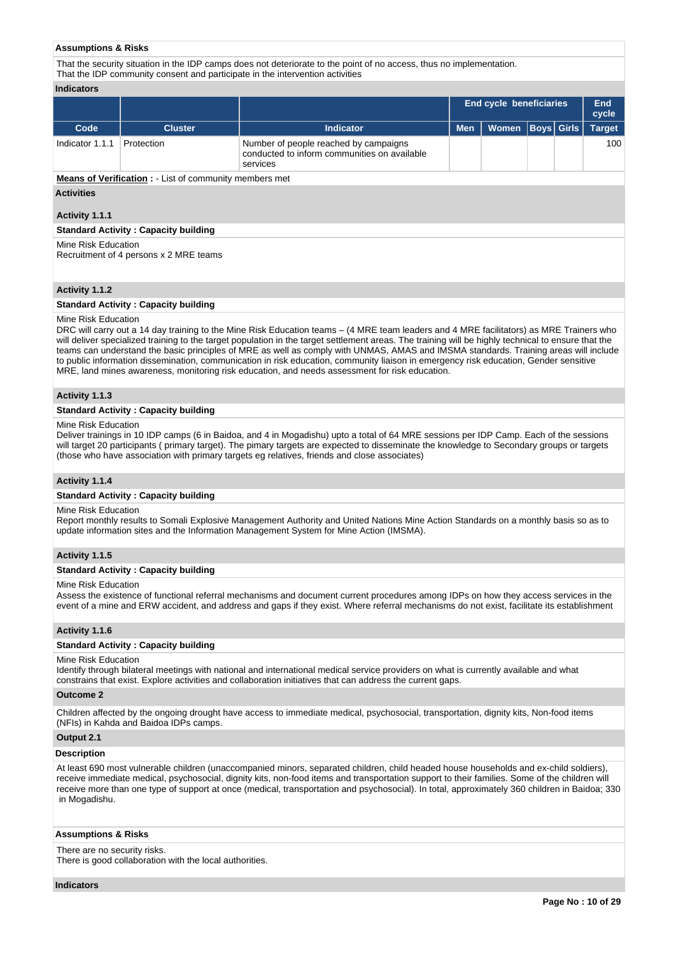### **Assumptions & Risks**

That the security situation in the IDP camps does not deteriorate to the point of no access, thus no implementation. That the IDP community consent and participate in the intervention activities

#### **Indicators**

|                 |                |                                                                                                   |            | <b>End cycle beneficiaries</b> |  |  |               |
|-----------------|----------------|---------------------------------------------------------------------------------------------------|------------|--------------------------------|--|--|---------------|
| Code            | <b>Cluster</b> | Indicator                                                                                         | <b>Men</b> | Women   Boys   Girls           |  |  | <b>Target</b> |
| Indicator 1.1.1 | Protection     | Number of people reached by campaigns<br>conducted to inform communities on available<br>services |            |                                |  |  | 100           |

**Means of Verification :** - List of community members met

### **Activities**

### **Activity 1.1.1**

# **Standard Activity : Capacity building**

Mine Risk Education Recruitment of 4 persons x 2 MRE teams

# **Activity 1.1.2**

## **Standard Activity : Capacity building**

# Mine Risk Education

DRC will carry out a 14 day training to the Mine Risk Education teams – (4 MRE team leaders and 4 MRE facilitators) as MRE Trainers who will deliver specialized training to the target population in the target settlement areas. The training will be highly technical to ensure that the teams can understand the basic principles of MRE as well as comply with UNMAS, AMAS and IMSMA standards. Training areas will include to public information dissemination, communication in risk education, community liaison in emergency risk education, Gender sensitive MRE, land mines awareness, monitoring risk education, and needs assessment for risk education.

#### **Activity 1.1.3**

#### **Standard Activity : Capacity building**

#### Mine Risk Education

Deliver trainings in 10 IDP camps (6 in Baidoa, and 4 in Mogadishu) upto a total of 64 MRE sessions per IDP Camp. Each of the sessions will target 20 participants ( primary target). The pimary targets are expected to disseminate the knowledge to Secondary groups or targets (those who have association with primary targets eg relatives, friends and close associates)

### **Activity 1.1.4**

#### **Standard Activity : Capacity building**

#### Mine Risk Education

Report monthly results to Somali Explosive Management Authority and United Nations Mine Action Standards on a monthly basis so as to update information sites and the Information Management System for Mine Action (IMSMA).

#### **Activity 1.1.5**

#### **Standard Activity : Capacity building**

#### Mine Risk Education

Assess the existence of functional referral mechanisms and document current procedures among IDPs on how they access services in the event of a mine and ERW accident, and address and gaps if they exist. Where referral mechanisms do not exist, facilitate its establishment

# **Activity 1.1.6**

#### **Standard Activity : Capacity building**

#### Mine Risk Education

Identify through bilateral meetings with national and international medical service providers on what is currently available and what constrains that exist. Explore activities and collaboration initiatives that can address the current gaps.

# **Outcome 2**

Children affected by the ongoing drought have access to immediate medical, psychosocial, transportation, dignity kits, Non-food items (NFIs) in Kahda and Baidoa IDPs camps.

# **Output 2.1**

# **Description**

At least 690 most vulnerable children (unaccompanied minors, separated children, child headed house households and ex-child soldiers), receive immediate medical, psychosocial, dignity kits, non-food items and transportation support to their families. Some of the children will receive more than one type of support at once (medical, transportation and psychosocial). In total, approximately 360 children in Baidoa; 330 in Mogadishu.

#### **Assumptions & Risks**

There are no security risks.

There is good collaboration with the local authorities.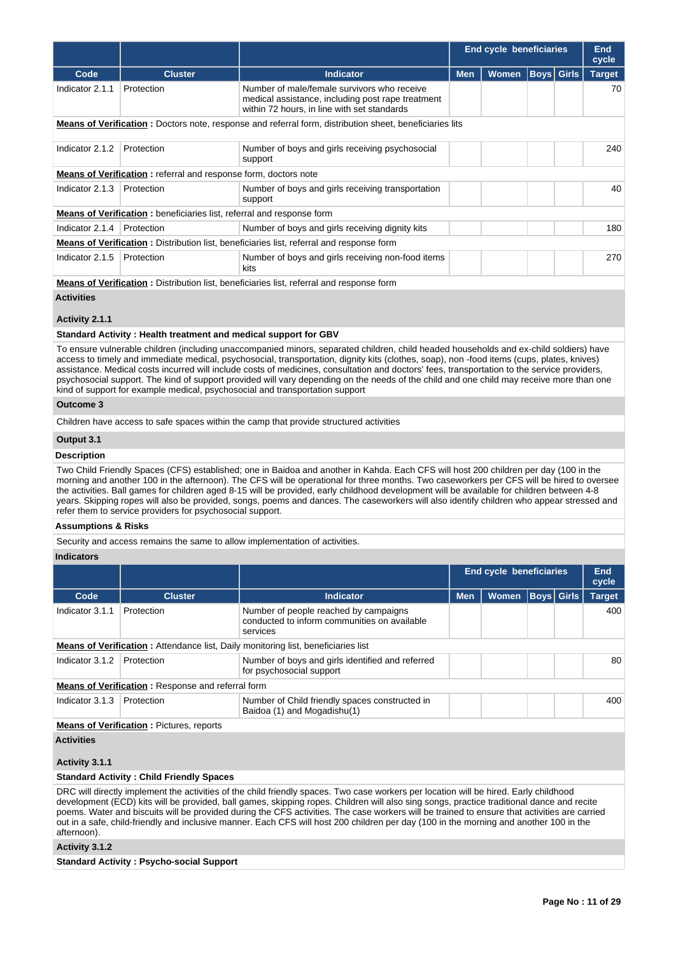|                 |                                                                                                 |                                                                                                                                                 | <b>End cycle beneficiaries</b> |              |  |                   | <b>End</b><br>cycle |
|-----------------|-------------------------------------------------------------------------------------------------|-------------------------------------------------------------------------------------------------------------------------------------------------|--------------------------------|--------------|--|-------------------|---------------------|
| Code            | <b>Cluster</b>                                                                                  | <b>Indicator</b>                                                                                                                                | <b>Men</b>                     | <b>Women</b> |  | <b>Boys Girls</b> | <b>Target</b>       |
| Indicator 2.1.1 | Protection                                                                                      | Number of male/female survivors who receive<br>medical assistance, including post rape treatment<br>within 72 hours, in line with set standards |                                |              |  |                   | 70                  |
|                 |                                                                                                 | <b>Means of Verification</b> : Doctors note, response and referral form, distribution sheet, beneficiaries lits                                 |                                |              |  |                   |                     |
| Indicator 2.1.2 | Protection                                                                                      | Number of boys and girls receiving psychosocial<br>support                                                                                      |                                |              |  |                   | 240                 |
|                 | <b>Means of Verification:</b> referral and response form, doctors note                          |                                                                                                                                                 |                                |              |  |                   |                     |
| Indicator 2.1.3 | Protection                                                                                      | Number of boys and girls receiving transportation<br>support                                                                                    |                                |              |  |                   | 40                  |
|                 | <b>Means of Verification:</b> beneficiaries list, referral and response form                    |                                                                                                                                                 |                                |              |  |                   |                     |
| Indicator 2.1.4 | Protection                                                                                      | Number of boys and girls receiving dignity kits                                                                                                 |                                |              |  |                   | 180                 |
|                 | <b>Means of Verification:</b> Distribution list, beneficiaries list, referral and response form |                                                                                                                                                 |                                |              |  |                   |                     |
| Indicator 2.1.5 | Protection                                                                                      | Number of boys and girls receiving non-food items<br>kits                                                                                       |                                |              |  |                   | 270                 |
|                 |                                                                                                 | <b>Means of Verification:</b> Distribution list, beneficiaries list, referral and response form                                                 |                                |              |  |                   |                     |

# **Activities**

# **Activity 2.1.1**

#### **Standard Activity : Health treatment and medical support for GBV**

To ensure vulnerable children (including unaccompanied minors, separated children, child headed households and ex-child soldiers) have access to timely and immediate medical, psychosocial, transportation, dignity kits (clothes, soap), non -food items (cups, plates, knives) assistance. Medical costs incurred will include costs of medicines, consultation and doctors' fees, transportation to the service providers, psychosocial support. The kind of support provided will vary depending on the needs of the child and one child may receive more than one kind of support for example medical, psychosocial and transportation support

# **Outcome 3**

Children have access to safe spaces within the camp that provide structured activities

# **Output 3.1**

# **Description**

Two Child Friendly Spaces (CFS) established; one in Baidoa and another in Kahda. Each CFS will host 200 children per day (100 in the morning and another 100 in the afternoon). The CFS will be operational for three months. Two caseworkers per CFS will be hired to oversee the activities. Ball games for children aged 8-15 will be provided, early childhood development will be available for children between 4-8 years. Skipping ropes will also be provided, songs, poems and dances. The caseworkers will also identify children who appear stressed and refer them to service providers for psychosocial support.

### **Assumptions & Risks**

Security and access remains the same to allow implementation of activities.

#### **Indicators**

|                 |                                                          |                                                                                                   |            | End cycle beneficiaries |                   |  |               |
|-----------------|----------------------------------------------------------|---------------------------------------------------------------------------------------------------|------------|-------------------------|-------------------|--|---------------|
| Code            | <b>Cluster</b>                                           | <b>Indicator</b>                                                                                  | <b>Men</b> | <b>Women</b>            | <b>Boys</b> Girls |  | <b>Target</b> |
| Indicator 3.1.1 | Protection                                               | Number of people reached by campaigns<br>conducted to inform communities on available<br>services |            |                         |                   |  | 400           |
|                 |                                                          | <b>Means of Verification:</b> Attendance list, Daily monitoring list, beneficiaries list          |            |                         |                   |  |               |
| Indicator 3.1.2 | Protection                                               | Number of boys and girls identified and referred<br>for psychosocial support                      |            |                         |                   |  | 80            |
|                 | <b>Means of Verification:</b> Response and referral form |                                                                                                   |            |                         |                   |  |               |
| Indicator 3.1.3 | Protection                                               | Number of Child friendly spaces constructed in<br>Baidoa (1) and Mogadishu(1)                     |            |                         |                   |  | 400           |

# **Means of Verification : Pictures, reports**

# **Activities**

# **Activity 3.1.1**

### **Standard Activity : Child Friendly Spaces**

DRC will directly implement the activities of the child friendly spaces. Two case workers per location will be hired. Early childhood development (ECD) kits will be provided, ball games, skipping ropes. Children will also sing songs, practice traditional dance and recite poems. Water and biscuits will be provided during the CFS activities. The case workers will be trained to ensure that activities are carried out in a safe, child-friendly and inclusive manner. Each CFS will host 200 children per day (100 in the morning and another 100 in the afternoon).

# **Activity 3.1.2**

**Standard Activity : Psycho-social Support**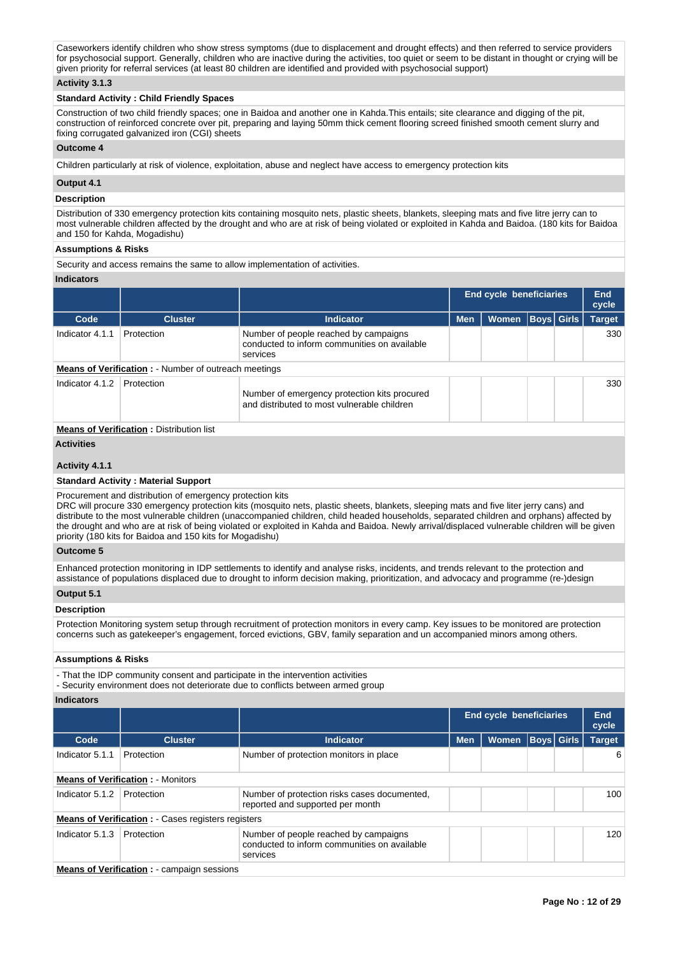Caseworkers identify children who show stress symptoms (due to displacement and drought effects) and then referred to service providers for psychosocial support. Generally, children who are inactive during the activities, too quiet or seem to be distant in thought or crying will be given priority for referral services (at least 80 children are identified and provided with psychosocial support)

# **Activity 3.1.3**

# **Standard Activity : Child Friendly Spaces**

Construction of two child friendly spaces; one in Baidoa and another one in Kahda.This entails; site clearance and digging of the pit, construction of reinforced concrete over pit, preparing and laying 50mm thick cement flooring screed finished smooth cement slurry and fixing corrugated galvanized iron (CGI) sheets

#### **Outcome 4**

Children particularly at risk of violence, exploitation, abuse and neglect have access to emergency protection kits

# **Output 4.1**

### **Description**

Distribution of 330 emergency protection kits containing mosquito nets, plastic sheets, blankets, sleeping mats and five litre jerry can to most vulnerable children affected by the drought and who are at risk of being violated or exploited in Kahda and Baidoa. (180 kits for Baidoa and 150 for Kahda, Mogadishu)

#### **Assumptions & Risks**

Security and access remains the same to allow implementation of activities.

#### **Indicators**

|                 |                                                              |                                                                                                   |            | End cycle beneficiaries |                   | End<br>cycle  |
|-----------------|--------------------------------------------------------------|---------------------------------------------------------------------------------------------------|------------|-------------------------|-------------------|---------------|
| Code            | <b>Cluster</b>                                               | Indicator                                                                                         | <b>Men</b> | Women                   | <b>Boys</b> Girls | <b>Target</b> |
| Indicator 4.1.1 | Protection                                                   | Number of people reached by campaigns<br>conducted to inform communities on available<br>services |            |                         |                   | 330           |
|                 | <b>Means of Verification :</b> - Number of outreach meetings |                                                                                                   |            |                         |                   |               |
| Indicator 4.1.2 | Protection                                                   | Number of emergency protection kits procured<br>and distributed to most vulnerable children       |            |                         |                   | 330           |

# **Means of Verification : Distribution list**

# **Activities**

# **Activity 4.1.1**

# **Standard Activity : Material Support**

Procurement and distribution of emergency protection kits

DRC will procure 330 emergency protection kits (mosquito nets, plastic sheets, blankets, sleeping mats and five liter jerry cans) and distribute to the most vulnerable children (unaccompanied children, child headed households, separated children and orphans) affected by the drought and who are at risk of being violated or exploited in Kahda and Baidoa. Newly arrival/displaced vulnerable children will be given priority (180 kits for Baidoa and 150 kits for Mogadishu)

# **Outcome 5**

Enhanced protection monitoring in IDP settlements to identify and analyse risks, incidents, and trends relevant to the protection and assistance of populations displaced due to drought to inform decision making, prioritization, and advocacy and programme (re-)design

#### **Output 5.1**

#### **Description**

Protection Monitoring system setup through recruitment of protection monitors in every camp. Key issues to be monitored are protection concerns such as gatekeeper's engagement, forced evictions, GBV, family separation and un accompanied minors among others.

#### **Assumptions & Risks**

- That the IDP community consent and participate in the intervention activities

- Security environment does not deteriorate due to conflicts between armed group

|                 |                                                            |                                                                                                   |            | <b>End cycle beneficiaries</b> |                   |  |               |
|-----------------|------------------------------------------------------------|---------------------------------------------------------------------------------------------------|------------|--------------------------------|-------------------|--|---------------|
| Code            | <b>Cluster</b>                                             | Indicator                                                                                         | <b>Men</b> | <b>Women</b>                   | <b>Boys Girls</b> |  | <b>Target</b> |
| Indicator 5.1.1 | Protection                                                 | Number of protection monitors in place                                                            |            |                                |                   |  | 6             |
|                 | <b>Means of Verification: - Monitors</b>                   |                                                                                                   |            |                                |                   |  |               |
| Indicator 5.1.2 | Protection                                                 | Number of protection risks cases documented.<br>reported and supported per month                  |            |                                |                   |  | 100           |
|                 | <b>Means of Verification : - Cases registers registers</b> |                                                                                                   |            |                                |                   |  |               |
| Indicator 5.1.3 | Protection                                                 | Number of people reached by campaigns<br>conducted to inform communities on available<br>services |            |                                |                   |  | 120           |
|                 | <b>Means of Verification :</b> - campaign sessions         |                                                                                                   |            |                                |                   |  |               |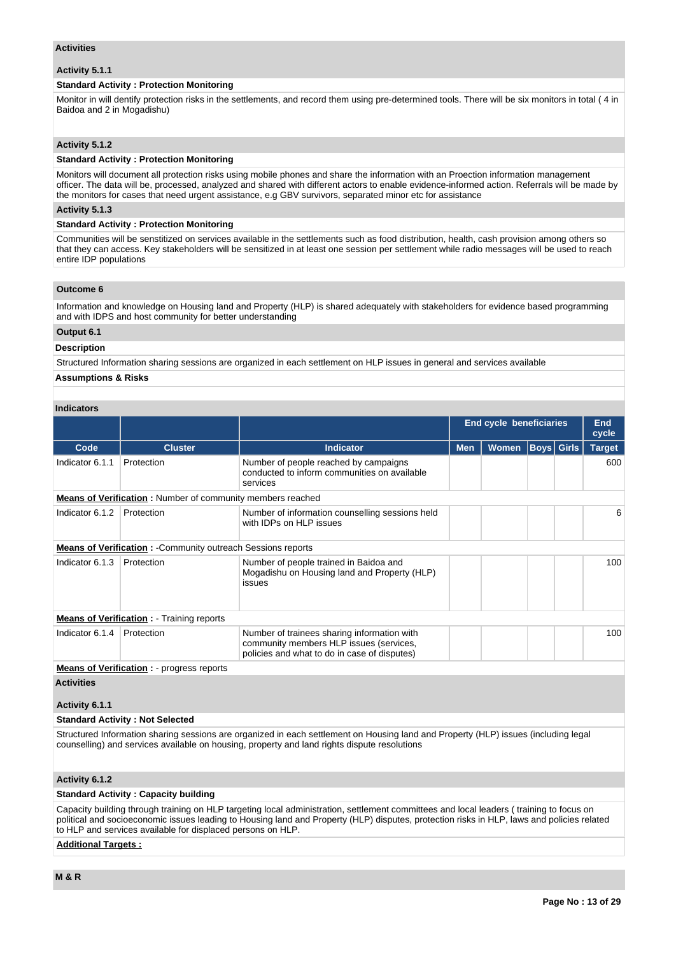### **Activities**

# **Activity 5.1.1**

# **Standard Activity : Protection Monitoring**

Monitor in will dentify protection risks in the settlements, and record them using pre-determined tools. There will be six monitors in total ( 4 in Baidoa and 2 in Mogadishu)

# **Activity 5.1.2**

# **Standard Activity : Protection Monitoring**

Monitors will document all protection risks using mobile phones and share the information with an Proection information management officer. The data will be, processed, analyzed and shared with different actors to enable evidence-informed action. Referrals will be made by the monitors for cases that need urgent assistance, e.g GBV survivors, separated minor etc for assistance

# **Activity 5.1.3**

### **Standard Activity : Protection Monitoring**

Communities will be senstitized on services available in the settlements such as food distribution, health, cash provision among others so that they can access. Key stakeholders will be sensitized in at least one session per settlement while radio messages will be used to reach entire IDP populations

#### **Outcome 6**

Information and knowledge on Housing land and Property (HLP) is shared adequately with stakeholders for evidence based programming and with IDPS and host community for better understanding

# **Output 6.1**

# **Description**

Structured Information sharing sessions are organized in each settlement on HLP issues in general and services available

# **Assumptions & Risks**

# **Indicators**

|                     |                                                                   |                                                                                                                                        |            | <b>End cycle beneficiaries</b> |  |                   |               |  |
|---------------------|-------------------------------------------------------------------|----------------------------------------------------------------------------------------------------------------------------------------|------------|--------------------------------|--|-------------------|---------------|--|
| Code                | <b>Cluster</b>                                                    | <b>Indicator</b>                                                                                                                       | <b>Men</b> | <b>Women</b>                   |  | <b>Boys</b> Girls | <b>Target</b> |  |
| Indicator 6.1.1     | Protection                                                        | Number of people reached by campaigns<br>conducted to inform communities on available<br>services                                      |            |                                |  |                   | 600           |  |
|                     | <b>Means of Verification:</b> Number of community members reached |                                                                                                                                        |            |                                |  |                   |               |  |
| Indicator 6.1.2     | Protection                                                        | Number of information counselling sessions held<br>with IDPs on HLP issues                                                             |            |                                |  |                   | 6             |  |
|                     | <b>Means of Verification:</b> Community outreach Sessions reports |                                                                                                                                        |            |                                |  |                   |               |  |
| Indicator 6.1.3     | Protection                                                        | Number of people trained in Baidoa and<br>Mogadishu on Housing land and Property (HLP)<br>issues                                       |            |                                |  |                   | 100           |  |
|                     | <b>Means of Verification:</b> - Training reports                  |                                                                                                                                        |            |                                |  |                   |               |  |
| Indicator 6.1.4     | Protection                                                        | Number of trainees sharing information with<br>community members HLP issues (services,<br>policies and what to do in case of disputes) |            |                                |  |                   | 100           |  |
|                     | <b>Means of Verification : - progress reports</b>                 |                                                                                                                                        |            |                                |  |                   |               |  |
| $A = 11.111 - 14.1$ |                                                                   |                                                                                                                                        |            |                                |  |                   |               |  |

**Activities**

# **Activity 6.1.1**

# **Standard Activity : Not Selected**

Structured Information sharing sessions are organized in each settlement on Housing land and Property (HLP) issues (including legal counselling) and services available on housing, property and land rights dispute resolutions

# **Activity 6.1.2**

# **Standard Activity : Capacity building**

Capacity building through training on HLP targeting local administration, settlement committees and local leaders ( training to focus on political and socioeconomic issues leading to Housing land and Property (HLP) disputes, protection risks in HLP, laws and policies related to HLP and services available for displaced persons on HLP.

# **Additional Targets :**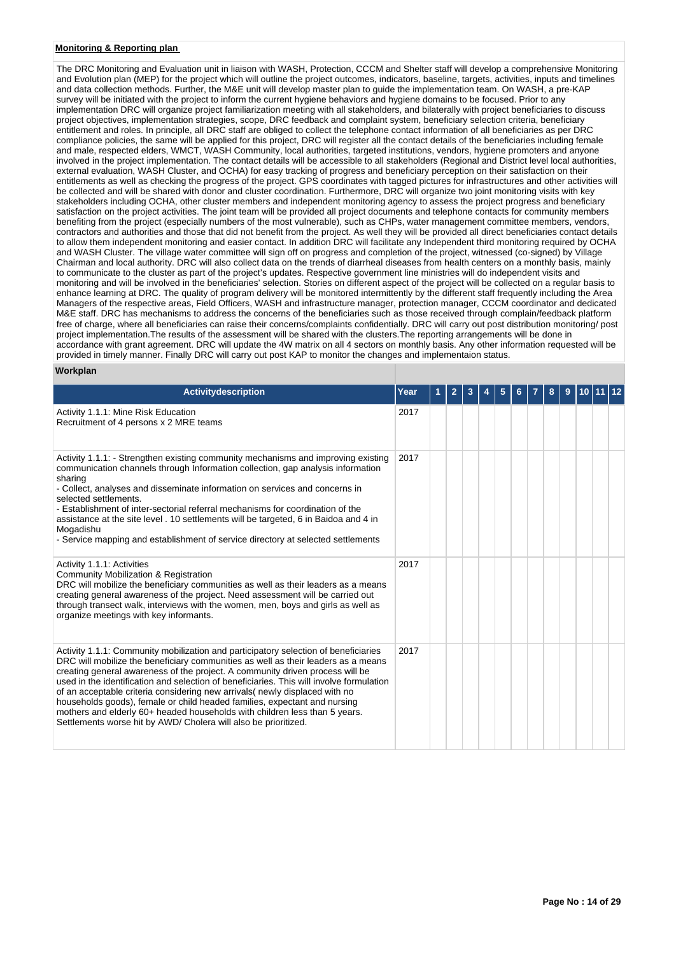# **Monitoring & Reporting plan**

The DRC Monitoring and Evaluation unit in liaison with WASH, Protection, CCCM and Shelter staff will develop a comprehensive Monitoring and Evolution plan (MEP) for the project which will outline the project outcomes, indicators, baseline, targets, activities, inputs and timelines and data collection methods. Further, the M&E unit will develop master plan to guide the implementation team. On WASH, a pre-KAP survey will be initiated with the project to inform the current hygiene behaviors and hygiene domains to be focused. Prior to any implementation DRC will organize project familiarization meeting with all stakeholders, and bilaterally with project beneficiaries to discuss project objectives, implementation strategies, scope, DRC feedback and complaint system, beneficiary selection criteria, beneficiary entitlement and roles. In principle, all DRC staff are obliged to collect the telephone contact information of all beneficiaries as per DRC compliance policies, the same will be applied for this project, DRC will register all the contact details of the beneficiaries including female and male, respected elders, WMCT, WASH Community, local authorities, targeted institutions, vendors, hygiene promoters and anyone involved in the project implementation. The contact details will be accessible to all stakeholders (Regional and District level local authorities, external evaluation, WASH Cluster, and OCHA) for easy tracking of progress and beneficiary perception on their satisfaction on their entitlements as well as checking the progress of the project. GPS coordinates with tagged pictures for infrastructures and other activities will be collected and will be shared with donor and cluster coordination. Furthermore, DRC will organize two joint monitoring visits with key stakeholders including OCHA, other cluster members and independent monitoring agency to assess the project progress and beneficiary satisfaction on the project activities. The joint team will be provided all project documents and telephone contacts for community members benefiting from the project (especially numbers of the most vulnerable), such as CHPs, water management committee members, vendors, contractors and authorities and those that did not benefit from the project. As well they will be provided all direct beneficiaries contact details to allow them independent monitoring and easier contact. In addition DRC will facilitate any Independent third monitoring required by OCHA and WASH Cluster. The village water committee will sign off on progress and completion of the project, witnessed (co-signed) by Village Chairman and local authority. DRC will also collect data on the trends of diarrheal diseases from health centers on a monthly basis, mainly to communicate to the cluster as part of the project's updates. Respective government line ministries will do independent visits and monitoring and will be involved in the beneficiaries' selection. Stories on different aspect of the project will be collected on a regular basis to enhance learning at DRC. The quality of program delivery will be monitored intermittently by the different staff frequently including the Area Managers of the respective areas, Field Officers, WASH and infrastructure manager, protection manager, CCCM coordinator and dedicated M&E staff. DRC has mechanisms to address the concerns of the beneficiaries such as those received through complain/feedback platform free of charge, where all beneficiaries can raise their concerns/complaints confidentially. DRC will carry out post distribution monitoring/ post project implementation.The results of the assessment will be shared with the clusters.The reporting arrangements will be done in accordance with grant agreement. DRC will update the 4W matrix on all 4 sectors on monthly basis. Any other information requested will be provided in timely manner. Finally DRC will carry out post KAP to monitor the changes and implementaion status.

#### **Workplan**

| <b>Activitydescription</b>                                                                                                                                                                                                                                                                                                                                                                                                                                                                                                                                                                                                                                         | Year | $\mathbf{2}$ | 3 | 5 |  | 8 | 9 |  |  |
|--------------------------------------------------------------------------------------------------------------------------------------------------------------------------------------------------------------------------------------------------------------------------------------------------------------------------------------------------------------------------------------------------------------------------------------------------------------------------------------------------------------------------------------------------------------------------------------------------------------------------------------------------------------------|------|--------------|---|---|--|---|---|--|--|
| Activity 1.1.1: Mine Risk Education<br>Recruitment of 4 persons x 2 MRE teams                                                                                                                                                                                                                                                                                                                                                                                                                                                                                                                                                                                      | 2017 |              |   |   |  |   |   |  |  |
| Activity 1.1.1: - Strengthen existing community mechanisms and improving existing<br>communication channels through Information collection, gap analysis information<br>sharing<br>- Collect, analyses and disseminate information on services and concerns in<br>selected settlements.<br>- Establishment of inter-sectorial referral mechanisms for coordination of the<br>assistance at the site level . 10 settlements will be targeted, 6 in Baidoa and 4 in<br>Mogadishu<br>- Service mapping and establishment of service directory at selected settlements                                                                                                 | 2017 |              |   |   |  |   |   |  |  |
| Activity 1.1.1: Activities<br><b>Community Mobilization &amp; Registration</b><br>DRC will mobilize the beneficiary communities as well as their leaders as a means<br>creating general awareness of the project. Need assessment will be carried out<br>through transect walk, interviews with the women, men, boys and girls as well as<br>organize meetings with key informants.                                                                                                                                                                                                                                                                                | 2017 |              |   |   |  |   |   |  |  |
| Activity 1.1.1: Community mobilization and participatory selection of beneficiaries<br>DRC will mobilize the beneficiary communities as well as their leaders as a means<br>creating general awareness of the project. A community driven process will be<br>used in the identification and selection of beneficiaries. This will involve formulation<br>of an acceptable criteria considering new arrivals (newly displaced with no<br>households goods), female or child headed families, expectant and nursing<br>mothers and elderly 60+ headed households with children less than 5 years.<br>Settlements worse hit by AWD/ Cholera will also be prioritized. | 2017 |              |   |   |  |   |   |  |  |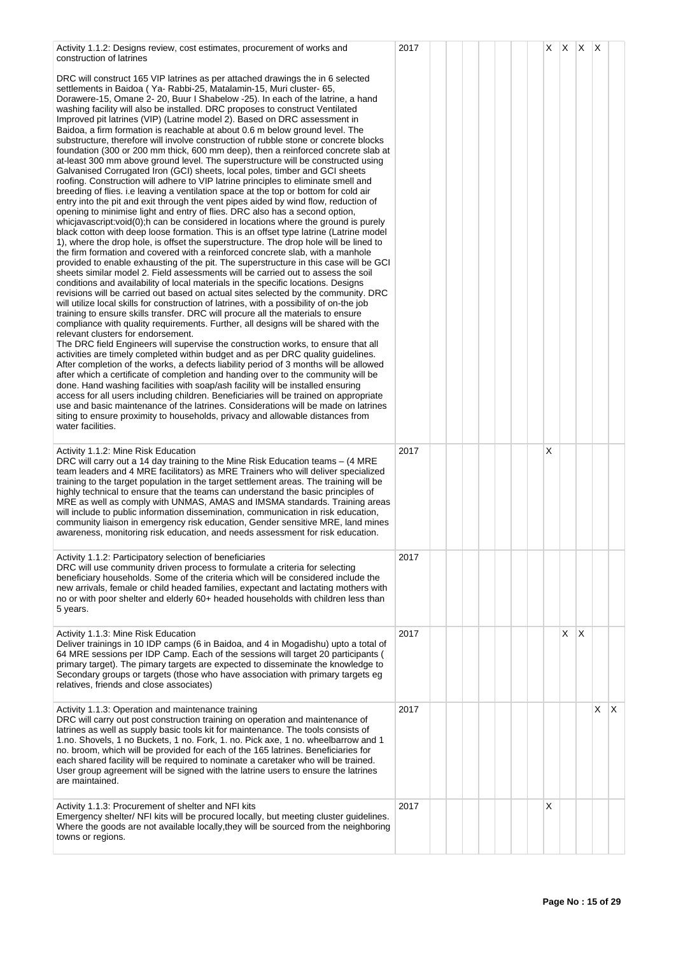| Activity 1.1.2: Designs review, cost estimates, procurement of works and<br>construction of latrines                                                                                                                                                                                                                                                                                                                                                                                                                                                                                                                                                                                                                                                                                                                                                                                                                                                                                                                                                                                                                                                                                                                                                                                                                                                                                                                                                                                                                                                                                                                                                                                                                                                                                                                                                                                                                                                                                                                                                                                                                                                                                                                                                                                                                                                                                                                                                                                                                                                                                                                                                                                                                                                                                                                                                                                                                                                    | 2017 |  |  | X |   | $X \mid X \mid X$ |   |    |
|---------------------------------------------------------------------------------------------------------------------------------------------------------------------------------------------------------------------------------------------------------------------------------------------------------------------------------------------------------------------------------------------------------------------------------------------------------------------------------------------------------------------------------------------------------------------------------------------------------------------------------------------------------------------------------------------------------------------------------------------------------------------------------------------------------------------------------------------------------------------------------------------------------------------------------------------------------------------------------------------------------------------------------------------------------------------------------------------------------------------------------------------------------------------------------------------------------------------------------------------------------------------------------------------------------------------------------------------------------------------------------------------------------------------------------------------------------------------------------------------------------------------------------------------------------------------------------------------------------------------------------------------------------------------------------------------------------------------------------------------------------------------------------------------------------------------------------------------------------------------------------------------------------------------------------------------------------------------------------------------------------------------------------------------------------------------------------------------------------------------------------------------------------------------------------------------------------------------------------------------------------------------------------------------------------------------------------------------------------------------------------------------------------------------------------------------------------------------------------------------------------------------------------------------------------------------------------------------------------------------------------------------------------------------------------------------------------------------------------------------------------------------------------------------------------------------------------------------------------------------------------------------------------------------------------------------------------|------|--|--|---|---|-------------------|---|----|
| DRC will construct 165 VIP latrines as per attached drawings the in 6 selected<br>settlements in Baidoa (Ya-Rabbi-25, Matalamin-15, Muri cluster-65,<br>Dorawere-15, Omane 2-20, Buur I Shabelow -25). In each of the latrine, a hand<br>washing facility will also be installed. DRC proposes to construct Ventilated<br>Improved pit latrines (VIP) (Latrine model 2). Based on DRC assessment in<br>Baidoa, a firm formation is reachable at about 0.6 m below ground level. The<br>substructure, therefore will involve construction of rubble stone or concrete blocks<br>foundation (300 or 200 mm thick, 600 mm deep), then a reinforced concrete slab at<br>at-least 300 mm above ground level. The superstructure will be constructed using<br>Galvanised Corrugated Iron (GCI) sheets, local poles, timber and GCI sheets<br>roofing. Construction will adhere to VIP latrine principles to eliminate smell and<br>breeding of flies, i.e leaving a ventilation space at the top or bottom for cold air<br>entry into the pit and exit through the vent pipes aided by wind flow, reduction of<br>opening to minimise light and entry of flies. DRC also has a second option,<br>whicjavascript: void(0); h can be considered in locations where the ground is purely<br>black cotton with deep loose formation. This is an offset type latrine (Latrine model<br>1), where the drop hole, is offset the superstructure. The drop hole will be lined to<br>the firm formation and covered with a reinforced concrete slab, with a manhole<br>provided to enable exhausting of the pit. The superstructure in this case will be GCI<br>sheets similar model 2. Field assessments will be carried out to assess the soil<br>conditions and availability of local materials in the specific locations. Designs<br>revisions will be carried out based on actual sites selected by the community. DRC<br>will utilize local skills for construction of latrines, with a possibility of on-the job<br>training to ensure skills transfer. DRC will procure all the materials to ensure<br>compliance with quality requirements. Further, all designs will be shared with the<br>relevant clusters for endorsement.<br>The DRC field Engineers will supervise the construction works, to ensure that all<br>activities are timely completed within budget and as per DRC quality guidelines.<br>After completion of the works, a defects liability period of 3 months will be allowed<br>after which a certificate of completion and handing over to the community will be<br>done. Hand washing facilities with soap/ash facility will be installed ensuring<br>access for all users including children. Beneficiaries will be trained on appropriate<br>use and basic maintenance of the latrines. Considerations will be made on latrines<br>siting to ensure proximity to households, privacy and allowable distances from<br>water facilities. |      |  |  |   |   |                   |   |    |
| Activity 1.1.2: Mine Risk Education<br>DRC will carry out a 14 day training to the Mine Risk Education teams – (4 MRE<br>team leaders and 4 MRE facilitators) as MRE Trainers who will deliver specialized<br>training to the target population in the target settlement areas. The training will be<br>highly technical to ensure that the teams can understand the basic principles of<br>MRE as well as comply with UNMAS, AMAS and IMSMA standards. Training areas<br>will include to public information dissemination, communication in risk education,<br>community liaison in emergency risk education, Gender sensitive MRE, land mines<br>awareness, monitoring risk education, and needs assessment for risk education.                                                                                                                                                                                                                                                                                                                                                                                                                                                                                                                                                                                                                                                                                                                                                                                                                                                                                                                                                                                                                                                                                                                                                                                                                                                                                                                                                                                                                                                                                                                                                                                                                                                                                                                                                                                                                                                                                                                                                                                                                                                                                                                                                                                                                       | 2017 |  |  | X |   |                   |   |    |
| Activity 1.1.2: Participatory selection of beneficiaries<br>DRC will use community driven process to formulate a criteria for selecting<br>beneficiary households. Some of the criteria which will be considered include the<br>new arrivals, female or child headed families, expectant and lactating mothers with<br>no or with poor shelter and elderly 60+ headed households with children less than<br>5 years.                                                                                                                                                                                                                                                                                                                                                                                                                                                                                                                                                                                                                                                                                                                                                                                                                                                                                                                                                                                                                                                                                                                                                                                                                                                                                                                                                                                                                                                                                                                                                                                                                                                                                                                                                                                                                                                                                                                                                                                                                                                                                                                                                                                                                                                                                                                                                                                                                                                                                                                                    | 2017 |  |  |   |   |                   |   |    |
| Activity 1.1.3: Mine Risk Education<br>Deliver trainings in 10 IDP camps (6 in Baidoa, and 4 in Mogadishu) upto a total of<br>64 MRE sessions per IDP Camp. Each of the sessions will target 20 participants (<br>primary target). The pimary targets are expected to disseminate the knowledge to<br>Secondary groups or targets (those who have association with primary targets eg<br>relatives, friends and close associates)                                                                                                                                                                                                                                                                                                                                                                                                                                                                                                                                                                                                                                                                                                                                                                                                                                                                                                                                                                                                                                                                                                                                                                                                                                                                                                                                                                                                                                                                                                                                                                                                                                                                                                                                                                                                                                                                                                                                                                                                                                                                                                                                                                                                                                                                                                                                                                                                                                                                                                                       | 2017 |  |  |   | X | ΙX                |   |    |
| Activity 1.1.3: Operation and maintenance training<br>DRC will carry out post construction training on operation and maintenance of<br>latrines as well as supply basic tools kit for maintenance. The tools consists of<br>1.no. Shovels, 1 no Buckets, 1 no. Fork, 1. no. Pick axe, 1 no. wheelbarrow and 1<br>no. broom, which will be provided for each of the 165 latrines. Beneficiaries for<br>each shared facility will be required to nominate a caretaker who will be trained.<br>User group agreement will be signed with the latrine users to ensure the latrines<br>are maintained.                                                                                                                                                                                                                                                                                                                                                                                                                                                                                                                                                                                                                                                                                                                                                                                                                                                                                                                                                                                                                                                                                                                                                                                                                                                                                                                                                                                                                                                                                                                                                                                                                                                                                                                                                                                                                                                                                                                                                                                                                                                                                                                                                                                                                                                                                                                                                        | 2017 |  |  |   |   |                   | X | X. |
| Activity 1.1.3: Procurement of shelter and NFI kits<br>Emergency shelter/ NFI kits will be procured locally, but meeting cluster guidelines.<br>Where the goods are not available locally, they will be sourced from the neighboring<br>towns or regions.                                                                                                                                                                                                                                                                                                                                                                                                                                                                                                                                                                                                                                                                                                                                                                                                                                                                                                                                                                                                                                                                                                                                                                                                                                                                                                                                                                                                                                                                                                                                                                                                                                                                                                                                                                                                                                                                                                                                                                                                                                                                                                                                                                                                                                                                                                                                                                                                                                                                                                                                                                                                                                                                                               | 2017 |  |  | X |   |                   |   |    |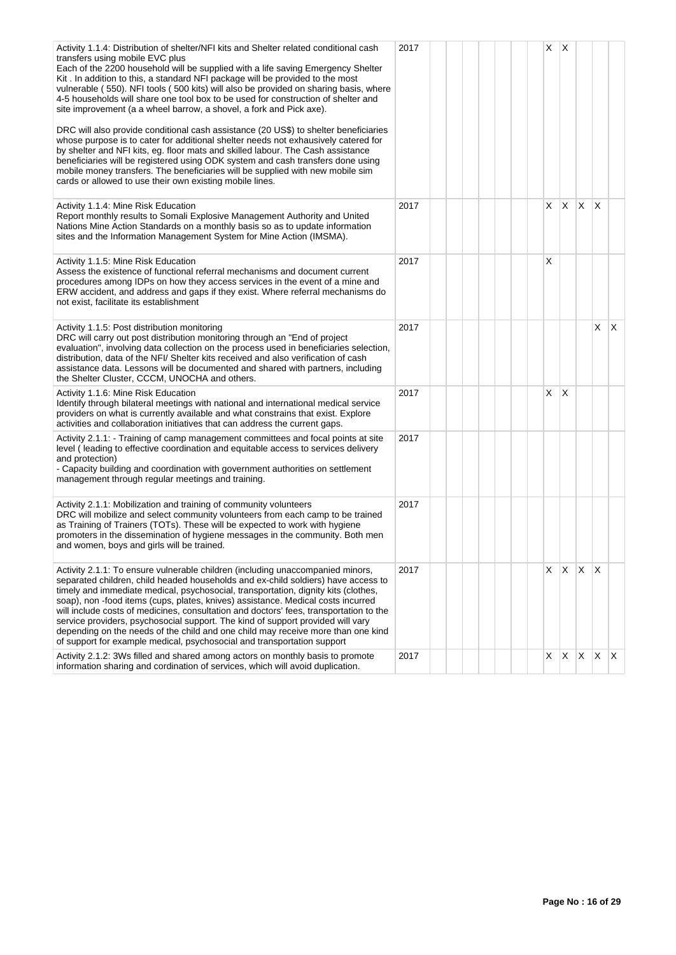| Activity 1.1.4: Distribution of shelter/NFI kits and Shelter related conditional cash<br>transfers using mobile EVC plus<br>Each of the 2200 household will be supplied with a life saving Emergency Shelter<br>Kit. In addition to this, a standard NFI package will be provided to the most<br>vulnerable (550). NFI tools (500 kits) will also be provided on sharing basis, where<br>4-5 households will share one tool box to be used for construction of shelter and<br>site improvement (a a wheel barrow, a shovel, a fork and Pick axe).                                                                                                                                         | 2017 |  |  | X          | ΙX           |              |              |    |
|-------------------------------------------------------------------------------------------------------------------------------------------------------------------------------------------------------------------------------------------------------------------------------------------------------------------------------------------------------------------------------------------------------------------------------------------------------------------------------------------------------------------------------------------------------------------------------------------------------------------------------------------------------------------------------------------|------|--|--|------------|--------------|--------------|--------------|----|
| DRC will also provide conditional cash assistance (20 US\$) to shelter beneficiaries<br>whose purpose is to cater for additional shelter needs not exhausively catered for<br>by shelter and NFI kits, eg. floor mats and skilled labour. The Cash assistance<br>beneficiaries will be registered using ODK system and cash transfers done using<br>mobile money transfers. The beneficiaries will be supplied with new mobile sim<br>cards or allowed to use their own existing mobile lines.                                                                                                                                                                                            |      |  |  |            |              |              |              |    |
| Activity 1.1.4: Mine Risk Education<br>Report monthly results to Somali Explosive Management Authority and United<br>Nations Mine Action Standards on a monthly basis so as to update information<br>sites and the Information Management System for Mine Action (IMSMA).                                                                                                                                                                                                                                                                                                                                                                                                                 | 2017 |  |  | X.         | $\mathsf{X}$ | $\mathsf{X}$ | X            |    |
| Activity 1.1.5: Mine Risk Education<br>Assess the existence of functional referral mechanisms and document current<br>procedures among IDPs on how they access services in the event of a mine and<br>ERW accident, and address and gaps if they exist. Where referral mechanisms do<br>not exist, facilitate its establishment                                                                                                                                                                                                                                                                                                                                                           | 2017 |  |  | X          |              |              |              |    |
| Activity 1.1.5: Post distribution monitoring<br>DRC will carry out post distribution monitoring through an "End of project<br>evaluation", involving data collection on the process used in beneficiaries selection,<br>distribution, data of the NFI/ Shelter kits received and also verification of cash<br>assistance data. Lessons will be documented and shared with partners, including<br>the Shelter Cluster, CCCM, UNOCHA and others.                                                                                                                                                                                                                                            | 2017 |  |  |            |              |              | X            | ΙX |
| Activity 1.1.6: Mine Risk Education<br>Identify through bilateral meetings with national and international medical service<br>providers on what is currently available and what constrains that exist. Explore<br>activities and collaboration initiatives that can address the current gaps.                                                                                                                                                                                                                                                                                                                                                                                             | 2017 |  |  | X.         | X            |              |              |    |
| Activity 2.1.1: - Training of camp management committees and focal points at site<br>level (leading to effective coordination and equitable access to services delivery<br>and protection)<br>- Capacity building and coordination with government authorities on settlement<br>management through regular meetings and training.                                                                                                                                                                                                                                                                                                                                                         | 2017 |  |  |            |              |              |              |    |
| Activity 2.1.1: Mobilization and training of community volunteers<br>DRC will mobilize and select community volunteers from each camp to be trained<br>as Training of Trainers (TOTs). These will be expected to work with hygiene<br>promoters in the dissemination of hygiene messages in the community. Both men<br>and women, boys and girls will be trained.                                                                                                                                                                                                                                                                                                                         | 2017 |  |  |            |              |              |              |    |
| Activity 2.1.1: To ensure vulnerable children (including unaccompanied minors,<br>separated children, child headed households and ex-child soldiers) have access to<br>timely and immediate medical, psychosocial, transportation, dignity kits (clothes,<br>soap), non -food items (cups, plates, knives) assistance. Medical costs incurred<br>will include costs of medicines, consultation and doctors' fees, transportation to the<br>service providers, psychosocial support. The kind of support provided will vary<br>depending on the needs of the child and one child may receive more than one kind<br>of support for example medical, psychosocial and transportation support | 2017 |  |  | $X \mid X$ |              | $\mathsf{X}$ | $\mathsf{X}$ |    |
| Activity 2.1.2: 3Ws filled and shared among actors on monthly basis to promote<br>information sharing and cordination of services, which will avoid duplication.                                                                                                                                                                                                                                                                                                                                                                                                                                                                                                                          | 2017 |  |  | X          | X.           | $X$ $X$      |              | X  |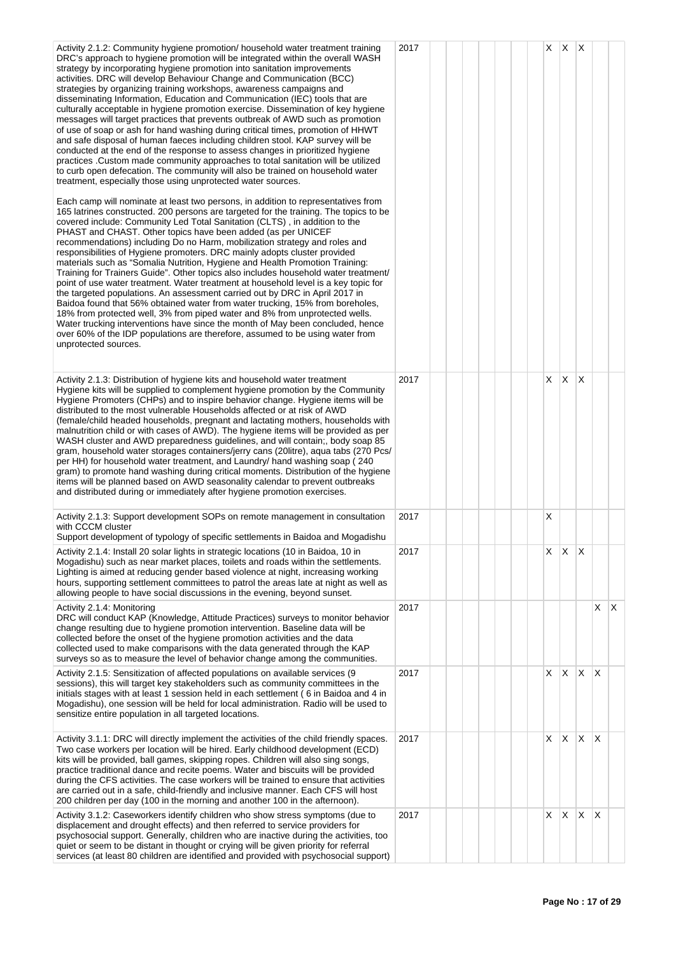| Activity 2.1.2: Community hygiene promotion/ household water treatment training<br>DRC's approach to hygiene promotion will be integrated within the overall WASH<br>strategy by incorporating hygiene promotion into sanitation improvements<br>activities. DRC will develop Behaviour Change and Communication (BCC)<br>strategies by organizing training workshops, awareness campaigns and<br>disseminating Information, Education and Communication (IEC) tools that are<br>culturally acceptable in hygiene promotion exercise. Dissemination of key hygiene<br>messages will target practices that prevents outbreak of AWD such as promotion<br>of use of soap or ash for hand washing during critical times, promotion of HHWT<br>and safe disposal of human faeces including children stool. KAP survey will be<br>conducted at the end of the response to assess changes in prioritized hygiene<br>practices . Custom made community approaches to total sanitation will be utilized<br>to curb open defecation. The community will also be trained on household water<br>treatment, especially those using unprotected water sources.                                           | 2017 |  | $X \mid X$ |    | ΙX           |              |              |
|---------------------------------------------------------------------------------------------------------------------------------------------------------------------------------------------------------------------------------------------------------------------------------------------------------------------------------------------------------------------------------------------------------------------------------------------------------------------------------------------------------------------------------------------------------------------------------------------------------------------------------------------------------------------------------------------------------------------------------------------------------------------------------------------------------------------------------------------------------------------------------------------------------------------------------------------------------------------------------------------------------------------------------------------------------------------------------------------------------------------------------------------------------------------------------------------|------|--|------------|----|--------------|--------------|--------------|
| Each camp will nominate at least two persons, in addition to representatives from<br>165 latrines constructed. 200 persons are targeted for the training. The topics to be<br>covered include: Community Led Total Sanitation (CLTS), in addition to the<br>PHAST and CHAST. Other topics have been added (as per UNICEF<br>recommendations) including Do no Harm, mobilization strategy and roles and<br>responsibilities of Hygiene promoters. DRC mainly adopts cluster provided<br>materials such as "Somalia Nutrition, Hygiene and Health Promotion Training:<br>Training for Trainers Guide". Other topics also includes household water treatment/<br>point of use water treatment. Water treatment at household level is a key topic for<br>the targeted populations. An assessment carried out by DRC in April 2017 in<br>Baidoa found that 56% obtained water from water trucking, 15% from boreholes,<br>18% from protected well, 3% from piped water and 8% from unprotected wells.<br>Water trucking interventions have since the month of May been concluded, hence<br>over 60% of the IDP populations are therefore, assumed to be using water from<br>unprotected sources. |      |  |            |    |              |              |              |
| Activity 2.1.3: Distribution of hygiene kits and household water treatment<br>Hygiene kits will be supplied to complement hygiene promotion by the Community<br>Hygiene Promoters (CHPs) and to inspire behavior change. Hygiene items will be<br>distributed to the most vulnerable Households affected or at risk of AWD<br>(female/child headed households, pregnant and lactating mothers, households with<br>malnutrition child or with cases of AWD). The hygiene items will be provided as per<br>WASH cluster and AWD preparedness guidelines, and will contain;, body soap 85<br>gram, household water storages containers/jerry cans (20litre), aqua tabs (270 Pcs/<br>per HH) for household water treatment, and Laundry/ hand washing soap (240)<br>gram) to promote hand washing during critical moments. Distribution of the hygiene<br>items will be planned based on AWD seasonality calendar to prevent outbreaks<br>and distributed during or immediately after hygiene promotion exercises.                                                                                                                                                                              | 2017 |  | X.         | X  | $\mathsf{X}$ |              |              |
| Activity 2.1.3: Support development SOPs on remote management in consultation<br>with CCCM cluster<br>Support development of typology of specific settlements in Baidoa and Mogadishu                                                                                                                                                                                                                                                                                                                                                                                                                                                                                                                                                                                                                                                                                                                                                                                                                                                                                                                                                                                                       | 2017 |  | X          |    |              |              |              |
| Activity 2.1.4: Install 20 solar lights in strategic locations (10 in Baidoa, 10 in<br>Mogadishu) such as near market places, toilets and roads within the settlements.<br>Lighting is aimed at reducing gender based violence at night, increasing working<br>hours, supporting settlement committees to patrol the areas late at night as well as<br>allowing people to have social discussions in the evening, beyond sunset.                                                                                                                                                                                                                                                                                                                                                                                                                                                                                                                                                                                                                                                                                                                                                            | 2017 |  | X          | X  | X            |              |              |
| Activity 2.1.4: Monitoring<br>DRC will conduct KAP (Knowledge, Attitude Practices) surveys to monitor behavior<br>change resulting due to hygiene promotion intervention. Baseline data will be<br>collected before the onset of the hygiene promotion activities and the data<br>collected used to make comparisons with the data generated through the KAP<br>surveys so as to measure the level of behavior change among the communities.                                                                                                                                                                                                                                                                                                                                                                                                                                                                                                                                                                                                                                                                                                                                                | 2017 |  |            |    |              | X            | $\mathsf{X}$ |
| Activity 2.1.5: Sensitization of affected populations on available services (9<br>sessions), this will target key stakeholders such as community committees in the<br>initials stages with at least 1 session held in each settlement (6 in Baidoa and 4 in<br>Mogadishu), one session will be held for local administration. Radio will be used to<br>sensitize entire population in all targeted locations.                                                                                                                                                                                                                                                                                                                                                                                                                                                                                                                                                                                                                                                                                                                                                                               | 2017 |  | X.         | X  | $\mathsf{X}$ | X            |              |
| Activity 3.1.1: DRC will directly implement the activities of the child friendly spaces.<br>Two case workers per location will be hired. Early childhood development (ECD)<br>kits will be provided, ball games, skipping ropes. Children will also sing songs,<br>practice traditional dance and recite poems. Water and biscuits will be provided<br>during the CFS activities. The case workers will be trained to ensure that activities<br>are carried out in a safe, child-friendly and inclusive manner. Each CFS will host<br>200 children per day (100 in the morning and another 100 in the afternoon).                                                                                                                                                                                                                                                                                                                                                                                                                                                                                                                                                                           | 2017 |  | X.         | X. | X.           | $\mathsf{X}$ |              |
| Activity 3.1.2: Caseworkers identify children who show stress symptoms (due to<br>displacement and drought effects) and then referred to service providers for<br>psychosocial support. Generally, children who are inactive during the activities, too<br>quiet or seem to be distant in thought or crying will be given priority for referral<br>services (at least 80 children are identified and provided with psychosocial support)                                                                                                                                                                                                                                                                                                                                                                                                                                                                                                                                                                                                                                                                                                                                                    | 2017 |  | X.         | X  | X            | X            |              |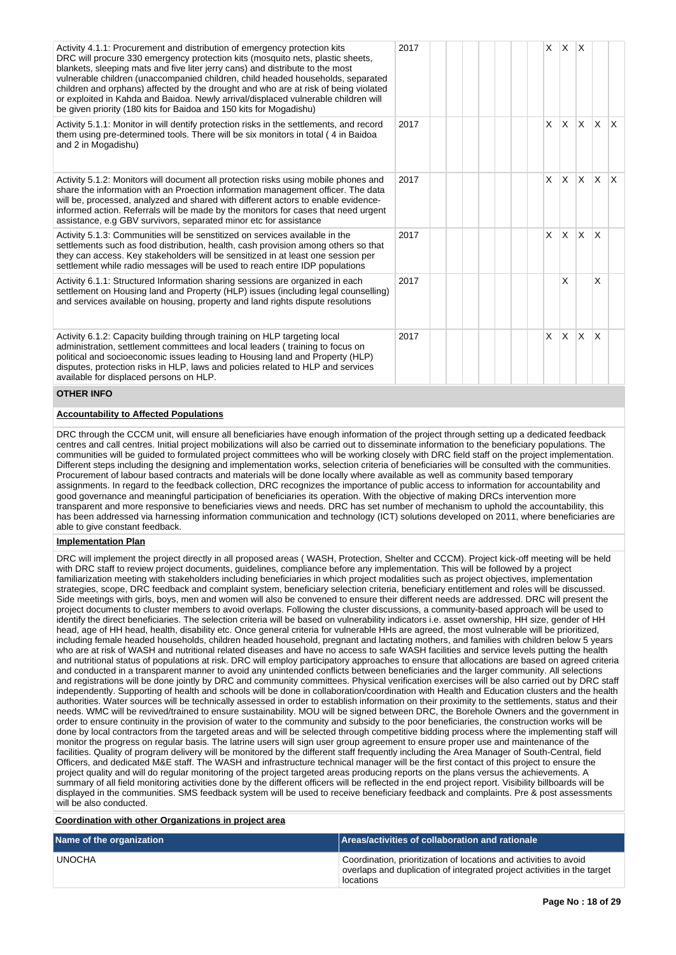| Activity 4.1.1: Procurement and distribution of emergency protection kits<br>DRC will procure 330 emergency protection kits (mosquito nets, plastic sheets,<br>blankets, sleeping mats and five liter jerry cans) and distribute to the most<br>vulnerable children (unaccompanied children, child headed households, separated<br>children and orphans) affected by the drought and who are at risk of being violated<br>or exploited in Kahda and Baidoa. Newly arrival/displaced vulnerable children will<br>be given priority (180 kits for Baidoa and 150 kits for Mogadishu) | 2017 |  | $\mathsf{X}$ | $\mathsf{X}$ | $\mathsf{X}$              |              |     |
|------------------------------------------------------------------------------------------------------------------------------------------------------------------------------------------------------------------------------------------------------------------------------------------------------------------------------------------------------------------------------------------------------------------------------------------------------------------------------------------------------------------------------------------------------------------------------------|------|--|--------------|--------------|---------------------------|--------------|-----|
| Activity 5.1.1: Monitor in will dentify protection risks in the settlements, and record<br>them using pre-determined tools. There will be six monitors in total (4 in Baidoa<br>and 2 in Mogadishu)                                                                                                                                                                                                                                                                                                                                                                                | 2017 |  | $\mathsf{X}$ | ΙX.          | $\mathsf{X}$ $\mathsf{X}$ |              | X.  |
| Activity 5.1.2: Monitors will document all protection risks using mobile phones and<br>share the information with an Proection information management officer. The data<br>will be, processed, analyzed and shared with different actors to enable evidence-<br>informed action. Referrals will be made by the monitors for cases that need urgent<br>assistance, e.g GBV survivors, separated minor etc for assistance                                                                                                                                                            | 2017 |  | $\times$     |              | $x \mid x \mid x$         |              | ΙX. |
| Activity 5.1.3: Communities will be senstitized on services available in the<br>settlements such as food distribution, health, cash provision among others so that<br>they can access. Key stakeholders will be sensitized in at least one session per<br>settlement while radio messages will be used to reach entire IDP populations                                                                                                                                                                                                                                             | 2017 |  | $\times$     | ΙX.          | $\mathsf{X}$              | $\mathsf{X}$ |     |
| Activity 6.1.1: Structured Information sharing sessions are organized in each<br>settlement on Housing land and Property (HLP) issues (including legal counselling)<br>and services available on housing, property and land rights dispute resolutions                                                                                                                                                                                                                                                                                                                             | 2017 |  |              | X            |                           | x            |     |
| Activity 6.1.2: Capacity building through training on HLP targeting local<br>administration, settlement committees and local leaders (training to focus on<br>political and socioeconomic issues leading to Housing land and Property (HLP)<br>disputes, protection risks in HLP, laws and policies related to HLP and services<br>available for displaced persons on HLP.                                                                                                                                                                                                         | 2017 |  | $\times$     | $\mathsf{X}$ | ΙX.                       | <sup>X</sup> |     |
| <b>OTHER INFO</b>                                                                                                                                                                                                                                                                                                                                                                                                                                                                                                                                                                  |      |  |              |              |                           |              |     |

# **Accountability to Affected Populations**

DRC through the CCCM unit, will ensure all beneficiaries have enough information of the project through setting up a dedicated feedback centres and call centres. Initial project mobilizations will also be carried out to disseminate information to the beneficiary populations. The communities will be guided to formulated project committees who will be working closely with DRC field staff on the project implementation. Different steps including the designing and implementation works, selection criteria of beneficiaries will be consulted with the communities. Procurement of labour based contracts and materials will be done locally where available as well as community based temporary assignments. In regard to the feedback collection, DRC recognizes the importance of public access to information for accountability and good governance and meaningful participation of beneficiaries its operation. With the objective of making DRCs intervention more transparent and more responsive to beneficiaries views and needs. DRC has set number of mechanism to uphold the accountability, this has been addressed via harnessing information communication and technology (ICT) solutions developed on 2011, where beneficiaries are able to give constant feedback.

#### **Implementation Plan**

DRC will implement the project directly in all proposed areas ( WASH, Protection, Shelter and CCCM). Project kick-off meeting will be held with DRC staff to review project documents, guidelines, compliance before any implementation. This will be followed by a project familiarization meeting with stakeholders including beneficiaries in which project modalities such as project objectives, implementation strategies, scope, DRC feedback and complaint system, beneficiary selection criteria, beneficiary entitlement and roles will be discussed. Side meetings with girls, boys, men and women will also be convened to ensure their different needs are addressed. DRC will present the project documents to cluster members to avoid overlaps. Following the cluster discussions, a community-based approach will be used to identify the direct beneficiaries. The selection criteria will be based on vulnerability indicators i.e. asset ownership, HH size, gender of HH head, age of HH head, health, disability etc. Once general criteria for vulnerable HHs are agreed, the most vulnerable will be prioritized, including female headed households, children headed household, pregnant and lactating mothers, and families with children below 5 years who are at risk of WASH and nutritional related diseases and have no access to safe WASH facilities and service levels putting the health and nutritional status of populations at risk. DRC will employ participatory approaches to ensure that allocations are based on agreed criteria and conducted in a transparent manner to avoid any unintended conflicts between beneficiaries and the larger community. All selections and registrations will be done jointly by DRC and community committees. Physical verification exercises will be also carried out by DRC staff independently. Supporting of health and schools will be done in collaboration/coordination with Health and Education clusters and the health authorities. Water sources will be technically assessed in order to establish information on their proximity to the settlements, status and their needs. WMC will be revived/trained to ensure sustainability. MOU will be signed between DRC, the Borehole Owners and the government in order to ensure continuity in the provision of water to the community and subsidy to the poor beneficiaries, the construction works will be done by local contractors from the targeted areas and will be selected through competitive bidding process where the implementing staff will monitor the progress on regular basis. The latrine users will sign user group agreement to ensure proper use and maintenance of the facilities. Quality of program delivery will be monitored by the different staff frequently including the Area Manager of South-Central, field Officers, and dedicated M&E staff. The WASH and infrastructure technical manager will be the first contact of this project to ensure the project quality and will do regular monitoring of the project targeted areas producing reports on the plans versus the achievements. A summary of all field monitoring activities done by the different officers will be reflected in the end project report. Visibility billboards will be displayed in the communities. SMS feedback system will be used to receive beneficiary feedback and complaints. Pre & post assessments will be also conducted.

**Coordination with other Organizations in project area**

| Name of the organization | Areas/activities of collaboration and rationale                                                                                                           |
|--------------------------|-----------------------------------------------------------------------------------------------------------------------------------------------------------|
| <b>UNOCHA</b>            | Coordination, prioritization of locations and activities to avoid<br>overlaps and duplication of integrated project activities in the target<br>locations |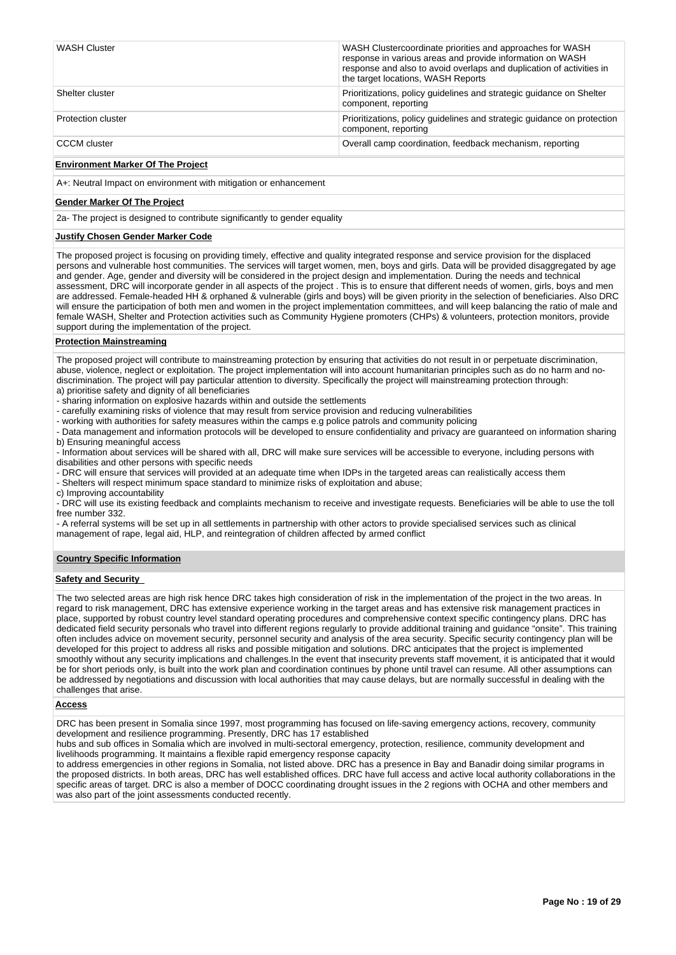| <b>WASH Cluster</b> | WASH Clustercoordinate priorities and approaches for WASH<br>response in various areas and provide information on WASH<br>response and also to avoid overlaps and duplication of activities in<br>the target locations, WASH Reports |
|---------------------|--------------------------------------------------------------------------------------------------------------------------------------------------------------------------------------------------------------------------------------|
| Shelter cluster     | Prioritizations, policy quidelines and strategic quidance on Shelter<br>component, reporting                                                                                                                                         |
| Protection cluster  | Prioritizations, policy quidelines and strategic quidance on protection<br>component, reporting                                                                                                                                      |
| <b>CCCM</b> cluster | Overall camp coordination, feedback mechanism, reporting                                                                                                                                                                             |

# **Environment Marker Of The Project**

A+: Neutral Impact on environment with mitigation or enhancement

### **Gender Marker Of The Project**

2a- The project is designed to contribute significantly to gender equality

# **Justify Chosen Gender Marker Code**

The proposed project is focusing on providing timely, effective and quality integrated response and service provision for the displaced persons and vulnerable host communities. The services will target women, men, boys and girls. Data will be provided disaggregated by age and gender. Age, gender and diversity will be considered in the project design and implementation. During the needs and technical assessment, DRC will incorporate gender in all aspects of the project . This is to ensure that different needs of women, girls, boys and men are addressed. Female-headed HH & orphaned & vulnerable (girls and boys) will be given priority in the selection of beneficiaries. Also DRC will ensure the participation of both men and women in the project implementation committees, and will keep balancing the ratio of male and female WASH, Shelter and Protection activities such as Community Hygiene promoters (CHPs) & volunteers, protection monitors, provide support during the implementation of the project.

# **Protection Mainstreaming**

The proposed project will contribute to mainstreaming protection by ensuring that activities do not result in or perpetuate discrimination, abuse, violence, neglect or exploitation. The project implementation will into account humanitarian principles such as do no harm and nodiscrimination. The project will pay particular attention to diversity. Specifically the project will mainstreaming protection through: a) prioritise safety and dignity of all beneficiaries

- sharing information on explosive hazards within and outside the settlements

- carefully examining risks of violence that may result from service provision and reducing vulnerabilities
- working with authorities for safety measures within the camps e.g police patrols and community policing

- Data management and information protocols will be developed to ensure confidentiality and privacy are guaranteed on information sharing b) Ensuring meaningful access

- Information about services will be shared with all, DRC will make sure services will be accessible to everyone, including persons with disabilities and other persons with specific needs

- DRC will ensure that services will provided at an adequate time when IDPs in the targeted areas can realistically access them

- Shelters will respect minimum space standard to minimize risks of exploitation and abuse;

c) Improving accountability

- DRC will use its existing feedback and complaints mechanism to receive and investigate requests. Beneficiaries will be able to use the toll free number 332.

- A referral systems will be set up in all settlements in partnership with other actors to provide specialised services such as clinical management of rape, legal aid, HLP, and reintegration of children affected by armed conflict

# **Country Specific Information**

# **Safety and Security**

The two selected areas are high risk hence DRC takes high consideration of risk in the implementation of the project in the two areas. In regard to risk management, DRC has extensive experience working in the target areas and has extensive risk management practices in place, supported by robust country level standard operating procedures and comprehensive context specific contingency plans. DRC has dedicated field security personals who travel into different regions regularly to provide additional training and guidance "onsite". This training often includes advice on movement security, personnel security and analysis of the area security. Specific security contingency plan will be developed for this project to address all risks and possible mitigation and solutions. DRC anticipates that the project is implemented smoothly without any security implications and challenges.In the event that insecurity prevents staff movement, it is anticipated that it would be for short periods only, is built into the work plan and coordination continues by phone until travel can resume. All other assumptions can be addressed by negotiations and discussion with local authorities that may cause delays, but are normally successful in dealing with the challenges that arise.

# **Access**

DRC has been present in Somalia since 1997, most programming has focused on life-saving emergency actions, recovery, community development and resilience programming. Presently, DRC has 17 established

hubs and sub offices in Somalia which are involved in multi-sectoral emergency, protection, resilience, community development and livelihoods programming. It maintains a flexible rapid emergency response capacity

to address emergencies in other regions in Somalia, not listed above. DRC has a presence in Bay and Banadir doing similar programs in the proposed districts. In both areas, DRC has well established offices. DRC have full access and active local authority collaborations in the specific areas of target. DRC is also a member of DOCC coordinating drought issues in the 2 regions with OCHA and other members and was also part of the joint assessments conducted recently.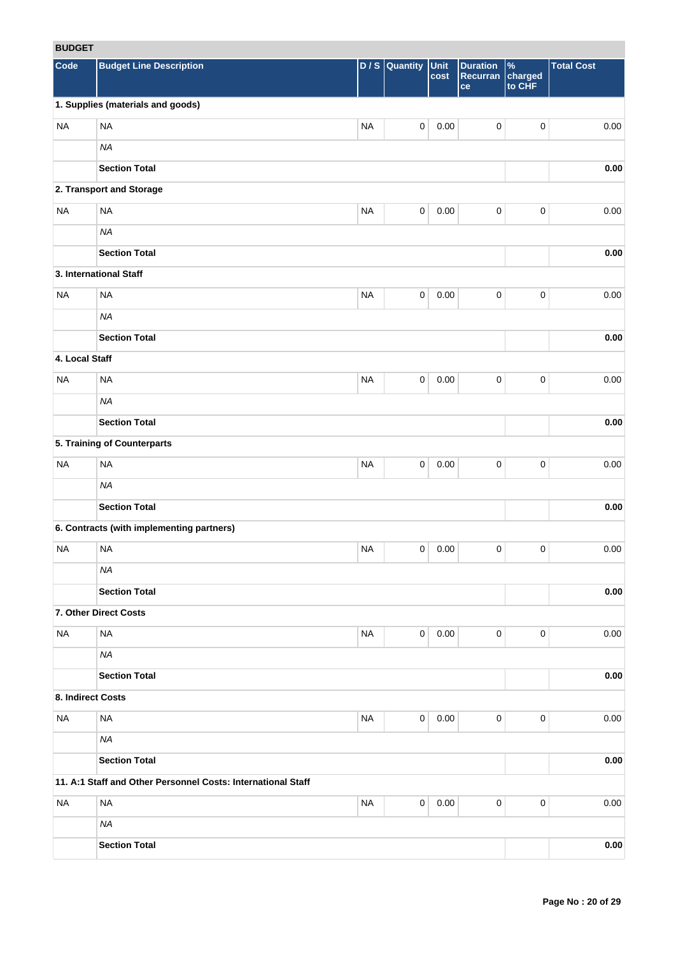# **BUDGET**

| <b>RUDGEI</b>     |                                                              |           |                     |              |                                   |                                    |                   |
|-------------------|--------------------------------------------------------------|-----------|---------------------|--------------|-----------------------------------|------------------------------------|-------------------|
| Code              | <b>Budget Line Description</b>                               | D/S       | Quantity            | Unit<br>cost | <b>Duration</b><br>Recurran<br>ce | $\frac{9}{6}$<br>charged<br>to CHF | <b>Total Cost</b> |
|                   | 1. Supplies (materials and goods)                            |           |                     |              |                                   |                                    |                   |
| <b>NA</b>         | <b>NA</b>                                                    | <b>NA</b> | $\mathsf{O}\xspace$ | 0.00         | $\mathbf 0$                       | $\pmb{0}$                          | 0.00              |
|                   | <b>NA</b>                                                    |           |                     |              |                                   |                                    |                   |
|                   | <b>Section Total</b>                                         |           |                     |              |                                   |                                    | 0.00              |
|                   | 2. Transport and Storage                                     |           |                     |              |                                   |                                    |                   |
| <b>NA</b>         | <b>NA</b>                                                    | <b>NA</b> | $\mathsf{O}\xspace$ | 0.00         | $\mathbf 0$                       | $\pmb{0}$                          | 0.00              |
|                   | <b>NA</b>                                                    |           |                     |              |                                   |                                    |                   |
|                   | <b>Section Total</b>                                         |           |                     |              |                                   |                                    | 0.00              |
|                   | 3. International Staff                                       |           |                     |              |                                   |                                    |                   |
| <b>NA</b>         | <b>NA</b>                                                    | <b>NA</b> | $\mathbf 0$         | 0.00         | $\mathbf 0$                       | $\pmb{0}$                          | 0.00              |
|                   | <b>NA</b>                                                    |           |                     |              |                                   |                                    |                   |
|                   |                                                              |           |                     |              |                                   |                                    |                   |
|                   | <b>Section Total</b>                                         |           |                     |              |                                   |                                    | 0.00              |
| 4. Local Staff    |                                                              |           |                     |              |                                   |                                    |                   |
| <b>NA</b>         | <b>NA</b>                                                    | <b>NA</b> | $\mathbf 0$         | 0.00         | $\pmb{0}$                         | $\pmb{0}$                          | 0.00              |
|                   | <b>NA</b>                                                    |           |                     |              |                                   |                                    |                   |
|                   | <b>Section Total</b>                                         |           |                     |              |                                   |                                    | 0.00              |
|                   | 5. Training of Counterparts                                  |           |                     |              |                                   |                                    |                   |
| <b>NA</b>         | <b>NA</b>                                                    | <b>NA</b> | 0                   | 0.00         | $\pmb{0}$                         | 0                                  | 0.00              |
|                   | <b>NA</b>                                                    |           |                     |              |                                   |                                    |                   |
|                   | <b>Section Total</b>                                         |           |                     |              |                                   |                                    | 0.00              |
|                   | 6. Contracts (with implementing partners)                    |           |                     |              |                                   |                                    |                   |
| <b>NA</b>         | <b>NA</b>                                                    | <b>NA</b> | 0                   | 0.00         | 0                                 | 0                                  | 0.00              |
|                   | NA                                                           |           |                     |              |                                   |                                    |                   |
|                   | <b>Section Total</b>                                         |           |                     |              |                                   |                                    | $0.00\,$          |
|                   | 7. Other Direct Costs                                        |           |                     |              |                                   |                                    |                   |
| <b>NA</b>         | $\sf NA$                                                     | <b>NA</b> | $\mathsf{O}\xspace$ | 0.00         | $\mathbf 0$                       | 0                                  | 0.00              |
|                   | <b>NA</b>                                                    |           |                     |              |                                   |                                    |                   |
|                   | <b>Section Total</b>                                         |           |                     |              |                                   |                                    | 0.00              |
| 8. Indirect Costs |                                                              |           |                     |              |                                   |                                    |                   |
| <b>NA</b>         | <b>NA</b>                                                    | <b>NA</b> | $\mathbf 0$         | 0.00         | $\mathbf 0$                       | 0                                  | 0.00              |
|                   | <b>NA</b>                                                    |           |                     |              |                                   |                                    |                   |
|                   | <b>Section Total</b>                                         |           |                     |              |                                   |                                    | 0.00              |
|                   | 11. A:1 Staff and Other Personnel Costs: International Staff |           |                     |              |                                   |                                    |                   |
| <b>NA</b>         | <b>NA</b>                                                    | <b>NA</b> | $\mathsf{O}\xspace$ | 0.00         | $\mathbf 0$                       | 0                                  | 0.00              |
|                   | <b>NA</b>                                                    |           |                     |              |                                   |                                    |                   |
|                   | <b>Section Total</b>                                         |           |                     |              |                                   |                                    | $0.00\,$          |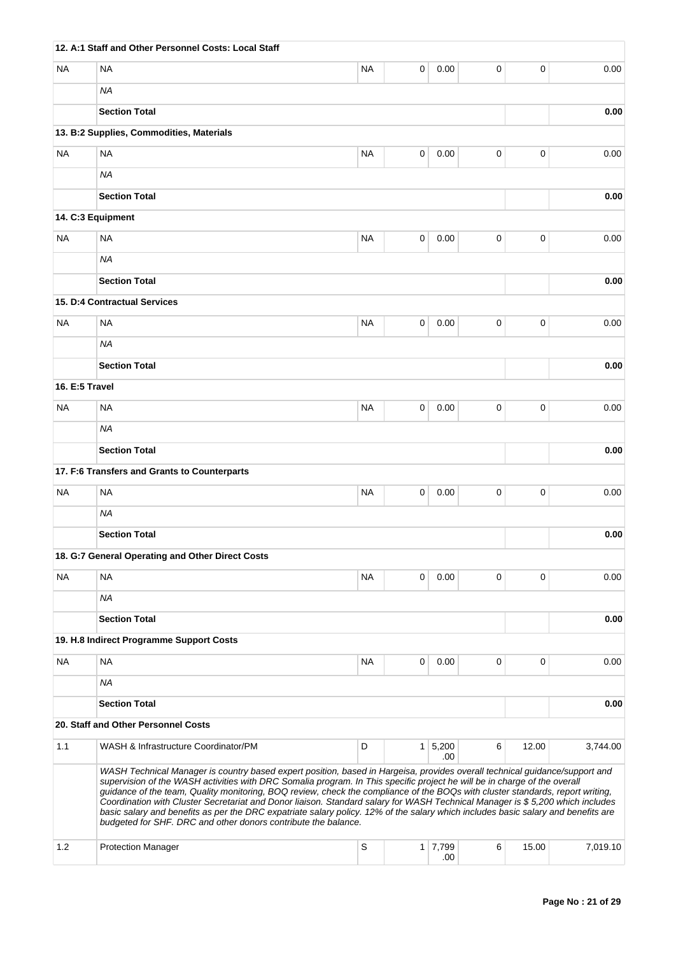|                | 12. A:1 Staff and Other Personnel Costs: Local Staff                                                                                                                                                                                                                                                                                                                                                                                                                                                                                                                                                                                                                                                                               |             |   |                       |   |             |          |
|----------------|------------------------------------------------------------------------------------------------------------------------------------------------------------------------------------------------------------------------------------------------------------------------------------------------------------------------------------------------------------------------------------------------------------------------------------------------------------------------------------------------------------------------------------------------------------------------------------------------------------------------------------------------------------------------------------------------------------------------------------|-------------|---|-----------------------|---|-------------|----------|
| NA             | <b>NA</b>                                                                                                                                                                                                                                                                                                                                                                                                                                                                                                                                                                                                                                                                                                                          | <b>NA</b>   | 0 | 0.00                  | 0 | 0           | 0.00     |
|                | <b>NA</b>                                                                                                                                                                                                                                                                                                                                                                                                                                                                                                                                                                                                                                                                                                                          |             |   |                       |   |             |          |
|                | <b>Section Total</b>                                                                                                                                                                                                                                                                                                                                                                                                                                                                                                                                                                                                                                                                                                               |             |   |                       |   |             | 0.00     |
|                | 13. B:2 Supplies, Commodities, Materials                                                                                                                                                                                                                                                                                                                                                                                                                                                                                                                                                                                                                                                                                           |             |   |                       |   |             |          |
| NA             | <b>NA</b>                                                                                                                                                                                                                                                                                                                                                                                                                                                                                                                                                                                                                                                                                                                          | <b>NA</b>   | 0 | 0.00                  | 0 | 0           | 0.00     |
|                | <b>NA</b>                                                                                                                                                                                                                                                                                                                                                                                                                                                                                                                                                                                                                                                                                                                          |             |   |                       |   |             |          |
|                | <b>Section Total</b>                                                                                                                                                                                                                                                                                                                                                                                                                                                                                                                                                                                                                                                                                                               |             |   |                       |   |             | 0.00     |
|                | 14. C:3 Equipment                                                                                                                                                                                                                                                                                                                                                                                                                                                                                                                                                                                                                                                                                                                  |             |   |                       |   |             |          |
| NA             | <b>NA</b>                                                                                                                                                                                                                                                                                                                                                                                                                                                                                                                                                                                                                                                                                                                          | NA          | 0 | 0.00                  | 0 | 0           | 0.00     |
|                | <b>NA</b>                                                                                                                                                                                                                                                                                                                                                                                                                                                                                                                                                                                                                                                                                                                          |             |   |                       |   |             |          |
|                | <b>Section Total</b>                                                                                                                                                                                                                                                                                                                                                                                                                                                                                                                                                                                                                                                                                                               |             |   |                       |   |             | 0.00     |
|                | 15. D:4 Contractual Services                                                                                                                                                                                                                                                                                                                                                                                                                                                                                                                                                                                                                                                                                                       |             |   |                       |   |             |          |
| NA             | <b>NA</b>                                                                                                                                                                                                                                                                                                                                                                                                                                                                                                                                                                                                                                                                                                                          | <b>NA</b>   | 0 | 0.00                  | 0 | $\mathbf 0$ | 0.00     |
|                | <b>NA</b>                                                                                                                                                                                                                                                                                                                                                                                                                                                                                                                                                                                                                                                                                                                          |             |   |                       |   |             |          |
|                | <b>Section Total</b>                                                                                                                                                                                                                                                                                                                                                                                                                                                                                                                                                                                                                                                                                                               |             |   |                       |   |             | 0.00     |
| 16. E:5 Travel |                                                                                                                                                                                                                                                                                                                                                                                                                                                                                                                                                                                                                                                                                                                                    |             |   |                       |   |             |          |
| <b>NA</b>      | <b>NA</b>                                                                                                                                                                                                                                                                                                                                                                                                                                                                                                                                                                                                                                                                                                                          | <b>NA</b>   | 0 | 0.00                  | 0 | 0           | 0.00     |
|                | ΝA                                                                                                                                                                                                                                                                                                                                                                                                                                                                                                                                                                                                                                                                                                                                 |             |   |                       |   |             |          |
|                | <b>Section Total</b>                                                                                                                                                                                                                                                                                                                                                                                                                                                                                                                                                                                                                                                                                                               |             |   |                       |   |             | 0.00     |
|                | 17. F:6 Transfers and Grants to Counterparts                                                                                                                                                                                                                                                                                                                                                                                                                                                                                                                                                                                                                                                                                       |             |   |                       |   |             |          |
| NA             | <b>NA</b>                                                                                                                                                                                                                                                                                                                                                                                                                                                                                                                                                                                                                                                                                                                          | NA          | 0 | 0.00                  | 0 | 0           | 0.00     |
|                | <b>NA</b>                                                                                                                                                                                                                                                                                                                                                                                                                                                                                                                                                                                                                                                                                                                          |             |   |                       |   |             |          |
|                | <b>Section Total</b>                                                                                                                                                                                                                                                                                                                                                                                                                                                                                                                                                                                                                                                                                                               |             |   |                       |   |             | 0.00     |
|                | 18. G:7 General Operating and Other Direct Costs                                                                                                                                                                                                                                                                                                                                                                                                                                                                                                                                                                                                                                                                                   |             |   |                       |   |             |          |
| NA             | <b>NA</b>                                                                                                                                                                                                                                                                                                                                                                                                                                                                                                                                                                                                                                                                                                                          | NA          | 0 | 0.00                  | 0 | 0           | 0.00     |
|                | <b>NA</b>                                                                                                                                                                                                                                                                                                                                                                                                                                                                                                                                                                                                                                                                                                                          |             |   |                       |   |             |          |
|                | <b>Section Total</b>                                                                                                                                                                                                                                                                                                                                                                                                                                                                                                                                                                                                                                                                                                               |             |   |                       |   |             | 0.00     |
|                | 19. H.8 Indirect Programme Support Costs                                                                                                                                                                                                                                                                                                                                                                                                                                                                                                                                                                                                                                                                                           |             |   |                       |   |             |          |
| NA             | <b>NA</b>                                                                                                                                                                                                                                                                                                                                                                                                                                                                                                                                                                                                                                                                                                                          | <b>NA</b>   | 0 | 0.00                  | 0 | 0           | 0.00     |
|                | ΝA                                                                                                                                                                                                                                                                                                                                                                                                                                                                                                                                                                                                                                                                                                                                 |             |   |                       |   |             |          |
|                | <b>Section Total</b>                                                                                                                                                                                                                                                                                                                                                                                                                                                                                                                                                                                                                                                                                                               |             |   |                       |   |             | 0.00     |
|                | 20. Staff and Other Personnel Costs                                                                                                                                                                                                                                                                                                                                                                                                                                                                                                                                                                                                                                                                                                |             |   |                       |   |             |          |
| 1.1            | WASH & Infrastructure Coordinator/PM                                                                                                                                                                                                                                                                                                                                                                                                                                                                                                                                                                                                                                                                                               | D           |   | $1 \mid 5,200$<br>.00 | 6 | 12.00       | 3,744.00 |
|                | WASH Technical Manager is country based expert position, based in Hargeisa, provides overall technical guidance/support and<br>supervision of the WASH activities with DRC Somalia program. In This specific project he will be in charge of the overall<br>guidance of the team, Quality monitoring, BOQ review, check the compliance of the BOQs with cluster standards, report writing,<br>Coordination with Cluster Secretariat and Donor liaison. Standard salary for WASH Technical Manager is \$5,200 which includes<br>basic salary and benefits as per the DRC expatriate salary policy. 12% of the salary which includes basic salary and benefits are<br>budgeted for SHF. DRC and other donors contribute the balance. |             |   |                       |   |             |          |
| 1.2            | <b>Protection Manager</b>                                                                                                                                                                                                                                                                                                                                                                                                                                                                                                                                                                                                                                                                                                          | $\mathsf S$ |   | $1 \mid 7,799$<br>.00 | 6 | 15.00       | 7,019.10 |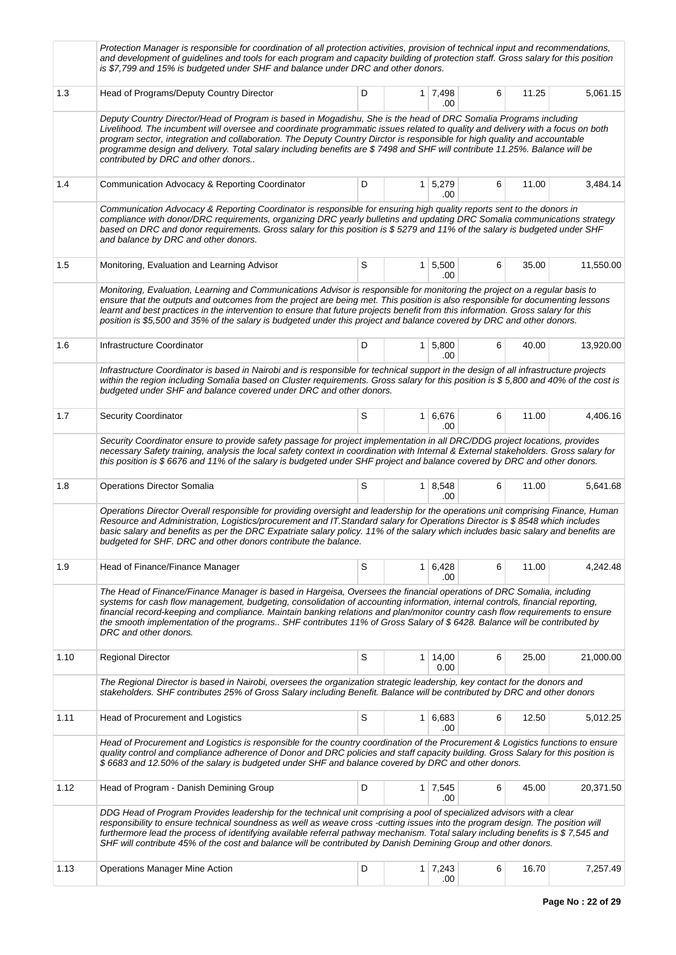|      | Protection Manager is responsible for coordination of all protection activities, provision of technical input and recommendations,<br>and development of guidelines and tools for each program and capacity building of protection staff. Gross salary for this position<br>is \$7,799 and 15% is budgeted under SHF and balance under DRC and other donors.                                                                                                                                                                                        |   |                |                              |   |       |           |
|------|-----------------------------------------------------------------------------------------------------------------------------------------------------------------------------------------------------------------------------------------------------------------------------------------------------------------------------------------------------------------------------------------------------------------------------------------------------------------------------------------------------------------------------------------------------|---|----------------|------------------------------|---|-------|-----------|
| 1.3  | Head of Programs/Deputy Country Director                                                                                                                                                                                                                                                                                                                                                                                                                                                                                                            | D |                | $1 \mid 7,498$<br>.00        | 6 | 11.25 | 5,061.15  |
|      | Deputy Country Director/Head of Program is based in Mogadishu, She is the head of DRC Somalia Programs including<br>Livelihood. The incumbent will oversee and coordinate programmatic issues related to quality and delivery with a focus on both<br>program sector, integration and collaboration. The Deputy Country Dirctor is responsible for high quality and accountable<br>programme design and delivery. Total salary including benefits are \$7498 and SHF will contribute 11.25%. Balance will be<br>contributed by DRC and other donors |   |                |                              |   |       |           |
| 1.4  | Communication Advocacy & Reporting Coordinator                                                                                                                                                                                                                                                                                                                                                                                                                                                                                                      | D |                | $1 \mid 5,279$<br>.00        | 6 | 11.00 | 3,484.14  |
|      | Communication Advocacy & Reporting Coordinator is responsible for ensuring high quality reports sent to the donors in<br>compliance with donor/DRC requirements, organizing DRC yearly bulletins and updating DRC Somalia communications strategy<br>based on DRC and donor requirements. Gross salary for this position is \$5279 and 11% of the salary is budgeted under SHF<br>and balance by DRC and other donors.                                                                                                                              |   |                |                              |   |       |           |
| 1.5  | Monitoring, Evaluation and Learning Advisor                                                                                                                                                                                                                                                                                                                                                                                                                                                                                                         | S |                | $1 \mid 5,500$<br>.00        | 6 | 35.00 | 11,550.00 |
|      | Monitoring, Evaluation, Learning and Communications Advisor is responsible for monitoring the project on a regular basis to<br>ensure that the outputs and outcomes from the project are being met. This position is also responsible for documenting lessons<br>learnt and best practices in the intervention to ensure that future projects benefit from this information. Gross salary for this<br>position is \$5,500 and 35% of the salary is budgeted under this project and balance covered by DRC and other donors.                         |   |                |                              |   |       |           |
| 1.6  | Infrastructure Coordinator                                                                                                                                                                                                                                                                                                                                                                                                                                                                                                                          | D | 1 <sup>1</sup> | 5,800<br>.00                 | 6 | 40.00 | 13,920.00 |
|      | Infrastructure Coordinator is based in Nairobi and is responsible for technical support in the design of all infrastructure projects<br>within the region including Somalia based on Cluster requirements. Gross salary for this position is \$5,800 and 40% of the cost is<br>budgeted under SHF and balance covered under DRC and other donors.                                                                                                                                                                                                   |   |                |                              |   |       |           |
| 1.7  | <b>Security Coordinator</b>                                                                                                                                                                                                                                                                                                                                                                                                                                                                                                                         | S |                | $1 \vert 6,676 \vert$<br>.00 | 6 | 11.00 | 4,406.16  |
|      | Security Coordinator ensure to provide safety passage for project implementation in all DRC/DDG project locations, provides<br>necessary Safety training, analysis the local safety context in coordination with Internal & External stakeholders. Gross salary for<br>this position is \$6676 and 11% of the salary is budgeted under SHF project and balance covered by DRC and other donors.                                                                                                                                                     |   |                |                              |   |       |           |
| 1.8  | <b>Operations Director Somalia</b>                                                                                                                                                                                                                                                                                                                                                                                                                                                                                                                  | S |                | $1 \mid 8,548$<br>.00        | 6 | 11.00 | 5,641.68  |
|      | Operations Director Overall responsible for providing oversight and leadership for the operations unit comprising Finance, Human<br>Resource and Administration, Logistics/procurement and IT.Standard salary for Operations Director is \$8548 which includes<br>basic salary and benefits as per the DRC Expatriate salary policy. 11% of the salary which includes basic salary and benefits are<br>budgeted for SHF. DRC and other donors contribute the balance.                                                                               |   |                |                              |   |       |           |
| 1.9  | Head of Finance/Finance Manager                                                                                                                                                                                                                                                                                                                                                                                                                                                                                                                     | S |                | $1 \mid 6,428$<br>.00        | 6 | 11.00 | 4,242.48  |
|      | The Head of Finance/Finance Manager is based in Hargeisa, Oversees the financial operations of DRC Somalia, including<br>systems for cash flow management, budgeting, consolidation of accounting information, internal controls, financial reporting,<br>financial record-keeping and compliance. Maintain banking relations and plan/monitor country cash flow requirements to ensure<br>the smooth implementation of the programs SHF contributes 11% of Gross Salary of \$6428. Balance will be contributed by<br>DRC and other donors.         |   |                |                              |   |       |           |
| 1.10 | <b>Regional Director</b>                                                                                                                                                                                                                                                                                                                                                                                                                                                                                                                            | S |                | $1 \mid 14,00$<br>0.00       | 6 | 25.00 | 21,000.00 |
|      | The Regional Director is based in Nairobi, oversees the organization strategic leadership, key contact for the donors and<br>stakeholders. SHF contributes 25% of Gross Salary including Benefit. Balance will be contributed by DRC and other donors                                                                                                                                                                                                                                                                                               |   |                |                              |   |       |           |
| 1.11 | Head of Procurement and Logistics                                                                                                                                                                                                                                                                                                                                                                                                                                                                                                                   | S |                | $1 \mid 6,683$<br>.00        | 6 | 12.50 | 5,012.25  |
|      | Head of Procurement and Logistics is responsible for the country coordination of the Procurement & Logistics functions to ensure<br>quality control and compliance adherence of Donor and DRC policies and staff capacity building. Gross Salary for this position is<br>\$6683 and 12.50% of the salary is budgeted under SHF and balance covered by DRC and other donors.                                                                                                                                                                         |   |                |                              |   |       |           |
| 1.12 | Head of Program - Danish Demining Group                                                                                                                                                                                                                                                                                                                                                                                                                                                                                                             | D |                | $1 \mid 7,545$<br>.00        | 6 | 45.00 | 20,371.50 |
|      | DDG Head of Program Provides leadership for the technical unit comprising a pool of specialized advisors with a clear<br>responsibility to ensure technical soundness as well as weave cross -cutting issues into the program design. The position will<br>furthermore lead the process of identifying available referral pathway mechanism. Total salary including benefits is \$7,545 and<br>SHF will contribute 45% of the cost and balance will be contributed by Danish Demining Group and other donors.                                       |   |                |                              |   |       |           |
| 1.13 | <b>Operations Manager Mine Action</b>                                                                                                                                                                                                                                                                                                                                                                                                                                                                                                               | D |                | $1 \mid 7,243$<br>.00        | 6 | 16.70 | 7,257.49  |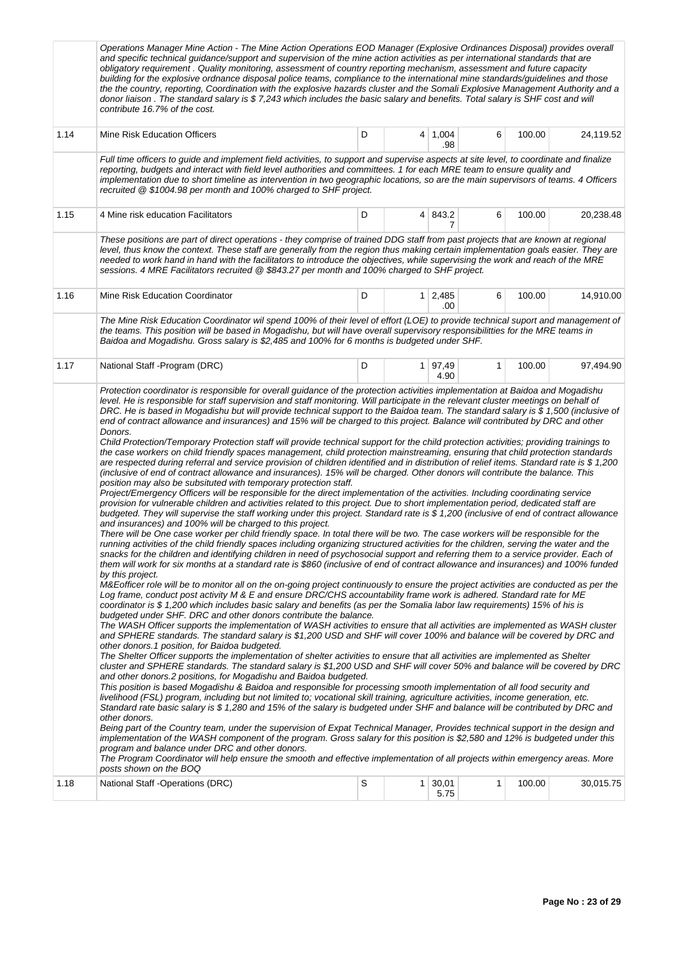|      | Operations Manager Mine Action - The Mine Action Operations EOD Manager (Explosive Ordinances Disposal) provides overall<br>and specific technical guidance/support and supervision of the mine action activities as per international standards that are<br>obligatory requirement. Quality monitoring, assessment of country reporting mechanism, assessment and future capacity<br>building for the explosive ordnance disposal police teams, compliance to the international mine standards/guidelines and those<br>the the country, reporting, Coordination with the explosive hazards cluster and the Somali Explosive Management Authority and a<br>donor liaison. The standard salary is \$7,243 which includes the basic salary and benefits. Total salary is SHF cost and will<br>contribute 16.7% of the cost.                                                                                                                                                                                                                                                                                                                                                                                                                                                                                                                                                                                                                                                                                                                                                                                                                                                                                                                                                                                                                                                                                                                                                                                                                                                                                                                                                                                                                                                                                                                                                                                                                                                                                                                                                                                                                                                                                                                                                                                                                                                                                                                                                                                                                                                                                                                                                                                                                                                                                                                                                                                                                                                                                                                                                                                                                                                                                                                                                                                                                                                                                                                                                                                                                                                                                                                                                                                                                                                                              |   |                |                 |              |        |           |  |
|------|--------------------------------------------------------------------------------------------------------------------------------------------------------------------------------------------------------------------------------------------------------------------------------------------------------------------------------------------------------------------------------------------------------------------------------------------------------------------------------------------------------------------------------------------------------------------------------------------------------------------------------------------------------------------------------------------------------------------------------------------------------------------------------------------------------------------------------------------------------------------------------------------------------------------------------------------------------------------------------------------------------------------------------------------------------------------------------------------------------------------------------------------------------------------------------------------------------------------------------------------------------------------------------------------------------------------------------------------------------------------------------------------------------------------------------------------------------------------------------------------------------------------------------------------------------------------------------------------------------------------------------------------------------------------------------------------------------------------------------------------------------------------------------------------------------------------------------------------------------------------------------------------------------------------------------------------------------------------------------------------------------------------------------------------------------------------------------------------------------------------------------------------------------------------------------------------------------------------------------------------------------------------------------------------------------------------------------------------------------------------------------------------------------------------------------------------------------------------------------------------------------------------------------------------------------------------------------------------------------------------------------------------------------------------------------------------------------------------------------------------------------------------------------------------------------------------------------------------------------------------------------------------------------------------------------------------------------------------------------------------------------------------------------------------------------------------------------------------------------------------------------------------------------------------------------------------------------------------------------------------------------------------------------------------------------------------------------------------------------------------------------------------------------------------------------------------------------------------------------------------------------------------------------------------------------------------------------------------------------------------------------------------------------------------------------------------------------------------------------------------------------------------------------------------------------------------------------------------------------------------------------------------------------------------------------------------------------------------------------------------------------------------------------------------------------------------------------------------------------------------------------------------------------------------------------------------------------------------------------------------------------------------------------------------------------|---|----------------|-----------------|--------------|--------|-----------|--|
| 1.14 | Mine Risk Education Officers                                                                                                                                                                                                                                                                                                                                                                                                                                                                                                                                                                                                                                                                                                                                                                                                                                                                                                                                                                                                                                                                                                                                                                                                                                                                                                                                                                                                                                                                                                                                                                                                                                                                                                                                                                                                                                                                                                                                                                                                                                                                                                                                                                                                                                                                                                                                                                                                                                                                                                                                                                                                                                                                                                                                                                                                                                                                                                                                                                                                                                                                                                                                                                                                                                                                                                                                                                                                                                                                                                                                                                                                                                                                                                                                                                                                                                                                                                                                                                                                                                                                                                                                                                                                                                                                           | D |                | 4 1,004<br>.98  | 6            | 100.00 | 24,119.52 |  |
|      | Full time officers to guide and implement field activities, to support and supervise aspects at site level, to coordinate and finalize<br>reporting, budgets and interact with field level authorities and committees. 1 for each MRE team to ensure quality and<br>implementation due to short timeline as intervention in two geographic locations, so are the main supervisors of teams. 4 Officers<br>recruited @ \$1004.98 per month and 100% charged to SHF project.                                                                                                                                                                                                                                                                                                                                                                                                                                                                                                                                                                                                                                                                                                                                                                                                                                                                                                                                                                                                                                                                                                                                                                                                                                                                                                                                                                                                                                                                                                                                                                                                                                                                                                                                                                                                                                                                                                                                                                                                                                                                                                                                                                                                                                                                                                                                                                                                                                                                                                                                                                                                                                                                                                                                                                                                                                                                                                                                                                                                                                                                                                                                                                                                                                                                                                                                                                                                                                                                                                                                                                                                                                                                                                                                                                                                                             |   |                |                 |              |        |           |  |
| 1.15 | D<br>4 843.2<br>100.00<br>4 Mine risk education Facilitators<br>6                                                                                                                                                                                                                                                                                                                                                                                                                                                                                                                                                                                                                                                                                                                                                                                                                                                                                                                                                                                                                                                                                                                                                                                                                                                                                                                                                                                                                                                                                                                                                                                                                                                                                                                                                                                                                                                                                                                                                                                                                                                                                                                                                                                                                                                                                                                                                                                                                                                                                                                                                                                                                                                                                                                                                                                                                                                                                                                                                                                                                                                                                                                                                                                                                                                                                                                                                                                                                                                                                                                                                                                                                                                                                                                                                                                                                                                                                                                                                                                                                                                                                                                                                                                                                                      |   |                |                 |              |        |           |  |
|      | These positions are part of direct operations - they comprise of trained DDG staff from past projects that are known at regional<br>level, thus know the context. These staff are generally from the region thus making certain implementation goals easier. They are<br>needed to work hand in hand with the facilitators to introduce the objectives, while supervising the work and reach of the MRE<br>sessions. 4 MRE Facilitators recruited @ \$843.27 per month and 100% charged to SHF project.                                                                                                                                                                                                                                                                                                                                                                                                                                                                                                                                                                                                                                                                                                                                                                                                                                                                                                                                                                                                                                                                                                                                                                                                                                                                                                                                                                                                                                                                                                                                                                                                                                                                                                                                                                                                                                                                                                                                                                                                                                                                                                                                                                                                                                                                                                                                                                                                                                                                                                                                                                                                                                                                                                                                                                                                                                                                                                                                                                                                                                                                                                                                                                                                                                                                                                                                                                                                                                                                                                                                                                                                                                                                                                                                                                                                |   |                |                 |              |        |           |  |
| 1.16 | Mine Risk Education Coordinator                                                                                                                                                                                                                                                                                                                                                                                                                                                                                                                                                                                                                                                                                                                                                                                                                                                                                                                                                                                                                                                                                                                                                                                                                                                                                                                                                                                                                                                                                                                                                                                                                                                                                                                                                                                                                                                                                                                                                                                                                                                                                                                                                                                                                                                                                                                                                                                                                                                                                                                                                                                                                                                                                                                                                                                                                                                                                                                                                                                                                                                                                                                                                                                                                                                                                                                                                                                                                                                                                                                                                                                                                                                                                                                                                                                                                                                                                                                                                                                                                                                                                                                                                                                                                                                                        | D | 1 <sup>1</sup> | 2,485<br>.00    | 6            | 100.00 | 14,910.00 |  |
|      | The Mine Risk Education Coordinator wil spend 100% of their level of effort (LOE) to provide technical suport and management of<br>the teams. This position will be based in Mogadishu, but will have overall supervisory responsibilitties for the MRE teams in<br>Baidoa and Mogadishu. Gross salary is \$2,485 and 100% for 6 months is budgeted under SHF.                                                                                                                                                                                                                                                                                                                                                                                                                                                                                                                                                                                                                                                                                                                                                                                                                                                                                                                                                                                                                                                                                                                                                                                                                                                                                                                                                                                                                                                                                                                                                                                                                                                                                                                                                                                                                                                                                                                                                                                                                                                                                                                                                                                                                                                                                                                                                                                                                                                                                                                                                                                                                                                                                                                                                                                                                                                                                                                                                                                                                                                                                                                                                                                                                                                                                                                                                                                                                                                                                                                                                                                                                                                                                                                                                                                                                                                                                                                                         |   |                |                 |              |        |           |  |
| 1.17 | National Staff - Program (DRC)                                                                                                                                                                                                                                                                                                                                                                                                                                                                                                                                                                                                                                                                                                                                                                                                                                                                                                                                                                                                                                                                                                                                                                                                                                                                                                                                                                                                                                                                                                                                                                                                                                                                                                                                                                                                                                                                                                                                                                                                                                                                                                                                                                                                                                                                                                                                                                                                                                                                                                                                                                                                                                                                                                                                                                                                                                                                                                                                                                                                                                                                                                                                                                                                                                                                                                                                                                                                                                                                                                                                                                                                                                                                                                                                                                                                                                                                                                                                                                                                                                                                                                                                                                                                                                                                         | D |                | 1 97,49<br>4.90 | 1            | 100.00 | 97,494.90 |  |
| 1.18 | Protection coordinator is responsible for overall guidance of the protection activities implementation at Baidoa and Mogadishu<br>level. He is responsible for staff supervision and staff monitoring. Will participate in the relevant cluster meetings on behalf of<br>DRC. He is based in Mogadishu but will provide technical support to the Baidoa team. The standard salary is \$ 1,500 (inclusive of<br>end of contract allowance and insurances) and 15% will be charged to this project. Balance will contributed by DRC and other<br>Donors.<br>Child Protection/Temporary Protection staff will provide technical support for the child protection activities; providing trainings to<br>the case workers on child friendly spaces management, child protection mainstreaming, ensuring that child protection standards<br>are respected during referral and service provision of children identified and in distribution of relief items. Standard rate is \$1,200<br>(inclusive of end of contract allowance and insurances). 15% will be charged. Other donors will contribute the balance. This<br>position may also be subsituted with temporary protection staff.<br>Project/Emergency Officers will be responsible for the direct implementation of the activities. Including coordinating service<br>provision for vulnerable children and activities related to this project. Due to short implementation period, dedicated staff are<br>budgeted. They will supervise the staff working under this project. Standard rate is \$ 1,200 (inclusive of end of contract allowance<br>and insurances) and 100% will be charged to this project.<br>There will be One case worker per child friendly space. In total there will be two. The case workers will be responsible for the<br>running activities of the child friendly spaces including organizing structured activities for the children, serving the water and the<br>snacks for the children and identifying children in need of psychosocial support and referring them to a service provider. Each of<br>them will work for six months at a standard rate is \$860 (inclusive of end of contract allowance and insurances) and 100% funded<br>by this project.<br>M&Eofficer role will be to monitor all on the on-going project continuously to ensure the project activities are conducted as per the<br>Log frame, conduct post activity M & E and ensure DRC/CHS accountability frame work is adhered. Standard rate for ME<br>coordinator is \$1,200 which includes basic salary and benefits (as per the Somalia labor law requirements) 15% of his is<br>budgeted under SHF. DRC and other donors contribute the balance.<br>The WASH Officer supports the implementation of WASH activities to ensure that all activities are implemented as WASH cluster<br>and SPHERE standards. The standard salary is \$1,200 USD and SHF will cover 100% and balance will be covered by DRC and<br>other donors.1 position, for Baidoa budgeted.<br>The Shelter Officer supports the implementation of shelter activities to ensure that all activities are implemented as Shelter<br>cluster and SPHERE standards. The standard salary is \$1,200 USD and SHF will cover 50% and balance will be covered by DRC<br>and other donors.2 positions, for Mogadishu and Baidoa budgeted.<br>This position is based Mogadishu & Baidoa and responsible for processing smooth implementation of all food security and<br>livelihood (FSL) program, including but not limited to; vocational skill training, agriculture activities, income generation, etc.<br>Standard rate basic salary is \$1,280 and 15% of the salary is budgeted under SHF and balance will be contributed by DRC and<br>other donors.<br>Being part of the Country team, under the supervision of Expat Technical Manager, Provides technical support in the design and<br>implementation of the WASH component of the program. Gross salary for this position is \$2,580 and 12% is budgeted under this<br>program and balance under DRC and other donors.<br>The Program Coordinator will help ensure the smooth and effective implementation of all projects within emergency areas. More<br>posts shown on the BOQ<br>National Staff -Operations (DRC) | S |                | $1 \mid 30,01$  | $\mathbf{1}$ | 100.00 | 30,015.75 |  |
|      |                                                                                                                                                                                                                                                                                                                                                                                                                                                                                                                                                                                                                                                                                                                                                                                                                                                                                                                                                                                                                                                                                                                                                                                                                                                                                                                                                                                                                                                                                                                                                                                                                                                                                                                                                                                                                                                                                                                                                                                                                                                                                                                                                                                                                                                                                                                                                                                                                                                                                                                                                                                                                                                                                                                                                                                                                                                                                                                                                                                                                                                                                                                                                                                                                                                                                                                                                                                                                                                                                                                                                                                                                                                                                                                                                                                                                                                                                                                                                                                                                                                                                                                                                                                                                                                                                                        |   |                | 5.75            |              |        |           |  |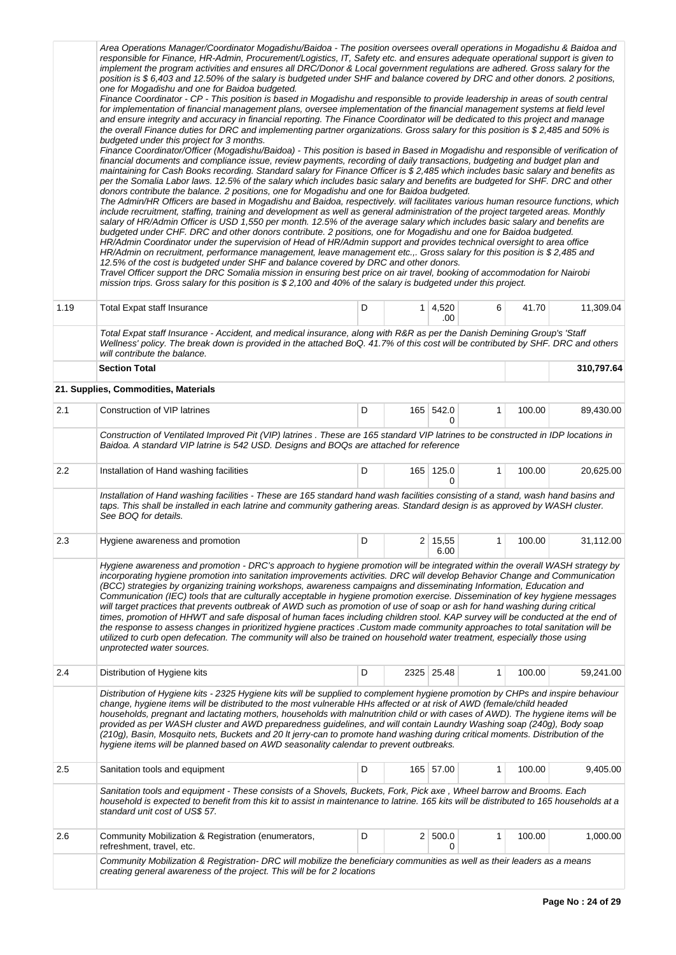|         | Area Operations Manager/Coordinator Mogadishu/Baidoa - The position oversees overall operations in Mogadishu & Baidoa and<br>responsible for Finance, HR-Admin, Procurement/Logistics, IT, Safety etc. and ensures adequate operational support is given to<br>implement the program activities and ensures all DRC/Donor & Local government regulations are adhered. Gross salary for the<br>position is \$6,403 and 12.50% of the salary is budgeted under SHF and balance covered by DRC and other donors. 2 positions,<br>one for Mogadishu and one for Baidoa budgeted.<br>Finance Coordinator - CP - This position is based in Mogadishu and responsible to provide leadership in areas of south central<br>for implementation of financial management plans, oversee implementation of the financial management systems at field level<br>and ensure integrity and accuracy in financial reporting. The Finance Coordinator will be dedicated to this project and manage<br>the overall Finance duties for DRC and implementing partner organizations. Gross salary for this position is \$2,485 and 50% is<br>budgeted under this project for 3 months.<br>Finance Coordinator/Officer (Mogadishu/Baidoa) - This position is based in Based in Mogadishu and responsible of verification of<br>financial documents and compliance issue, review payments, recording of daily transactions, budgeting and budget plan and<br>maintaining for Cash Books recording. Standard salary for Finance Officer is \$2,485 which includes basic salary and benefits as<br>per the Somalia Labor laws. 12.5% of the salary which includes basic salary and benefits are budgeted for SHF. DRC and other<br>donors contribute the balance. 2 positions, one for Mogadishu and one for Baidoa budgeted.<br>The Admin/HR Officers are based in Mogadishu and Baidoa, respectively. will facilitates various human resource functions, which<br>include recruitment, staffing, training and development as well as general administration of the project targeted areas. Monthly<br>salary of HR/Admin Officer is USD 1,550 per month. 12.5% of the average salary which includes basic salary and benefits are<br>budgeted under CHF. DRC and other donors contribute. 2 positions, one for Mogadishu and one for Baidoa budgeted.<br>HR/Admin Coordinator under the supervision of Head of HR/Admin support and provides technical oversight to area office<br>HR/Admin on recruitment, performance management, leave management etc.,. Gross salary for this position is \$2,485 and<br>12.5% of the cost is budgeted under SHF and balance covered by DRC and other donors.<br>Travel Officer support the DRC Somalia mission in ensuring best price on air travel, booking of accommodation for Nairobi<br>mission trips. Gross salary for this position is \$2,100 and 40% of the salary is budgeted under this project. |   |                |                 |   |        |            |
|---------|-------------------------------------------------------------------------------------------------------------------------------------------------------------------------------------------------------------------------------------------------------------------------------------------------------------------------------------------------------------------------------------------------------------------------------------------------------------------------------------------------------------------------------------------------------------------------------------------------------------------------------------------------------------------------------------------------------------------------------------------------------------------------------------------------------------------------------------------------------------------------------------------------------------------------------------------------------------------------------------------------------------------------------------------------------------------------------------------------------------------------------------------------------------------------------------------------------------------------------------------------------------------------------------------------------------------------------------------------------------------------------------------------------------------------------------------------------------------------------------------------------------------------------------------------------------------------------------------------------------------------------------------------------------------------------------------------------------------------------------------------------------------------------------------------------------------------------------------------------------------------------------------------------------------------------------------------------------------------------------------------------------------------------------------------------------------------------------------------------------------------------------------------------------------------------------------------------------------------------------------------------------------------------------------------------------------------------------------------------------------------------------------------------------------------------------------------------------------------------------------------------------------------------------------------------------------------------------------------------------------------------------------------------------------------------------------------------------------------------------------------------------------------------------------------------------------------------------------------------------------------------------------------------------------------|---|----------------|-----------------|---|--------|------------|
| 1.19    | <b>Total Expat staff Insurance</b><br>Total Expat staff Insurance - Accident, and medical insurance, along with R&R as per the Danish Demining Group's 'Staff<br>Wellness' policy. The break down is provided in the attached BoQ. 41.7% of this cost will be contributed by SHF. DRC and others                                                                                                                                                                                                                                                                                                                                                                                                                                                                                                                                                                                                                                                                                                                                                                                                                                                                                                                                                                                                                                                                                                                                                                                                                                                                                                                                                                                                                                                                                                                                                                                                                                                                                                                                                                                                                                                                                                                                                                                                                                                                                                                                                                                                                                                                                                                                                                                                                                                                                                                                                                                                                        | D | 1 <sup>1</sup> | 4,520<br>.00    | 6 | 41.70  | 11,309.04  |
|         | will contribute the balance.<br><b>Section Total</b>                                                                                                                                                                                                                                                                                                                                                                                                                                                                                                                                                                                                                                                                                                                                                                                                                                                                                                                                                                                                                                                                                                                                                                                                                                                                                                                                                                                                                                                                                                                                                                                                                                                                                                                                                                                                                                                                                                                                                                                                                                                                                                                                                                                                                                                                                                                                                                                                                                                                                                                                                                                                                                                                                                                                                                                                                                                                    |   |                |                 |   |        | 310,797.64 |
|         | 21. Supplies, Commodities, Materials                                                                                                                                                                                                                                                                                                                                                                                                                                                                                                                                                                                                                                                                                                                                                                                                                                                                                                                                                                                                                                                                                                                                                                                                                                                                                                                                                                                                                                                                                                                                                                                                                                                                                                                                                                                                                                                                                                                                                                                                                                                                                                                                                                                                                                                                                                                                                                                                                                                                                                                                                                                                                                                                                                                                                                                                                                                                                    |   |                |                 |   |        |            |
| 2.1     | Construction of VIP latrines                                                                                                                                                                                                                                                                                                                                                                                                                                                                                                                                                                                                                                                                                                                                                                                                                                                                                                                                                                                                                                                                                                                                                                                                                                                                                                                                                                                                                                                                                                                                                                                                                                                                                                                                                                                                                                                                                                                                                                                                                                                                                                                                                                                                                                                                                                                                                                                                                                                                                                                                                                                                                                                                                                                                                                                                                                                                                            | D |                | 165 542.0       | 1 | 100.00 | 89,430.00  |
|         | 0<br>Construction of Ventilated Improved Pit (VIP) latrines. These are 165 standard VIP latrines to be constructed in IDP locations in<br>Baidoa. A standard VIP latrine is 542 USD. Designs and BOQs are attached for reference                                                                                                                                                                                                                                                                                                                                                                                                                                                                                                                                                                                                                                                                                                                                                                                                                                                                                                                                                                                                                                                                                                                                                                                                                                                                                                                                                                                                                                                                                                                                                                                                                                                                                                                                                                                                                                                                                                                                                                                                                                                                                                                                                                                                                                                                                                                                                                                                                                                                                                                                                                                                                                                                                        |   |                |                 |   |        |            |
| $2.2\,$ | Installation of Hand washing facilities                                                                                                                                                                                                                                                                                                                                                                                                                                                                                                                                                                                                                                                                                                                                                                                                                                                                                                                                                                                                                                                                                                                                                                                                                                                                                                                                                                                                                                                                                                                                                                                                                                                                                                                                                                                                                                                                                                                                                                                                                                                                                                                                                                                                                                                                                                                                                                                                                                                                                                                                                                                                                                                                                                                                                                                                                                                                                 | D |                | 165 125.0<br>0  | 1 | 100.00 | 20,625.00  |
|         | Installation of Hand washing facilities - These are 165 standard hand wash facilities consisting of a stand, wash hand basins and<br>taps. This shall be installed in each latrine and community gathering areas. Standard design is as approved by WASH cluster.<br>See BOQ for details.                                                                                                                                                                                                                                                                                                                                                                                                                                                                                                                                                                                                                                                                                                                                                                                                                                                                                                                                                                                                                                                                                                                                                                                                                                                                                                                                                                                                                                                                                                                                                                                                                                                                                                                                                                                                                                                                                                                                                                                                                                                                                                                                                                                                                                                                                                                                                                                                                                                                                                                                                                                                                               |   |                |                 |   |        |            |
| 2.3     | Hygiene awareness and promotion                                                                                                                                                                                                                                                                                                                                                                                                                                                                                                                                                                                                                                                                                                                                                                                                                                                                                                                                                                                                                                                                                                                                                                                                                                                                                                                                                                                                                                                                                                                                                                                                                                                                                                                                                                                                                                                                                                                                                                                                                                                                                                                                                                                                                                                                                                                                                                                                                                                                                                                                                                                                                                                                                                                                                                                                                                                                                         | D |                | 2 15,55<br>6.00 | 1 | 100.00 | 31,112.00  |
|         | Hygiene awareness and promotion - DRC's approach to hygiene promotion will be integrated within the overall WASH strategy by<br>incorporating hygiene promotion into sanitation improvements activities. DRC will develop Behavior Change and Communication<br>(BCC) strategies by organizing training workshops, awareness campaigns and disseminating Information, Education and<br>Communication (IEC) tools that are culturally acceptable in hygiene promotion exercise. Dissemination of key hygiene messages<br>will target practices that prevents outbreak of AWD such as promotion of use of soap or ash for hand washing during critical<br>times, promotion of HHWT and safe disposal of human faces including children stool. KAP survey will be conducted at the end of<br>the response to assess changes in prioritized hygiene practices .Custom made community approaches to total sanitation will be<br>utilized to curb open defecation. The community will also be trained on household water treatment, especially those using<br>unprotected water sources.                                                                                                                                                                                                                                                                                                                                                                                                                                                                                                                                                                                                                                                                                                                                                                                                                                                                                                                                                                                                                                                                                                                                                                                                                                                                                                                                                                                                                                                                                                                                                                                                                                                                                                                                                                                                                                       |   |                |                 |   |        |            |
| 2.4     | Distribution of Hygiene kits                                                                                                                                                                                                                                                                                                                                                                                                                                                                                                                                                                                                                                                                                                                                                                                                                                                                                                                                                                                                                                                                                                                                                                                                                                                                                                                                                                                                                                                                                                                                                                                                                                                                                                                                                                                                                                                                                                                                                                                                                                                                                                                                                                                                                                                                                                                                                                                                                                                                                                                                                                                                                                                                                                                                                                                                                                                                                            | D |                | 2325 25.48      | 1 | 100.00 | 59,241.00  |
|         | Distribution of Hygiene kits - 2325 Hygiene kits will be supplied to complement hygiene promotion by CHPs and inspire behaviour<br>change, hygiene items will be distributed to the most vulnerable HHs affected or at risk of AWD (female/child headed<br>households, pregnant and lactating mothers, households with malnutrition child or with cases of AWD). The hygiene items will be<br>provided as per WASH cluster and AWD preparedness guidelines, and will contain Laundry Washing soap (240g), Body soap<br>(210g), Basin, Mosquito nets, Buckets and 20 It jerry-can to promote hand washing during critical moments. Distribution of the<br>hygiene items will be planned based on AWD seasonality calendar to prevent outbreaks.                                                                                                                                                                                                                                                                                                                                                                                                                                                                                                                                                                                                                                                                                                                                                                                                                                                                                                                                                                                                                                                                                                                                                                                                                                                                                                                                                                                                                                                                                                                                                                                                                                                                                                                                                                                                                                                                                                                                                                                                                                                                                                                                                                          |   |                |                 |   |        |            |
| 2.5     | Sanitation tools and equipment                                                                                                                                                                                                                                                                                                                                                                                                                                                                                                                                                                                                                                                                                                                                                                                                                                                                                                                                                                                                                                                                                                                                                                                                                                                                                                                                                                                                                                                                                                                                                                                                                                                                                                                                                                                                                                                                                                                                                                                                                                                                                                                                                                                                                                                                                                                                                                                                                                                                                                                                                                                                                                                                                                                                                                                                                                                                                          | D |                | 165 57.00       | 1 | 100.00 | 9,405.00   |
|         | Sanitation tools and equipment - These consists of a Shovels, Buckets, Fork, Pick axe, Wheel barrow and Brooms. Each<br>household is expected to benefit from this kit to assist in maintenance to latrine. 165 kits will be distributed to 165 households at a<br>standard unit cost of US\$ 57.                                                                                                                                                                                                                                                                                                                                                                                                                                                                                                                                                                                                                                                                                                                                                                                                                                                                                                                                                                                                                                                                                                                                                                                                                                                                                                                                                                                                                                                                                                                                                                                                                                                                                                                                                                                                                                                                                                                                                                                                                                                                                                                                                                                                                                                                                                                                                                                                                                                                                                                                                                                                                       |   |                |                 |   |        |            |
| 2.6     | Community Mobilization & Registration (enumerators,<br>refreshment, travel, etc.                                                                                                                                                                                                                                                                                                                                                                                                                                                                                                                                                                                                                                                                                                                                                                                                                                                                                                                                                                                                                                                                                                                                                                                                                                                                                                                                                                                                                                                                                                                                                                                                                                                                                                                                                                                                                                                                                                                                                                                                                                                                                                                                                                                                                                                                                                                                                                                                                                                                                                                                                                                                                                                                                                                                                                                                                                        | D |                | 2   500.0<br>0  | 1 | 100.00 | 1,000.00   |
|         | Community Mobilization & Registration- DRC will mobilize the beneficiary communities as well as their leaders as a means<br>creating general awareness of the project. This will be for 2 locations                                                                                                                                                                                                                                                                                                                                                                                                                                                                                                                                                                                                                                                                                                                                                                                                                                                                                                                                                                                                                                                                                                                                                                                                                                                                                                                                                                                                                                                                                                                                                                                                                                                                                                                                                                                                                                                                                                                                                                                                                                                                                                                                                                                                                                                                                                                                                                                                                                                                                                                                                                                                                                                                                                                     |   |                |                 |   |        |            |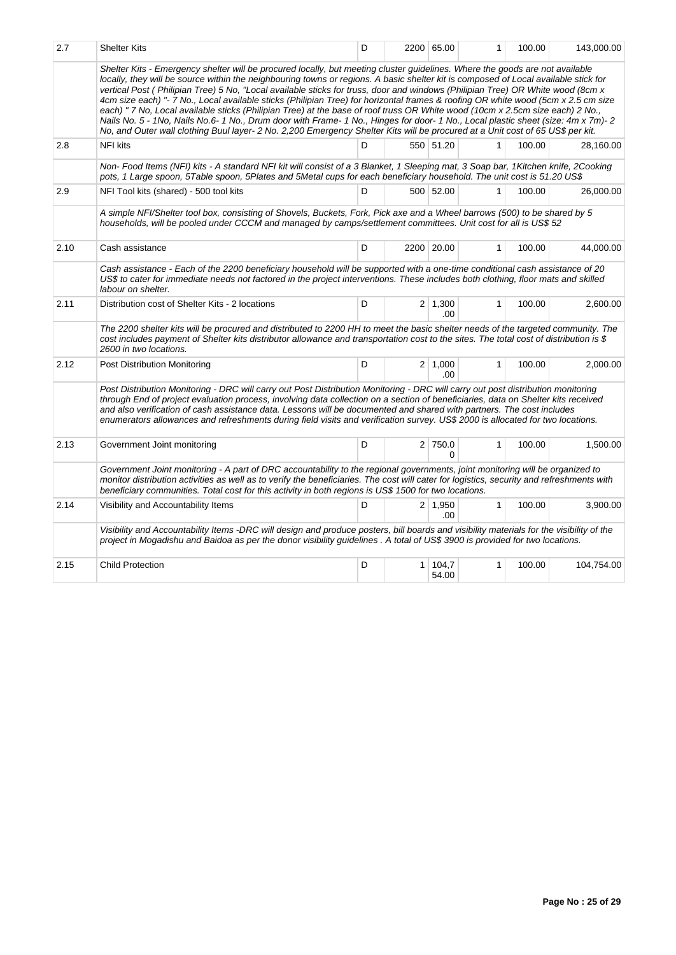| 2.7  | <b>Shelter Kits</b>                                                                                                                                                                                                                                                                                                                                                                                                                                                                                                                                                                                                                                                                                                                                                                                                                                                                                                                            | D |   | 2200 65.00            | 1            | 100.00 | 143,000.00 |
|------|------------------------------------------------------------------------------------------------------------------------------------------------------------------------------------------------------------------------------------------------------------------------------------------------------------------------------------------------------------------------------------------------------------------------------------------------------------------------------------------------------------------------------------------------------------------------------------------------------------------------------------------------------------------------------------------------------------------------------------------------------------------------------------------------------------------------------------------------------------------------------------------------------------------------------------------------|---|---|-----------------------|--------------|--------|------------|
|      | Shelter Kits - Emergency shelter will be procured locally, but meeting cluster guidelines. Where the goods are not available<br>locally, they will be source within the neighbouring towns or regions. A basic shelter kit is composed of Local available stick for<br>vertical Post (Philipian Tree) 5 No. "Local available sticks for truss, door and windows (Philipian Tree) OR White wood (8cm x<br>4cm size each) "- 7 No., Local available sticks (Philipian Tree) for horizontal frames & roofing OR white wood (5cm x 2.5 cm size<br>each) " 7 No, Local available sticks (Philipian Tree) at the base of roof truss OR White wood (10cm x 2.5cm size each) 2 No.,<br>Nails No. 5 - 1No, Nails No.6-1 No., Drum door with Frame-1 No., Hinges for door-1 No., Local plastic sheet (size: 4m x 7m)-2<br>No, and Outer wall clothing Buul layer- 2 No. 2,200 Emergency Shelter Kits will be procured at a Unit cost of 65 US\$ per kit. |   |   |                       |              |        |            |
| 2.8  | <b>NFI kits</b>                                                                                                                                                                                                                                                                                                                                                                                                                                                                                                                                                                                                                                                                                                                                                                                                                                                                                                                                | D |   | 550 51.20             | 1            | 100.00 | 28.160.00  |
|      | Non-Food Items (NFI) kits - A standard NFI kit will consist of a 3 Blanket, 1 Sleeping mat, 3 Soap bar, 1 Kitchen knife, 2 Cooking<br>pots, 1 Large spoon, 5Table spoon, 5Plates and 5Metal cups for each beneficiary household. The unit cost is 51.20 US\$                                                                                                                                                                                                                                                                                                                                                                                                                                                                                                                                                                                                                                                                                   |   |   |                       |              |        |            |
| 2.9  | NFI Tool kits (shared) - 500 tool kits                                                                                                                                                                                                                                                                                                                                                                                                                                                                                                                                                                                                                                                                                                                                                                                                                                                                                                         | D |   | 500 52.00             | 1            | 100.00 | 26,000.00  |
|      | A simple NFI/Shelter tool box, consisting of Shovels, Buckets, Fork, Pick axe and a Wheel barrows (500) to be shared by 5<br>households, will be pooled under CCCM and managed by camps/settlement committees. Unit cost for all is US\$ 52                                                                                                                                                                                                                                                                                                                                                                                                                                                                                                                                                                                                                                                                                                    |   |   |                       |              |        |            |
| 2.10 | Cash assistance                                                                                                                                                                                                                                                                                                                                                                                                                                                                                                                                                                                                                                                                                                                                                                                                                                                                                                                                | D |   | 2200 20.00            | $\mathbf{1}$ | 100.00 | 44,000.00  |
|      | Cash assistance - Each of the 2200 beneficiary household will be supported with a one-time conditional cash assistance of 20<br>US\$ to cater for immediate needs not factored in the project interventions. These includes both clothing, floor mats and skilled<br>labour on shelter.                                                                                                                                                                                                                                                                                                                                                                                                                                                                                                                                                                                                                                                        |   |   |                       |              |        |            |
| 2.11 | Distribution cost of Shelter Kits - 2 locations                                                                                                                                                                                                                                                                                                                                                                                                                                                                                                                                                                                                                                                                                                                                                                                                                                                                                                | D |   | $2 \mid 1,300$<br>.00 | $\mathbf{1}$ | 100.00 | 2,600.00   |
|      | The 2200 shelter kits will be procured and distributed to 2200 HH to meet the basic shelter needs of the targeted community. The<br>cost includes payment of Shelter kits distributor allowance and transportation cost to the sites. The total cost of distribution is \$<br>2600 in two locations.                                                                                                                                                                                                                                                                                                                                                                                                                                                                                                                                                                                                                                           |   |   |                       |              |        |            |
| 2.12 | Post Distribution Monitoring                                                                                                                                                                                                                                                                                                                                                                                                                                                                                                                                                                                                                                                                                                                                                                                                                                                                                                                   | D |   | $2 \mid 1.000$<br>.00 | $\mathbf{1}$ | 100.00 | 2.000.00   |
|      | Post Distribution Monitoring - DRC will carry out Post Distribution Monitoring - DRC will carry out post distribution monitoring<br>through End of project evaluation process, involving data collection on a section of beneficiaries, data on Shelter kits received<br>and also verification of cash assistance data. Lessons will be documented and shared with partners. The cost includes<br>enumerators allowances and refreshments during field visits and verification survey. US\$ 2000 is allocated for two locations.                                                                                                                                                                                                                                                                                                                                                                                                               |   |   |                       |              |        |            |
| 2.13 | Government Joint monitoring                                                                                                                                                                                                                                                                                                                                                                                                                                                                                                                                                                                                                                                                                                                                                                                                                                                                                                                    | D |   | 2 750.0<br>0          | $\mathbf{1}$ | 100.00 | 1,500.00   |
|      | Government Joint monitoring - A part of DRC accountability to the regional governments, joint monitoring will be organized to<br>monitor distribution activities as well as to verify the beneficiaries. The cost will cater for logistics, security and refreshments with<br>beneficiary communities. Total cost for this activity in both regions is US\$ 1500 for two locations.                                                                                                                                                                                                                                                                                                                                                                                                                                                                                                                                                            |   |   |                       |              |        |            |
| 2.14 | Visibility and Accountability Items                                                                                                                                                                                                                                                                                                                                                                                                                                                                                                                                                                                                                                                                                                                                                                                                                                                                                                            | D |   | $2 \mid 1,950$<br>.00 | $\mathbf{1}$ | 100.00 | 3,900.00   |
|      | Visibility and Accountability Items -DRC will design and produce posters, bill boards and visibility materials for the visibility of the<br>project in Mogadishu and Baidoa as per the donor visibility guidelines. A total of US\$ 3900 is provided for two locations.                                                                                                                                                                                                                                                                                                                                                                                                                                                                                                                                                                                                                                                                        |   |   |                       |              |        |            |
| 2.15 | <b>Child Protection</b>                                                                                                                                                                                                                                                                                                                                                                                                                                                                                                                                                                                                                                                                                                                                                                                                                                                                                                                        | D | 1 | 104,7<br>54.00        | $\mathbf{1}$ | 100.00 | 104,754.00 |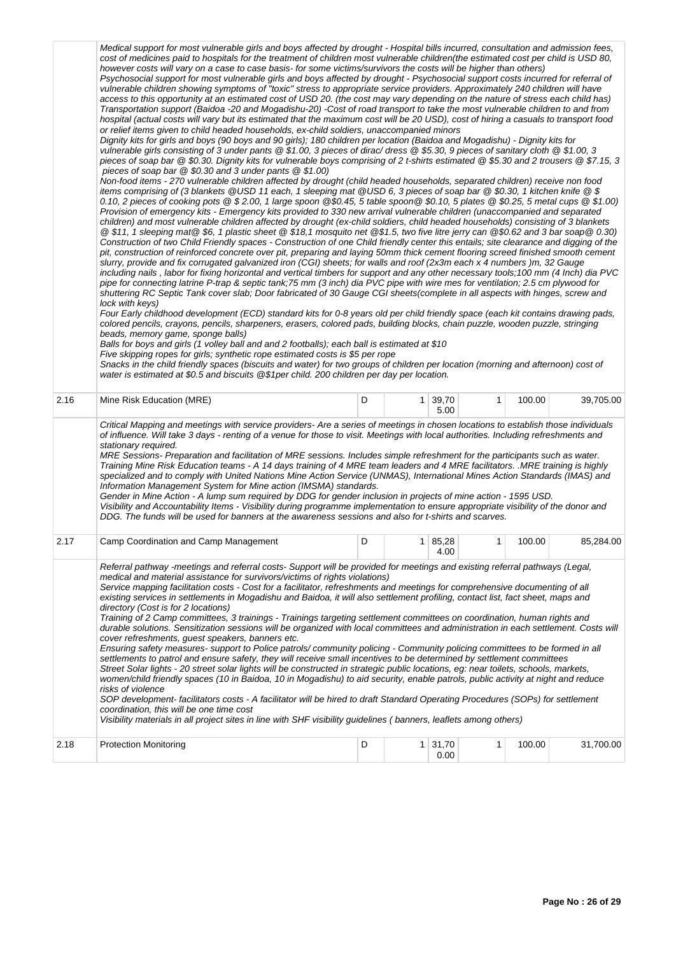|      | Medical support for most vulnerable girls and boys affected by drought - Hospital bills incurred, consultation and admission fees,<br>cost of medicines paid to hospitals for the treatment of children most vulnerable children(the estimated cost per child is USD 80,<br>however costs will vary on a case to case basis- for some victims/survivors the costs will be higher than others)<br>Psychosocial support for most vulnerable girls and boys affected by drought - Psychosocial support costs incurred for referral of<br>vulnerable children showing symptoms of "toxic" stress to appropriate service providers. Approximately 240 children will have<br>access to this opportunity at an estimated cost of USD 20. (the cost may vary depending on the nature of stress each child has)<br>Transportation support (Baidoa -20 and Mogadishu-20) -Cost of road transport to take the most vulnerable children to and from<br>hospital (actual costs will vary but its estimated that the maximum cost will be 20 USD), cost of hiring a casuals to transport food<br>or relief items given to child headed households, ex-child soldiers, unaccompanied minors<br>Dignity kits for girls and boys (90 boys and 90 girls); 180 children per location (Baidoa and Mogadishu) - Dignity kits for<br>vulnerable girls consisting of 3 under pants @ \$1.00, 3 pieces of dirac/ dress @ \$5.30, 9 pieces of sanitary cloth @ \$1.00, 3<br>pieces of soap bar @ \$0.30. Dignity kits for vulnerable boys comprising of 2 t-shirts estimated @ \$5.30 and 2 trousers @ \$7.15, 3<br>pieces of soap bar $@$ \$0.30 and 3 under pants $@$ \$1.00)<br>Non-food items - 270 vulnerable children affected by drought (child headed households, separated children) receive non food<br>items comprising of (3 blankets @USD 11 each, 1 sleeping mat @USD 6, 3 pieces of soap bar @\$0.30, 1 kitchen knife @\$<br>0.10, 2 pieces of cooking pots @ \$2.00, 1 large spoon @\$0.45, 5 table spoon @ \$0.10, 5 plates @ \$0.25, 5 metal cups @ \$1.00)<br>Provision of emergency kits - Emergency kits provided to 330 new arrival vulnerable children (unaccompanied and separated<br>children) and most vulnerable children affected by drought (ex-child soldiers, child headed households) consisting of 3 blankets<br>@\$11, 1 sleeping mat@\$6, 1 plastic sheet @\$18,1 mosquito net @\$1.5, two five litre jerry can @\$0.62 and 3 bar soap@0.30)<br>Construction of two Child Friendly spaces - Construction of one Child friendly center this entails; site clearance and digging of the<br>pit, construction of reinforced concrete over pit, preparing and laying 50mm thick cement flooring screed finished smooth cement<br>slurry, provide and fix corrugated galvanized iron (CGI) sheets; for walls and roof (2x3m each x 4 numbers)m, 32 Gauge<br>including nails, labor for fixing horizontal and vertical timbers for support and any other necessary tools; 100 mm (4 lnch) dia PVC<br>pipe for connecting latrine P-trap & septic tank;75 mm (3 inch) dia PVC pipe with wire mes for ventilation; 2.5 cm plywood for<br>shuttering RC Septic Tank cover slab; Door fabricated of 30 Gauge CGI sheets(complete in all aspects with hinges, screw and<br>lock with keys)<br>Four Early childhood development (ECD) standard kits for 0-8 years old per child friendly space (each kit contains drawing pads,<br>colored pencils, crayons, pencils, sharpeners, erasers, colored pads, building blocks, chain puzzle, wooden puzzle, stringing<br>beads, memory game, sponge balls)<br>Balls for boys and girls (1 volley ball and and 2 footballs); each ball is estimated at \$10<br>Five skipping ropes for girls; synthetic rope estimated costs is \$5 per rope<br>Snacks in the child friendly spaces (biscuits and water) for two groups of children per location (morning and afternoon) cost of<br>water is estimated at \$0.5 and biscuits @\$1per child. 200 children per day per location. |   |                        |              |        |           |
|------|------------------------------------------------------------------------------------------------------------------------------------------------------------------------------------------------------------------------------------------------------------------------------------------------------------------------------------------------------------------------------------------------------------------------------------------------------------------------------------------------------------------------------------------------------------------------------------------------------------------------------------------------------------------------------------------------------------------------------------------------------------------------------------------------------------------------------------------------------------------------------------------------------------------------------------------------------------------------------------------------------------------------------------------------------------------------------------------------------------------------------------------------------------------------------------------------------------------------------------------------------------------------------------------------------------------------------------------------------------------------------------------------------------------------------------------------------------------------------------------------------------------------------------------------------------------------------------------------------------------------------------------------------------------------------------------------------------------------------------------------------------------------------------------------------------------------------------------------------------------------------------------------------------------------------------------------------------------------------------------------------------------------------------------------------------------------------------------------------------------------------------------------------------------------------------------------------------------------------------------------------------------------------------------------------------------------------------------------------------------------------------------------------------------------------------------------------------------------------------------------------------------------------------------------------------------------------------------------------------------------------------------------------------------------------------------------------------------------------------------------------------------------------------------------------------------------------------------------------------------------------------------------------------------------------------------------------------------------------------------------------------------------------------------------------------------------------------------------------------------------------------------------------------------------------------------------------------------------------------------------------------------------------------------------------------------------------------------------------------------------------------------------------------------------------------------------------------------------------------------------------------------------------------------------------------------------------------------------------------------------------------------------------------------------------------------------------------------------------------------------------------------------------------------------------------------------------------------------------------------------------------------------------------------------------------------------------------------------------------------------------------------------|---|------------------------|--------------|--------|-----------|
| 2.16 | Mine Risk Education (MRE)                                                                                                                                                                                                                                                                                                                                                                                                                                                                                                                                                                                                                                                                                                                                                                                                                                                                                                                                                                                                                                                                                                                                                                                                                                                                                                                                                                                                                                                                                                                                                                                                                                                                                                                                                                                                                                                                                                                                                                                                                                                                                                                                                                                                                                                                                                                                                                                                                                                                                                                                                                                                                                                                                                                                                                                                                                                                                                                                                                                                                                                                                                                                                                                                                                                                                                                                                                                                                                                                                                                                                                                                                                                                                                                                                                                                                                                                                                                                                                                              | D | $1 \mid 39,70$<br>5.00 | $\mathbf{1}$ | 100.00 | 39,705.00 |
|      | Critical Mapping and meetings with service providers- Are a series of meetings in chosen locations to establish those individuals<br>of influence. Will take 3 days - renting of a venue for those to visit. Meetings with local authorities. Including refreshments and<br>stationary required.<br>MRE Sessions- Preparation and facilitation of MRE sessions. Includes simple refreshment for the participants such as water.<br>Training Mine Risk Education teams - A 14 days training of 4 MRE team leaders and 4 MRE facilitators. .MRE training is highly<br>specialized and to comply with United Nations Mine Action Service (UNMAS), International Mines Action Standards (IMAS) and<br>Information Management System for Mine action (IMSMA) standards.<br>Gender in Mine Action - A lump sum required by DDG for gender inclusion in projects of mine action - 1595 USD.<br>Visibility and Accountability Items - Visibility during programme implementation to ensure appropriate visibility of the donor and<br>DDG. The funds will be used for banners at the awareness sessions and also for t-shirts and scarves.                                                                                                                                                                                                                                                                                                                                                                                                                                                                                                                                                                                                                                                                                                                                                                                                                                                                                                                                                                                                                                                                                                                                                                                                                                                                                                                                                                                                                                                                                                                                                                                                                                                                                                                                                                                                                                                                                                                                                                                                                                                                                                                                                                                                                                                                                                                                                                                                                                                                                                                                                                                                                                                                                                                                                                                                                                                                                     |   |                        |              |        |           |
| 2.17 | Camp Coordination and Camp Management                                                                                                                                                                                                                                                                                                                                                                                                                                                                                                                                                                                                                                                                                                                                                                                                                                                                                                                                                                                                                                                                                                                                                                                                                                                                                                                                                                                                                                                                                                                                                                                                                                                                                                                                                                                                                                                                                                                                                                                                                                                                                                                                                                                                                                                                                                                                                                                                                                                                                                                                                                                                                                                                                                                                                                                                                                                                                                                                                                                                                                                                                                                                                                                                                                                                                                                                                                                                                                                                                                                                                                                                                                                                                                                                                                                                                                                                                                                                                                                  | D | $1 \mid 85,28$<br>4.00 | $\mathbf{1}$ | 100.00 | 85,284.00 |
|      | Referral pathway -meetings and referral costs- Support will be provided for meetings and existing referral pathways (Legal,<br>medical and material assistance for survivors/victims of rights violations)<br>Service mapping facilitation costs - Cost for a facilitator, refreshments and meetings for comprehensive documenting of all<br>existing services in settlements in Mogadishu and Baidoa, it will also settlement profiling, contact list, fact sheet, maps and<br>directory (Cost is for 2 locations)<br>Training of 2 Camp committees, 3 trainings - Trainings targeting settlement committees on coordination, human rights and<br>durable solutions. Sensitization sessions will be organized with local committees and administration in each settlement. Costs will<br>cover refreshments, quest speakers, banners etc.<br>Ensuring safety measures- support to Police patrols/community policing - Community policing committees to be formed in all<br>settlements to patrol and ensure safety, they will receive small incentives to be determined by settlement committees<br>Street Solar lights - 20 street solar lights will be constructed in strategic public locations, eg: near toilets, schools, markets,<br>women/child friendly spaces (10 in Baidoa, 10 in Mogadishu) to aid security, enable patrols, public activity at night and reduce<br>risks of violence<br>SOP development- facilitators costs - A facilitator will be hired to draft Standard Operating Procedures (SOPs) for settlement<br>coordination, this will be one time cost<br>Visibility materials in all project sites in line with SHF visibility guidelines (banners, leaflets among others)                                                                                                                                                                                                                                                                                                                                                                                                                                                                                                                                                                                                                                                                                                                                                                                                                                                                                                                                                                                                                                                                                                                                                                                                                                                                                                                                                                                                                                                                                                                                                                                                                                                                                                                                                                                                                                                                                                                                                                                                                                                                                                                                                                                                                                                                                                                   |   |                        |              |        |           |
| 2.18 | <b>Protection Monitoring</b>                                                                                                                                                                                                                                                                                                                                                                                                                                                                                                                                                                                                                                                                                                                                                                                                                                                                                                                                                                                                                                                                                                                                                                                                                                                                                                                                                                                                                                                                                                                                                                                                                                                                                                                                                                                                                                                                                                                                                                                                                                                                                                                                                                                                                                                                                                                                                                                                                                                                                                                                                                                                                                                                                                                                                                                                                                                                                                                                                                                                                                                                                                                                                                                                                                                                                                                                                                                                                                                                                                                                                                                                                                                                                                                                                                                                                                                                                                                                                                                           | D | $1 \mid 31,70$<br>0.00 | 1            | 100.00 | 31,700.00 |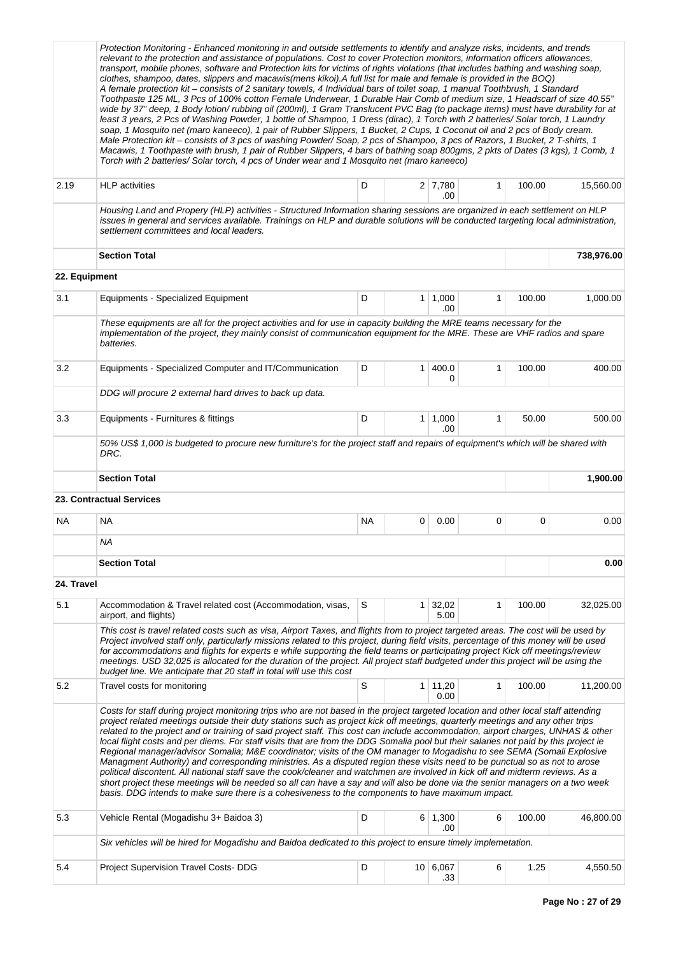|               | Protection Monitoring - Enhanced monitoring in and outside settlements to identify and analyze risks, incidents, and trends<br>relevant to the protection and assistance of populations. Cost to cover Protection monitors, information officers allowances,<br>transport, mobile phones, software and Protection kits for victims of rights violations (that includes bathing and washing soap,<br>clothes, shampoo, dates, slippers and macawis(mens kikoi). A full list for male and female is provided in the BOQ)<br>A female protection kit - consists of 2 sanitary towels, 4 Individual bars of toilet soap, 1 manual Toothbrush, 1 Standard<br>Toothpaste 125 ML, 3 Pcs of 100% cotton Female Underwear, 1 Durable Hair Comb of medium size, 1 Headscarf of size 40.55"<br>wide by 37" deep, 1 Body lotion/rubbing oil (200ml), 1 Gram Translucent PVC Bag (to package items) must have durability for at<br>least 3 years, 2 Pcs of Washing Powder, 1 bottle of Shampoo, 1 Dress (dirac), 1 Torch with 2 batteries/ Solar torch, 1 Laundry<br>soap, 1 Mosquito net (maro kaneeco), 1 pair of Rubber Slippers, 1 Bucket, 2 Cups, 1 Coconut oil and 2 pcs of Body cream.<br>Male Protection kit - consists of 3 pcs of washing Powder/Soap, 2 pcs of Shampoo, 3 pcs of Razors, 1 Bucket, 2 T-shirts, 1<br>Macawis, 1 Toothpaste with brush, 1 pair of Rubber Slippers, 4 bars of bathing soap 800gms, 2 pkts of Dates (3 kgs), 1 Comb, 1<br>Torch with 2 batteries/ Solar torch, 4 pcs of Under wear and 1 Mosquito net (maro kaneeco) |           |   |                        |              |        |            |  |
|---------------|------------------------------------------------------------------------------------------------------------------------------------------------------------------------------------------------------------------------------------------------------------------------------------------------------------------------------------------------------------------------------------------------------------------------------------------------------------------------------------------------------------------------------------------------------------------------------------------------------------------------------------------------------------------------------------------------------------------------------------------------------------------------------------------------------------------------------------------------------------------------------------------------------------------------------------------------------------------------------------------------------------------------------------------------------------------------------------------------------------------------------------------------------------------------------------------------------------------------------------------------------------------------------------------------------------------------------------------------------------------------------------------------------------------------------------------------------------------------------------------------------------------------------------------------|-----------|---|------------------------|--------------|--------|------------|--|
| 2.19          | <b>HLP</b> activities                                                                                                                                                                                                                                                                                                                                                                                                                                                                                                                                                                                                                                                                                                                                                                                                                                                                                                                                                                                                                                                                                                                                                                                                                                                                                                                                                                                                                                                                                                                          | D         |   | $2 \mid 7,780$<br>.00  | $\mathbf{1}$ | 100.00 | 15,560.00  |  |
|               | Housing Land and Propery (HLP) activities - Structured Information sharing sessions are organized in each settlement on HLP<br>issues in general and services available. Trainings on HLP and durable solutions will be conducted targeting local administration,<br>settlement committees and local leaders.                                                                                                                                                                                                                                                                                                                                                                                                                                                                                                                                                                                                                                                                                                                                                                                                                                                                                                                                                                                                                                                                                                                                                                                                                                  |           |   |                        |              |        |            |  |
|               | <b>Section Total</b>                                                                                                                                                                                                                                                                                                                                                                                                                                                                                                                                                                                                                                                                                                                                                                                                                                                                                                                                                                                                                                                                                                                                                                                                                                                                                                                                                                                                                                                                                                                           |           |   |                        |              |        | 738,976.00 |  |
| 22. Equipment |                                                                                                                                                                                                                                                                                                                                                                                                                                                                                                                                                                                                                                                                                                                                                                                                                                                                                                                                                                                                                                                                                                                                                                                                                                                                                                                                                                                                                                                                                                                                                |           |   |                        |              |        |            |  |
| 3.1           | <b>Equipments - Specialized Equipment</b>                                                                                                                                                                                                                                                                                                                                                                                                                                                                                                                                                                                                                                                                                                                                                                                                                                                                                                                                                                                                                                                                                                                                                                                                                                                                                                                                                                                                                                                                                                      | D         |   | $1 \mid 1,000$<br>.00  | $\mathbf{1}$ | 100.00 | 1,000.00   |  |
|               | These equipments are all for the project activities and for use in capacity building the MRE teams necessary for the<br>implementation of the project, they mainly consist of communication equipment for the MRE. These are VHF radios and spare<br>batteries.                                                                                                                                                                                                                                                                                                                                                                                                                                                                                                                                                                                                                                                                                                                                                                                                                                                                                                                                                                                                                                                                                                                                                                                                                                                                                |           |   |                        |              |        |            |  |
| 3.2           | Equipments - Specialized Computer and IT/Communication                                                                                                                                                                                                                                                                                                                                                                                                                                                                                                                                                                                                                                                                                                                                                                                                                                                                                                                                                                                                                                                                                                                                                                                                                                                                                                                                                                                                                                                                                         | D         | 1 | 400.0<br>0             | 1            | 100.00 | 400.00     |  |
|               | DDG will procure 2 external hard drives to back up data.                                                                                                                                                                                                                                                                                                                                                                                                                                                                                                                                                                                                                                                                                                                                                                                                                                                                                                                                                                                                                                                                                                                                                                                                                                                                                                                                                                                                                                                                                       |           |   |                        |              |        |            |  |
| 3.3           | Equipments - Furnitures & fittings                                                                                                                                                                                                                                                                                                                                                                                                                                                                                                                                                                                                                                                                                                                                                                                                                                                                                                                                                                                                                                                                                                                                                                                                                                                                                                                                                                                                                                                                                                             | D         |   | $1 \mid 1,000$<br>.00  | 1            | 50.00  | 500.00     |  |
|               | 50% US\$ 1,000 is budgeted to procure new furniture's for the project staff and repairs of equipment's which will be shared with<br>DRC.                                                                                                                                                                                                                                                                                                                                                                                                                                                                                                                                                                                                                                                                                                                                                                                                                                                                                                                                                                                                                                                                                                                                                                                                                                                                                                                                                                                                       |           |   |                        |              |        |            |  |
|               | <b>Section Total</b>                                                                                                                                                                                                                                                                                                                                                                                                                                                                                                                                                                                                                                                                                                                                                                                                                                                                                                                                                                                                                                                                                                                                                                                                                                                                                                                                                                                                                                                                                                                           |           |   |                        |              |        | 1,900.00   |  |
|               | 23. Contractual Services                                                                                                                                                                                                                                                                                                                                                                                                                                                                                                                                                                                                                                                                                                                                                                                                                                                                                                                                                                                                                                                                                                                                                                                                                                                                                                                                                                                                                                                                                                                       |           |   |                        |              |        |            |  |
| NA            | NA                                                                                                                                                                                                                                                                                                                                                                                                                                                                                                                                                                                                                                                                                                                                                                                                                                                                                                                                                                                                                                                                                                                                                                                                                                                                                                                                                                                                                                                                                                                                             | <b>NA</b> | 0 | 0.00                   | 0            | 0      | 0.00       |  |
|               | ΝA                                                                                                                                                                                                                                                                                                                                                                                                                                                                                                                                                                                                                                                                                                                                                                                                                                                                                                                                                                                                                                                                                                                                                                                                                                                                                                                                                                                                                                                                                                                                             |           |   |                        |              |        |            |  |
|               | <b>Section Total</b>                                                                                                                                                                                                                                                                                                                                                                                                                                                                                                                                                                                                                                                                                                                                                                                                                                                                                                                                                                                                                                                                                                                                                                                                                                                                                                                                                                                                                                                                                                                           |           |   |                        |              |        | 0.00       |  |
| 24. Travel    |                                                                                                                                                                                                                                                                                                                                                                                                                                                                                                                                                                                                                                                                                                                                                                                                                                                                                                                                                                                                                                                                                                                                                                                                                                                                                                                                                                                                                                                                                                                                                |           |   |                        |              |        |            |  |
| 5.1           | Accommodation & Travel related cost (Accommodation, visas,<br>airport, and flights)                                                                                                                                                                                                                                                                                                                                                                                                                                                                                                                                                                                                                                                                                                                                                                                                                                                                                                                                                                                                                                                                                                                                                                                                                                                                                                                                                                                                                                                            | S         |   | $1 \mid 32,02$<br>5.00 | 1            | 100.00 | 32,025.00  |  |
|               | This cost is travel related costs such as visa, Airport Taxes, and flights from to project targeted areas. The cost will be used by<br>Project involved staff only, particularly missions related to this project, during field visits, percentage of this money will be used<br>for accommodations and flights for experts e while supporting the field teams or participating project Kick off meetings/review<br>meetings. USD 32,025 is allocated for the duration of the project. All project staff budgeted under this project will be using the<br>budget line. We anticipate that 20 staff in total will use this cost                                                                                                                                                                                                                                                                                                                                                                                                                                                                                                                                                                                                                                                                                                                                                                                                                                                                                                                 |           |   |                        |              |        |            |  |
| 5.2           | Travel costs for monitoring                                                                                                                                                                                                                                                                                                                                                                                                                                                                                                                                                                                                                                                                                                                                                                                                                                                                                                                                                                                                                                                                                                                                                                                                                                                                                                                                                                                                                                                                                                                    | S         |   | $1 \mid 11,20$<br>0.00 | $\mathbf{1}$ | 100.00 | 11,200.00  |  |
|               | Costs for staff during project monitoring trips who are not based in the project targeted location and other local staff attending<br>project related meetings outside their duty stations such as project kick off meetings, quarterly meetings and any other trips<br>related to the project and or training of said project staff. This cost can include accommodation, airport charges, UNHAS & other<br>local flight costs and per diems. For staff visits that are from the DDG Somalia pool but their salaries not paid by this project ie<br>Regional manager/advisor Somalia; M&E coordinator; visits of the OM manager to Mogadishu to see SEMA (Somali Explosive<br>Managment Authority) and corresponding ministries. As a disputed region these visits need to be punctual so as not to arose<br>political discontent. All national staff save the cook/cleaner and watchmen are involved in kick off and midterm reviews. As a<br>short project these meetings will be needed so all can have a say and will also be done via the senior managers on a two week<br>basis. DDG intends to make sure there is a cohesiveness to the components to have maximum impact.                                                                                                                                                                                                                                                                                                                                                             |           |   |                        |              |        |            |  |
| 5.3           | Vehicle Rental (Mogadishu 3+ Baidoa 3)                                                                                                                                                                                                                                                                                                                                                                                                                                                                                                                                                                                                                                                                                                                                                                                                                                                                                                                                                                                                                                                                                                                                                                                                                                                                                                                                                                                                                                                                                                         | D         |   | $6 \mid 1,300$<br>.00  | 6            | 100.00 | 46,800.00  |  |
|               | Six vehicles will be hired for Mogadishu and Baidoa dedicated to this project to ensure timely implemetation.                                                                                                                                                                                                                                                                                                                                                                                                                                                                                                                                                                                                                                                                                                                                                                                                                                                                                                                                                                                                                                                                                                                                                                                                                                                                                                                                                                                                                                  |           |   |                        |              |        |            |  |
| 5.4           | Project Supervision Travel Costs- DDG                                                                                                                                                                                                                                                                                                                                                                                                                                                                                                                                                                                                                                                                                                                                                                                                                                                                                                                                                                                                                                                                                                                                                                                                                                                                                                                                                                                                                                                                                                          | D         |   | 10 6,067<br>.33        | 6            | 1.25   | 4,550.50   |  |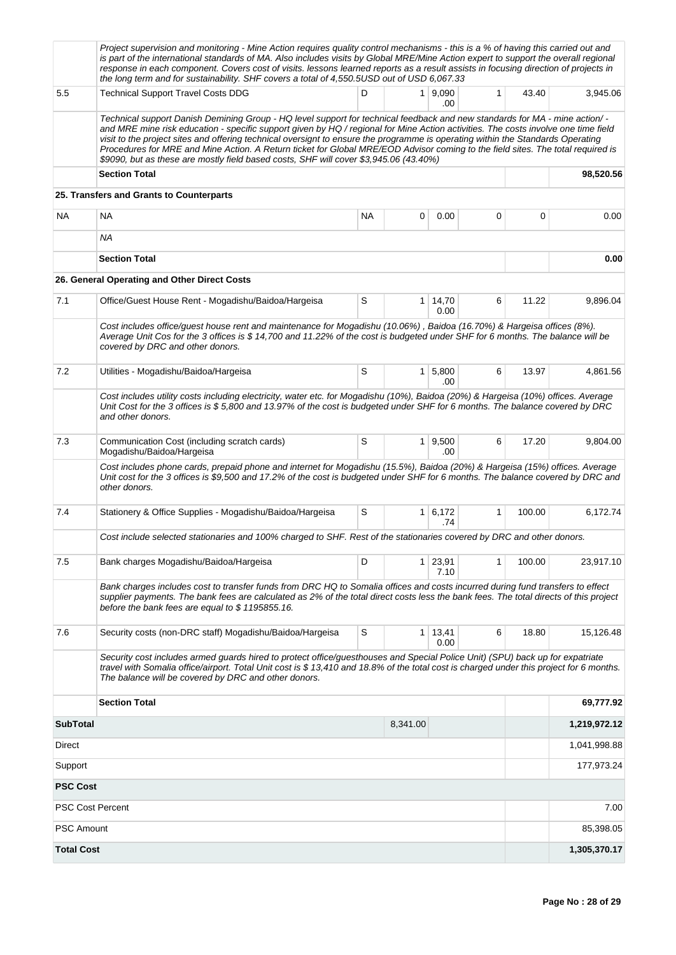|                         | Project supervision and monitoring - Mine Action requires quality control mechanisms - this is a % of having this carried out and<br>is part of the international standards of MA. Also includes visits by Global MRE/Mine Action expert to support the overall regional<br>response in each component. Covers cost of visits. lessons learned reports as a result assists in focusing direction of projects in<br>the long term and for sustainability. SHF covers a total of 4,550.5USD out of USD 6,067.33                                                                                                                    |           |                |                              |              |        |              |
|-------------------------|----------------------------------------------------------------------------------------------------------------------------------------------------------------------------------------------------------------------------------------------------------------------------------------------------------------------------------------------------------------------------------------------------------------------------------------------------------------------------------------------------------------------------------------------------------------------------------------------------------------------------------|-----------|----------------|------------------------------|--------------|--------|--------------|
| 5.5                     | <b>Technical Support Travel Costs DDG</b>                                                                                                                                                                                                                                                                                                                                                                                                                                                                                                                                                                                        | D         | 1 <sup>1</sup> | 9,090<br>.00                 | $\mathbf{1}$ | 43.40  | 3,945.06     |
|                         | Technical support Danish Demining Group - HQ level support for technical feedback and new standards for MA - mine action/ -<br>and MRE mine risk education - specific support given by HQ / regional for Mine Action activities. The costs involve one time field<br>visit to the project sites and offering technical oversignt to ensure the programme is operating within the Standards Operating<br>Procedures for MRE and Mine Action. A Return ticket for Global MRE/EOD Advisor coming to the field sites. The total required is<br>\$9090, but as these are mostly field based costs, SHF will cover \$3,945.06 (43.40%) |           |                |                              |              |        |              |
|                         | <b>Section Total</b>                                                                                                                                                                                                                                                                                                                                                                                                                                                                                                                                                                                                             |           |                |                              |              |        | 98,520.56    |
|                         | 25. Transfers and Grants to Counterparts                                                                                                                                                                                                                                                                                                                                                                                                                                                                                                                                                                                         |           |                |                              |              |        |              |
| <b>NA</b>               | <b>NA</b>                                                                                                                                                                                                                                                                                                                                                                                                                                                                                                                                                                                                                        | <b>NA</b> | 0              | 0.00                         | 0            | 0      | 0.00         |
|                         | ΝA                                                                                                                                                                                                                                                                                                                                                                                                                                                                                                                                                                                                                               |           |                |                              |              |        |              |
|                         | <b>Section Total</b>                                                                                                                                                                                                                                                                                                                                                                                                                                                                                                                                                                                                             |           |                |                              |              |        | 0.00         |
|                         | 26. General Operating and Other Direct Costs                                                                                                                                                                                                                                                                                                                                                                                                                                                                                                                                                                                     |           |                |                              |              |        |              |
| 7.1                     | Office/Guest House Rent - Mogadishu/Baidoa/Hargeisa                                                                                                                                                                                                                                                                                                                                                                                                                                                                                                                                                                              | S         | $\mathbf{1}$   | 14,70<br>0.00                | 6            | 11.22  | 9,896.04     |
|                         | Cost includes office/guest house rent and maintenance for Mogadishu (10.06%), Baidoa (16.70%) & Hargeisa offices (8%).<br>Average Unit Cos for the 3 offices is \$14,700 and 11.22% of the cost is budgeted under SHF for 6 months. The balance will be<br>covered by DRC and other donors.                                                                                                                                                                                                                                                                                                                                      |           |                |                              |              |        |              |
| 7.2                     | Utilities - Mogadishu/Baidoa/Hargeisa                                                                                                                                                                                                                                                                                                                                                                                                                                                                                                                                                                                            | S         | 1              | 5,800<br>.00.                | 6            | 13.97  | 4,861.56     |
|                         | Cost includes utility costs including electricity, water etc. for Mogadishu (10%), Baidoa (20%) & Hargeisa (10%) offices. Average<br>Unit Cost for the 3 offices is \$5,800 and 13.97% of the cost is budgeted under SHF for 6 months. The balance covered by DRC<br>and other donors.                                                                                                                                                                                                                                                                                                                                           |           |                |                              |              |        |              |
| 7.3                     | Communication Cost (including scratch cards)<br>Mogadishu/Baidoa/Hargeisa                                                                                                                                                                                                                                                                                                                                                                                                                                                                                                                                                        | S         |                | $1 \, 9,500$<br>.00          | 6            | 17.20  | 9,804.00     |
|                         | Cost includes phone cards, prepaid phone and internet for Mogadishu (15.5%), Baidoa (20%) & Hargeisa (15%) offices. Average<br>Unit cost for the 3 offices is \$9,500 and 17.2% of the cost is budgeted under SHF for 6 months. The balance covered by DRC and<br>other donors.                                                                                                                                                                                                                                                                                                                                                  |           |                |                              |              |        |              |
| 7.4                     | Stationery & Office Supplies - Mogadishu/Baidoa/Hargeisa                                                                                                                                                                                                                                                                                                                                                                                                                                                                                                                                                                         | S         |                | $1 \vert 6,172 \vert$<br>.74 | $\mathbf{1}$ | 100.00 | 6,172.74     |
|                         | Cost include selected stationaries and 100% charged to SHF. Rest of the stationaries covered by DRC and other donors.                                                                                                                                                                                                                                                                                                                                                                                                                                                                                                            |           |                |                              |              |        |              |
| 7.5                     | Bank charges Mogadishu/Baidoa/Hargeisa                                                                                                                                                                                                                                                                                                                                                                                                                                                                                                                                                                                           | D         | 1              | 23,91<br>7.10                | 1            | 100.00 | 23,917.10    |
|                         | Bank charges includes cost to transfer funds from DRC HQ to Somalia offices and costs incurred during fund transfers to effect<br>supplier payments. The bank fees are calculated as 2% of the total direct costs less the bank fees. The total directs of this project<br>before the bank fees are equal to \$1195855.16.                                                                                                                                                                                                                                                                                                       |           |                |                              |              |        |              |
| 7.6                     | Security costs (non-DRC staff) Mogadishu/Baidoa/Hargeisa                                                                                                                                                                                                                                                                                                                                                                                                                                                                                                                                                                         | S         | $\mathbf{1}$   | 13,41<br>0.00                | 6            | 18.80  | 15,126.48    |
|                         | Security cost includes armed guards hired to protect office/guesthouses and Special Police Unit) (SPU) back up for expatriate<br>travel with Somalia office/airport. Total Unit cost is \$13,410 and 18.8% of the total cost is charged under this project for 6 months.<br>The balance will be covered by DRC and other donors.                                                                                                                                                                                                                                                                                                 |           |                |                              |              |        |              |
|                         | <b>Section Total</b>                                                                                                                                                                                                                                                                                                                                                                                                                                                                                                                                                                                                             |           |                |                              |              |        | 69,777.92    |
| <b>SubTotal</b>         |                                                                                                                                                                                                                                                                                                                                                                                                                                                                                                                                                                                                                                  |           | 8,341.00       |                              |              |        | 1,219,972.12 |
| Direct                  |                                                                                                                                                                                                                                                                                                                                                                                                                                                                                                                                                                                                                                  |           |                |                              |              |        | 1,041,998.88 |
| Support                 |                                                                                                                                                                                                                                                                                                                                                                                                                                                                                                                                                                                                                                  |           |                |                              |              |        | 177,973.24   |
| <b>PSC Cost</b>         |                                                                                                                                                                                                                                                                                                                                                                                                                                                                                                                                                                                                                                  |           |                |                              |              |        |              |
| <b>PSC Cost Percent</b> |                                                                                                                                                                                                                                                                                                                                                                                                                                                                                                                                                                                                                                  |           |                |                              |              |        | 7.00         |
| <b>PSC Amount</b>       |                                                                                                                                                                                                                                                                                                                                                                                                                                                                                                                                                                                                                                  |           |                |                              |              |        | 85,398.05    |
|                         | <b>Total Cost</b><br>1,305,370.17                                                                                                                                                                                                                                                                                                                                                                                                                                                                                                                                                                                                |           |                |                              |              |        |              |